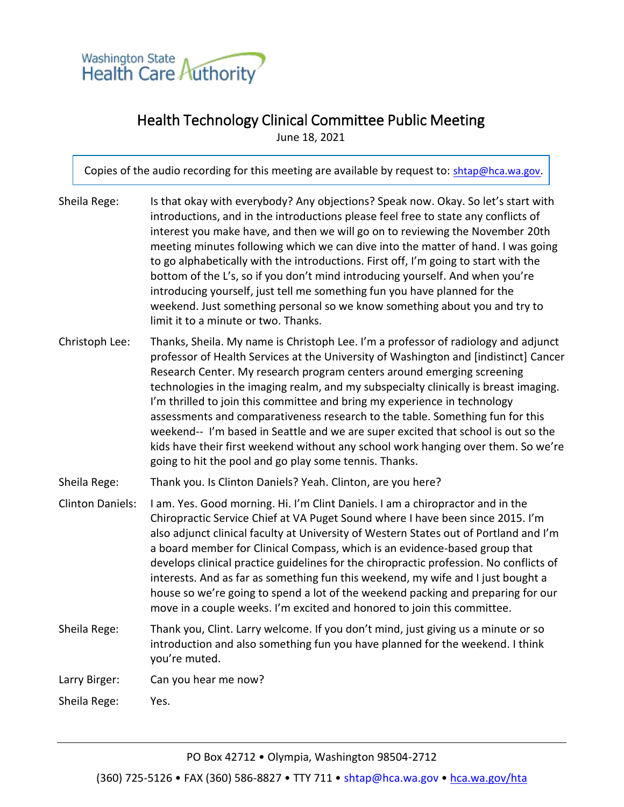

## Health Technology Clinical Committee Public Meeting

June 18, 2021

Copies of the audio recording for this meeting are available by request to: [shtap@hca.wa.g](mailto:shtap@hca.wa.gov)ov.

| Sheila Rege:            | Is that okay with everybody? Any objections? Speak now. Okay. So let's start with<br>introductions, and in the introductions please feel free to state any conflicts of<br>interest you make have, and then we will go on to reviewing the November 20th<br>meeting minutes following which we can dive into the matter of hand. I was going<br>to go alphabetically with the introductions. First off, I'm going to start with the<br>bottom of the L's, so if you don't mind introducing yourself. And when you're<br>introducing yourself, just tell me something fun you have planned for the<br>weekend. Just something personal so we know something about you and try to<br>limit it to a minute or two. Thanks.                        |
|-------------------------|------------------------------------------------------------------------------------------------------------------------------------------------------------------------------------------------------------------------------------------------------------------------------------------------------------------------------------------------------------------------------------------------------------------------------------------------------------------------------------------------------------------------------------------------------------------------------------------------------------------------------------------------------------------------------------------------------------------------------------------------|
| Christoph Lee:          | Thanks, Sheila. My name is Christoph Lee. I'm a professor of radiology and adjunct<br>professor of Health Services at the University of Washington and [indistinct] Cancer<br>Research Center. My research program centers around emerging screening<br>technologies in the imaging realm, and my subspecialty clinically is breast imaging.<br>I'm thrilled to join this committee and bring my experience in technology<br>assessments and comparativeness research to the table. Something fun for this<br>weekend-- I'm based in Seattle and we are super excited that school is out so the<br>kids have their first weekend without any school work hanging over them. So we're<br>going to hit the pool and go play some tennis. Thanks. |
| Sheila Rege:            | Thank you. Is Clinton Daniels? Yeah. Clinton, are you here?                                                                                                                                                                                                                                                                                                                                                                                                                                                                                                                                                                                                                                                                                    |
| <b>Clinton Daniels:</b> | I am. Yes. Good morning. Hi. I'm Clint Daniels. I am a chiropractor and in the<br>Chiropractic Service Chief at VA Puget Sound where I have been since 2015. I'm<br>also adjunct clinical faculty at University of Western States out of Portland and I'm<br>a board member for Clinical Compass, which is an evidence-based group that<br>develops clinical practice guidelines for the chiropractic profession. No conflicts of<br>interests. And as far as something fun this weekend, my wife and I just bought a<br>house so we're going to spend a lot of the weekend packing and preparing for our<br>move in a couple weeks. I'm excited and honored to join this committee.                                                           |
| Sheila Rege:            | Thank you, Clint. Larry welcome. If you don't mind, just giving us a minute or so<br>introduction and also something fun you have planned for the weekend. I think<br>you're muted.                                                                                                                                                                                                                                                                                                                                                                                                                                                                                                                                                            |
| Larry Birger:           | Can you hear me now?                                                                                                                                                                                                                                                                                                                                                                                                                                                                                                                                                                                                                                                                                                                           |
| Sheila Rege:            | Yes.                                                                                                                                                                                                                                                                                                                                                                                                                                                                                                                                                                                                                                                                                                                                           |

PO Box 42712 • Olympia, Washington 98504-2712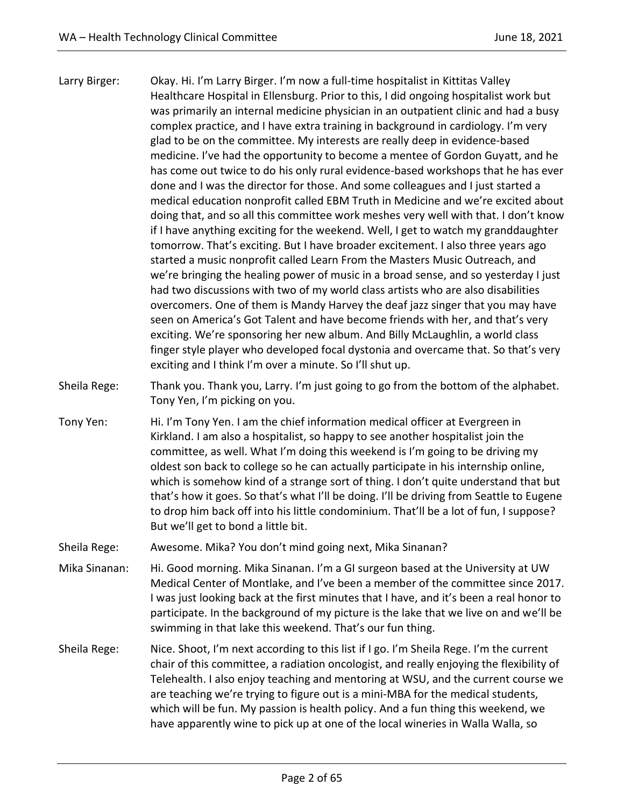- Larry Birger: Okay. Hi. I'm Larry Birger. I'm now a full-time hospitalist in Kittitas Valley Healthcare Hospital in Ellensburg. Prior to this, I did ongoing hospitalist work but was primarily an internal medicine physician in an outpatient clinic and had a busy complex practice, and I have extra training in background in cardiology. I'm very glad to be on the committee. My interests are really deep in evidence-based medicine. I've had the opportunity to become a mentee of Gordon Guyatt, and he has come out twice to do his only rural evidence-based workshops that he has ever done and I was the director for those. And some colleagues and I just started a medical education nonprofit called EBM Truth in Medicine and we're excited about doing that, and so all this committee work meshes very well with that. I don't know if I have anything exciting for the weekend. Well, I get to watch my granddaughter tomorrow. That's exciting. But I have broader excitement. I also three years ago started a music nonprofit called Learn From the Masters Music Outreach, and we're bringing the healing power of music in a broad sense, and so yesterday I just had two discussions with two of my world class artists who are also disabilities overcomers. One of them is Mandy Harvey the deaf jazz singer that you may have seen on America's Got Talent and have become friends with her, and that's very exciting. We're sponsoring her new album. And Billy McLaughlin, a world class finger style player who developed focal dystonia and overcame that. So that's very exciting and I think I'm over a minute. So I'll shut up.
- Sheila Rege: Thank you. Thank you, Larry. I'm just going to go from the bottom of the alphabet. Tony Yen, I'm picking on you.
- Tony Yen: Hi. I'm Tony Yen. I am the chief information medical officer at Evergreen in Kirkland. I am also a hospitalist, so happy to see another hospitalist join the committee, as well. What I'm doing this weekend is I'm going to be driving my oldest son back to college so he can actually participate in his internship online, which is somehow kind of a strange sort of thing. I don't quite understand that but that's how it goes. So that's what I'll be doing. I'll be driving from Seattle to Eugene to drop him back off into his little condominium. That'll be a lot of fun, I suppose? But we'll get to bond a little bit.
- Sheila Rege: Awesome. Mika? You don't mind going next, Mika Sinanan?
- Mika Sinanan: Hi. Good morning. Mika Sinanan. I'm a GI surgeon based at the University at UW Medical Center of Montlake, and I've been a member of the committee since 2017. I was just looking back at the first minutes that I have, and it's been a real honor to participate. In the background of my picture is the lake that we live on and we'll be swimming in that lake this weekend. That's our fun thing.
- Sheila Rege: Nice. Shoot, I'm next according to this list if I go. I'm Sheila Rege. I'm the current chair of this committee, a radiation oncologist, and really enjoying the flexibility of Telehealth. I also enjoy teaching and mentoring at WSU, and the current course we are teaching we're trying to figure out is a mini-MBA for the medical students, which will be fun. My passion is health policy. And a fun thing this weekend, we have apparently wine to pick up at one of the local wineries in Walla Walla, so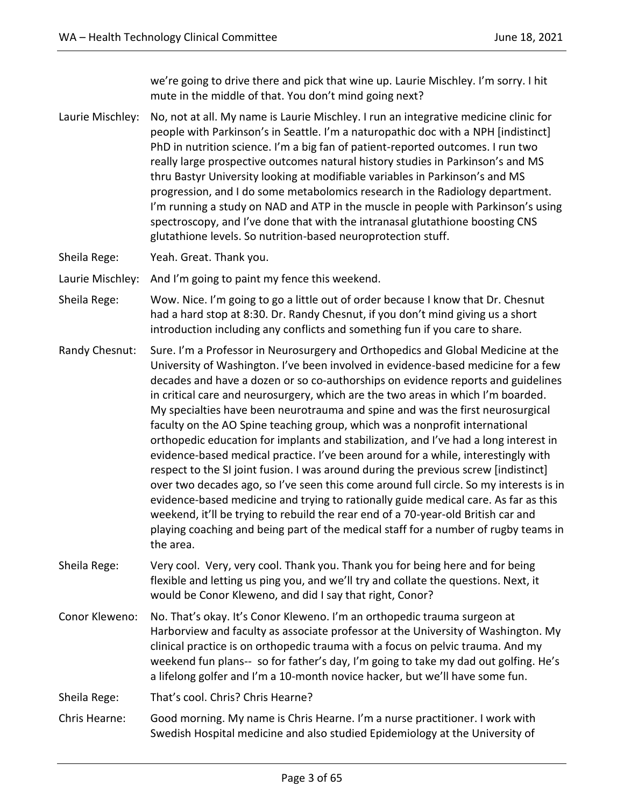we're going to drive there and pick that wine up. Laurie Mischley. I'm sorry. I hit mute in the middle of that. You don't mind going next?

Laurie Mischley: No, not at all. My name is Laurie Mischley. I run an integrative medicine clinic for people with Parkinson's in Seattle. I'm a naturopathic doc with a NPH [indistinct] PhD in nutrition science. I'm a big fan of patient-reported outcomes. I run two really large prospective outcomes natural history studies in Parkinson's and MS thru Bastyr University looking at modifiable variables in Parkinson's and MS progression, and I do some metabolomics research in the Radiology department. I'm running a study on NAD and ATP in the muscle in people with Parkinson's using spectroscopy, and I've done that with the intranasal glutathione boosting CNS glutathione levels. So nutrition-based neuroprotection stuff.

Sheila Rege: Yeah. Great. Thank you.

Laurie Mischley: And I'm going to paint my fence this weekend.

- Sheila Rege: Wow. Nice. I'm going to go a little out of order because I know that Dr. Chesnut had a hard stop at 8:30. Dr. Randy Chesnut, if you don't mind giving us a short introduction including any conflicts and something fun if you care to share.
- Randy Chesnut: Sure. I'm a Professor in Neurosurgery and Orthopedics and Global Medicine at the University of Washington. I've been involved in evidence-based medicine for a few decades and have a dozen or so co-authorships on evidence reports and guidelines in critical care and neurosurgery, which are the two areas in which I'm boarded. My specialties have been neurotrauma and spine and was the first neurosurgical faculty on the AO Spine teaching group, which was a nonprofit international orthopedic education for implants and stabilization, and I've had a long interest in evidence-based medical practice. I've been around for a while, interestingly with respect to the SI joint fusion. I was around during the previous screw [indistinct] over two decades ago, so I've seen this come around full circle. So my interests is in evidence-based medicine and trying to rationally guide medical care. As far as this weekend, it'll be trying to rebuild the rear end of a 70-year-old British car and playing coaching and being part of the medical staff for a number of rugby teams in the area.
- Sheila Rege: Very cool. Very, very cool. Thank you. Thank you for being here and for being flexible and letting us ping you, and we'll try and collate the questions. Next, it would be Conor Kleweno, and did I say that right, Conor?
- Conor Kleweno: No. That's okay. It's Conor Kleweno. I'm an orthopedic trauma surgeon at Harborview and faculty as associate professor at the University of Washington. My clinical practice is on orthopedic trauma with a focus on pelvic trauma. And my weekend fun plans-- so for father's day, I'm going to take my dad out golfing. He's a lifelong golfer and I'm a 10-month novice hacker, but we'll have some fun.

Sheila Rege: That's cool. Chris? Chris Hearne?

Chris Hearne: Good morning. My name is Chris Hearne. I'm a nurse practitioner. I work with Swedish Hospital medicine and also studied Epidemiology at the University of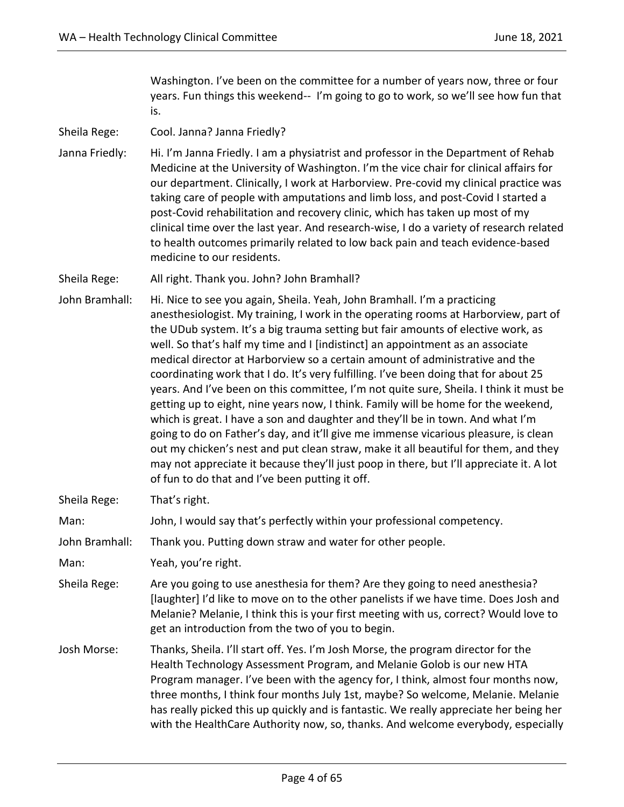Washington. I've been on the committee for a number of years now, three or four years. Fun things this weekend-- I'm going to go to work, so we'll see how fun that is.

Sheila Rege: Cool. Janna? Janna Friedly?

Janna Friedly: Hi. I'm Janna Friedly. I am a physiatrist and professor in the Department of Rehab Medicine at the University of Washington. I'm the vice chair for clinical affairs for our department. Clinically, I work at Harborview. Pre-covid my clinical practice was taking care of people with amputations and limb loss, and post-Covid I started a post-Covid rehabilitation and recovery clinic, which has taken up most of my clinical time over the last year. And research-wise, I do a variety of research related to health outcomes primarily related to low back pain and teach evidence-based medicine to our residents.

Sheila Rege: All right. Thank you. John? John Bramhall?

John Bramhall: Hi. Nice to see you again, Sheila. Yeah, John Bramhall. I'm a practicing anesthesiologist. My training, I work in the operating rooms at Harborview, part of the UDub system. It's a big trauma setting but fair amounts of elective work, as well. So that's half my time and I [indistinct] an appointment as an associate medical director at Harborview so a certain amount of administrative and the coordinating work that I do. It's very fulfilling. I've been doing that for about 25 years. And I've been on this committee, I'm not quite sure, Sheila. I think it must be getting up to eight, nine years now, I think. Family will be home for the weekend, which is great. I have a son and daughter and they'll be in town. And what I'm going to do on Father's day, and it'll give me immense vicarious pleasure, is clean out my chicken's nest and put clean straw, make it all beautiful for them, and they may not appreciate it because they'll just poop in there, but I'll appreciate it. A lot of fun to do that and I've been putting it off.

Sheila Rege: That's right.

Man: John, I would say that's perfectly within your professional competency.

John Bramhall: Thank you. Putting down straw and water for other people.

Man: Yeah, you're right.

- Sheila Rege: Are you going to use anesthesia for them? Are they going to need anesthesia? [laughter] I'd like to move on to the other panelists if we have time. Does Josh and Melanie? Melanie, I think this is your first meeting with us, correct? Would love to get an introduction from the two of you to begin.
- Josh Morse: Thanks, Sheila. I'll start off. Yes. I'm Josh Morse, the program director for the Health Technology Assessment Program, and Melanie Golob is our new HTA Program manager. I've been with the agency for, I think, almost four months now, three months, I think four months July 1st, maybe? So welcome, Melanie. Melanie has really picked this up quickly and is fantastic. We really appreciate her being her with the HealthCare Authority now, so, thanks. And welcome everybody, especially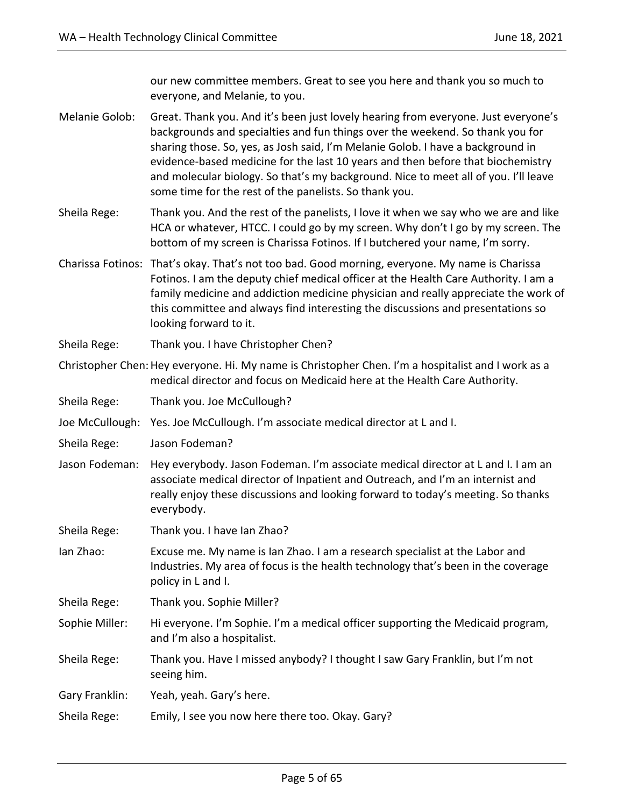our new committee members. Great to see you here and thank you so much to everyone, and Melanie, to you.

- Melanie Golob: Great. Thank you. And it's been just lovely hearing from everyone. Just everyone's backgrounds and specialties and fun things over the weekend. So thank you for sharing those. So, yes, as Josh said, I'm Melanie Golob. I have a background in evidence-based medicine for the last 10 years and then before that biochemistry and molecular biology. So that's my background. Nice to meet all of you. I'll leave some time for the rest of the panelists. So thank you.
- Sheila Rege: Thank you. And the rest of the panelists, I love it when we say who we are and like HCA or whatever, HTCC. I could go by my screen. Why don't I go by my screen. The bottom of my screen is Charissa Fotinos. If I butchered your name, I'm sorry.
- Charissa Fotinos: That's okay. That's not too bad. Good morning, everyone. My name is Charissa Fotinos. I am the deputy chief medical officer at the Health Care Authority. I am a family medicine and addiction medicine physician and really appreciate the work of this committee and always find interesting the discussions and presentations so looking forward to it.
- Sheila Rege: Thank you. I have Christopher Chen?
- Christopher Chen: Hey everyone. Hi. My name is Christopher Chen. I'm a hospitalist and I work as a medical director and focus on Medicaid here at the Health Care Authority.
- Sheila Rege: Thank you. Joe McCullough?
- Joe McCullough: Yes. Joe McCullough. I'm associate medical director at L and I.
- Sheila Rege: Jason Fodeman?
- Jason Fodeman: Hey everybody. Jason Fodeman. I'm associate medical director at L and I. I am an associate medical director of Inpatient and Outreach, and I'm an internist and really enjoy these discussions and looking forward to today's meeting. So thanks everybody.
- Sheila Rege: Thank you. I have Ian Zhao?
- Ian Zhao: Excuse me. My name is Ian Zhao. I am a research specialist at the Labor and Industries. My area of focus is the health technology that's been in the coverage policy in L and I.
- Sheila Rege: Thank you. Sophie Miller?
- Sophie Miller: Hi everyone. I'm Sophie. I'm a medical officer supporting the Medicaid program, and I'm also a hospitalist.
- Sheila Rege: Thank you. Have I missed anybody? I thought I saw Gary Franklin, but I'm not seeing him.
- Gary Franklin: Yeah, yeah. Gary's here.
- Sheila Rege: Emily, I see you now here there too. Okay. Gary?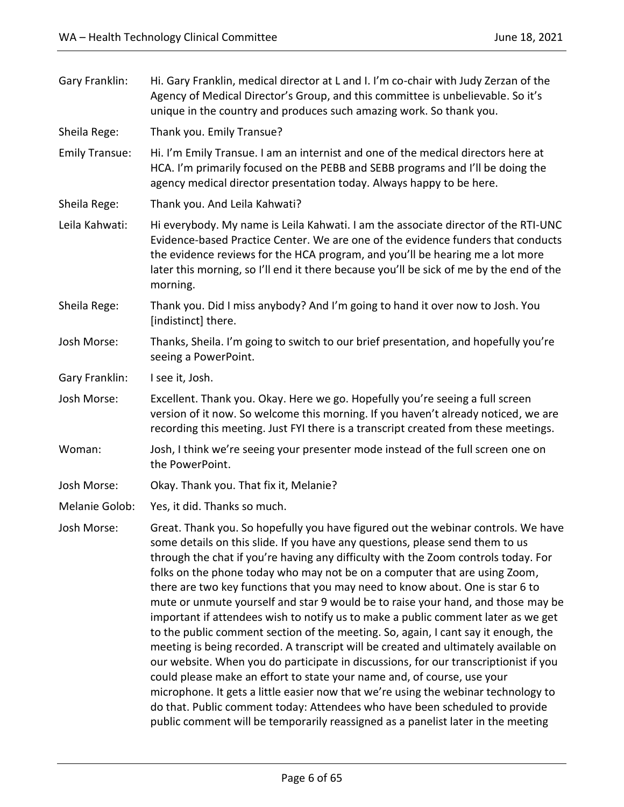| Gary Franklin:        | Hi. Gary Franklin, medical director at L and I. I'm co-chair with Judy Zerzan of the<br>Agency of Medical Director's Group, and this committee is unbelievable. So it's<br>unique in the country and produces such amazing work. So thank you.                                                                                                                                                                                                                                                                                                                                                                                                                                                                                                                                                                                                                                                                                                                                                                                                                                                                                                                                                            |
|-----------------------|-----------------------------------------------------------------------------------------------------------------------------------------------------------------------------------------------------------------------------------------------------------------------------------------------------------------------------------------------------------------------------------------------------------------------------------------------------------------------------------------------------------------------------------------------------------------------------------------------------------------------------------------------------------------------------------------------------------------------------------------------------------------------------------------------------------------------------------------------------------------------------------------------------------------------------------------------------------------------------------------------------------------------------------------------------------------------------------------------------------------------------------------------------------------------------------------------------------|
| Sheila Rege:          | Thank you. Emily Transue?                                                                                                                                                                                                                                                                                                                                                                                                                                                                                                                                                                                                                                                                                                                                                                                                                                                                                                                                                                                                                                                                                                                                                                                 |
| <b>Emily Transue:</b> | Hi. I'm Emily Transue. I am an internist and one of the medical directors here at<br>HCA. I'm primarily focused on the PEBB and SEBB programs and I'll be doing the<br>agency medical director presentation today. Always happy to be here.                                                                                                                                                                                                                                                                                                                                                                                                                                                                                                                                                                                                                                                                                                                                                                                                                                                                                                                                                               |
| Sheila Rege:          | Thank you. And Leila Kahwati?                                                                                                                                                                                                                                                                                                                                                                                                                                                                                                                                                                                                                                                                                                                                                                                                                                                                                                                                                                                                                                                                                                                                                                             |
| Leila Kahwati:        | Hi everybody. My name is Leila Kahwati. I am the associate director of the RTI-UNC<br>Evidence-based Practice Center. We are one of the evidence funders that conducts<br>the evidence reviews for the HCA program, and you'll be hearing me a lot more<br>later this morning, so I'll end it there because you'll be sick of me by the end of the<br>morning.                                                                                                                                                                                                                                                                                                                                                                                                                                                                                                                                                                                                                                                                                                                                                                                                                                            |
| Sheila Rege:          | Thank you. Did I miss anybody? And I'm going to hand it over now to Josh. You<br>[indistinct] there.                                                                                                                                                                                                                                                                                                                                                                                                                                                                                                                                                                                                                                                                                                                                                                                                                                                                                                                                                                                                                                                                                                      |
| Josh Morse:           | Thanks, Sheila. I'm going to switch to our brief presentation, and hopefully you're<br>seeing a PowerPoint.                                                                                                                                                                                                                                                                                                                                                                                                                                                                                                                                                                                                                                                                                                                                                                                                                                                                                                                                                                                                                                                                                               |
| Gary Franklin:        | I see it, Josh.                                                                                                                                                                                                                                                                                                                                                                                                                                                                                                                                                                                                                                                                                                                                                                                                                                                                                                                                                                                                                                                                                                                                                                                           |
| Josh Morse:           | Excellent. Thank you. Okay. Here we go. Hopefully you're seeing a full screen<br>version of it now. So welcome this morning. If you haven't already noticed, we are<br>recording this meeting. Just FYI there is a transcript created from these meetings.                                                                                                                                                                                                                                                                                                                                                                                                                                                                                                                                                                                                                                                                                                                                                                                                                                                                                                                                                |
| Woman:                | Josh, I think we're seeing your presenter mode instead of the full screen one on<br>the PowerPoint.                                                                                                                                                                                                                                                                                                                                                                                                                                                                                                                                                                                                                                                                                                                                                                                                                                                                                                                                                                                                                                                                                                       |
| Josh Morse:           | Okay. Thank you. That fix it, Melanie?                                                                                                                                                                                                                                                                                                                                                                                                                                                                                                                                                                                                                                                                                                                                                                                                                                                                                                                                                                                                                                                                                                                                                                    |
| Melanie Golob:        | Yes, it did. Thanks so much.                                                                                                                                                                                                                                                                                                                                                                                                                                                                                                                                                                                                                                                                                                                                                                                                                                                                                                                                                                                                                                                                                                                                                                              |
| Josh Morse:           | Great. Thank you. So hopefully you have figured out the webinar controls. We have<br>some details on this slide. If you have any questions, please send them to us<br>through the chat if you're having any difficulty with the Zoom controls today. For<br>folks on the phone today who may not be on a computer that are using Zoom,<br>there are two key functions that you may need to know about. One is star 6 to<br>mute or unmute yourself and star 9 would be to raise your hand, and those may be<br>important if attendees wish to notify us to make a public comment later as we get<br>to the public comment section of the meeting. So, again, I cant say it enough, the<br>meeting is being recorded. A transcript will be created and ultimately available on<br>our website. When you do participate in discussions, for our transcriptionist if you<br>could please make an effort to state your name and, of course, use your<br>microphone. It gets a little easier now that we're using the webinar technology to<br>do that. Public comment today: Attendees who have been scheduled to provide<br>public comment will be temporarily reassigned as a panelist later in the meeting |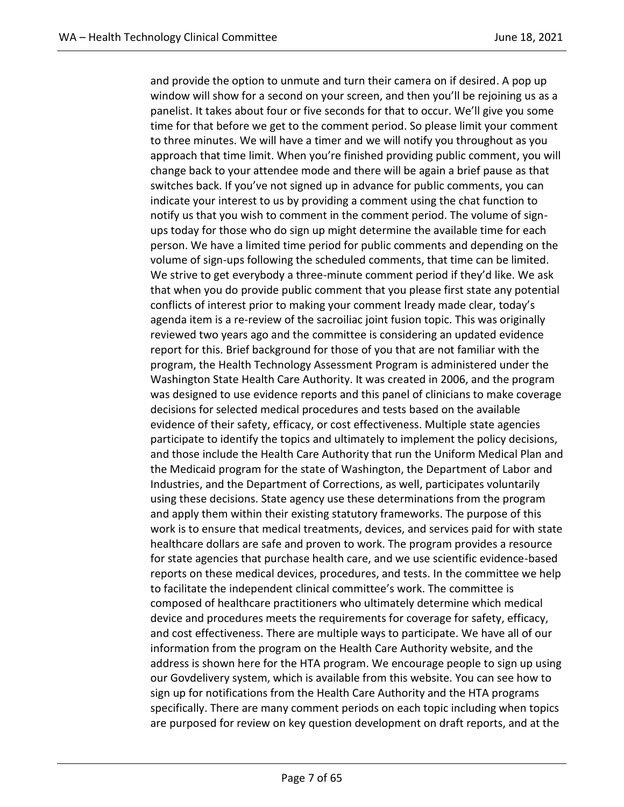and provide the option to unmute and turn their camera on if desired. A pop up window will show for a second on your screen, and then you'll be rejoining us as a panelist. It takes about four or five seconds for that to occur. We'll give you some time for that before we get to the comment period. So please limit your comment to three minutes. We will have a timer and we will notify you throughout as you approach that time limit. When you're finished providing public comment, you will change back to your attendee mode and there will be again a brief pause as that switches back. If you've not signed up in advance for public comments, you can indicate your interest to us by providing a comment using the chat function to notify us that you wish to comment in the comment period. The volume of signups today for those who do sign up might determine the available time for each person. We have a limited time period for public comments and depending on the volume of sign-ups following the scheduled comments, that time can be limited. We strive to get everybody a three-minute comment period if they'd like. We ask that when you do provide public comment that you please first state any potential conflicts of interest prior to making your comment lready made clear, today's agenda item is a re-review of the sacroiliac joint fusion topic. This was originally reviewed two years ago and the committee is considering an updated evidence report for this. Brief background for those of you that are not familiar with the program, the Health Technology Assessment Program is administered under the Washington State Health Care Authority. It was created in 2006, and the program was designed to use evidence reports and this panel of clinicians to make coverage decisions for selected medical procedures and tests based on the available evidence of their safety, efficacy, or cost effectiveness. Multiple state agencies participate to identify the topics and ultimately to implement the policy decisions, and those include the Health Care Authority that run the Uniform Medical Plan and the Medicaid program for the state of Washington, the Department of Labor and Industries, and the Department of Corrections, as well, participates voluntarily using these decisions. State agency use these determinations from the program and apply them within their existing statutory frameworks. The purpose of this work is to ensure that medical treatments, devices, and services paid for with state healthcare dollars are safe and proven to work. The program provides a resource for state agencies that purchase health care, and we use scientific evidence-based reports on these medical devices, procedures, and tests. In the committee we help to facilitate the independent clinical committee's work. The committee is composed of healthcare practitioners who ultimately determine which medical device and procedures meets the requirements for coverage for safety, efficacy, and cost effectiveness. There are multiple ways to participate. We have all of our information from the program on the Health Care Authority website, and the address is shown here for the HTA program. We encourage people to sign up using our Govdelivery system, which is available from this website. You can see how to sign up for notifications from the Health Care Authority and the HTA programs specifically. There are many comment periods on each topic including when topics are purposed for review on key question development on draft reports, and at the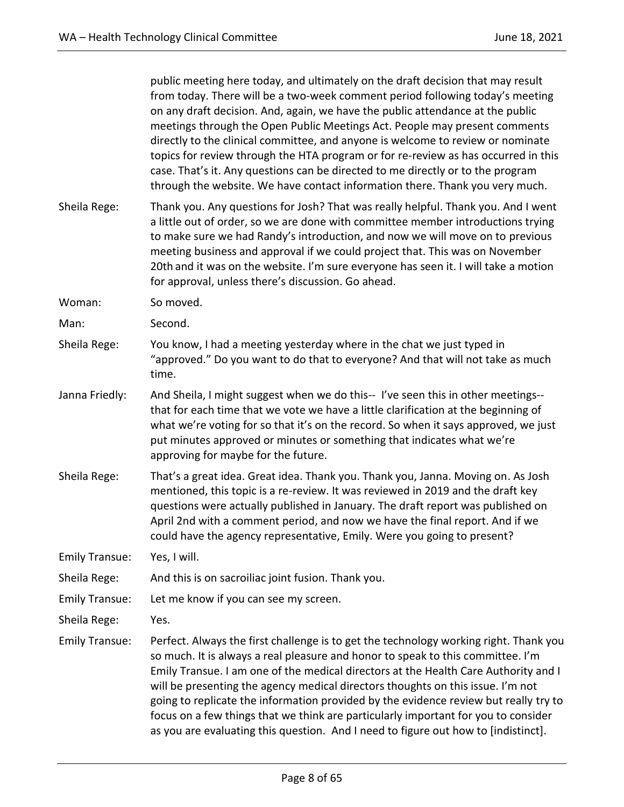|                       | public meeting here today, and ultimately on the draft decision that may result<br>from today. There will be a two-week comment period following today's meeting<br>on any draft decision. And, again, we have the public attendance at the public<br>meetings through the Open Public Meetings Act. People may present comments<br>directly to the clinical committee, and anyone is welcome to review or nominate<br>topics for review through the HTA program or for re-review as has occurred in this<br>case. That's it. Any questions can be directed to me directly or to the program<br>through the website. We have contact information there. Thank you very much. |
|-----------------------|------------------------------------------------------------------------------------------------------------------------------------------------------------------------------------------------------------------------------------------------------------------------------------------------------------------------------------------------------------------------------------------------------------------------------------------------------------------------------------------------------------------------------------------------------------------------------------------------------------------------------------------------------------------------------|
| Sheila Rege:          | Thank you. Any questions for Josh? That was really helpful. Thank you. And I went<br>a little out of order, so we are done with committee member introductions trying<br>to make sure we had Randy's introduction, and now we will move on to previous<br>meeting business and approval if we could project that. This was on November<br>20th and it was on the website. I'm sure everyone has seen it. I will take a motion<br>for approval, unless there's discussion. Go ahead.                                                                                                                                                                                          |
| Woman:                | So moved.                                                                                                                                                                                                                                                                                                                                                                                                                                                                                                                                                                                                                                                                    |
| Man:                  | Second.                                                                                                                                                                                                                                                                                                                                                                                                                                                                                                                                                                                                                                                                      |
| Sheila Rege:          | You know, I had a meeting yesterday where in the chat we just typed in<br>"approved." Do you want to do that to everyone? And that will not take as much<br>time.                                                                                                                                                                                                                                                                                                                                                                                                                                                                                                            |
| Janna Friedly:        | And Sheila, I might suggest when we do this-- I've seen this in other meetings--<br>that for each time that we vote we have a little clarification at the beginning of<br>what we're voting for so that it's on the record. So when it says approved, we just<br>put minutes approved or minutes or something that indicates what we're<br>approving for maybe for the future.                                                                                                                                                                                                                                                                                               |
| Sheila Rege:          | That's a great idea. Great idea. Thank you. Thank you, Janna. Moving on. As Josh<br>mentioned, this topic is a re-review. It was reviewed in 2019 and the draft key<br>questions were actually published in January. The draft report was published on<br>April 2nd with a comment period, and now we have the final report. And if we<br>could have the agency representative, Emily. Were you going to present?                                                                                                                                                                                                                                                            |
| <b>Emily Transue:</b> | Yes, I will.                                                                                                                                                                                                                                                                                                                                                                                                                                                                                                                                                                                                                                                                 |
| Sheila Rege:          | And this is on sacroiliac joint fusion. Thank you.                                                                                                                                                                                                                                                                                                                                                                                                                                                                                                                                                                                                                           |
| <b>Emily Transue:</b> | Let me know if you can see my screen.                                                                                                                                                                                                                                                                                                                                                                                                                                                                                                                                                                                                                                        |
| Sheila Rege:          | Yes.                                                                                                                                                                                                                                                                                                                                                                                                                                                                                                                                                                                                                                                                         |
| <b>Emily Transue:</b> | Perfect. Always the first challenge is to get the technology working right. Thank you<br>so much. It is always a real pleasure and honor to speak to this committee. I'm<br>Emily Transue. I am one of the medical directors at the Health Care Authority and I<br>will be presenting the agency medical directors thoughts on this issue. I'm not<br>going to replicate the information provided by the evidence review but really try to<br>focus on a few things that we think are particularly important for you to consider<br>as you are evaluating this question. And I need to figure out how to [indistinct].                                                       |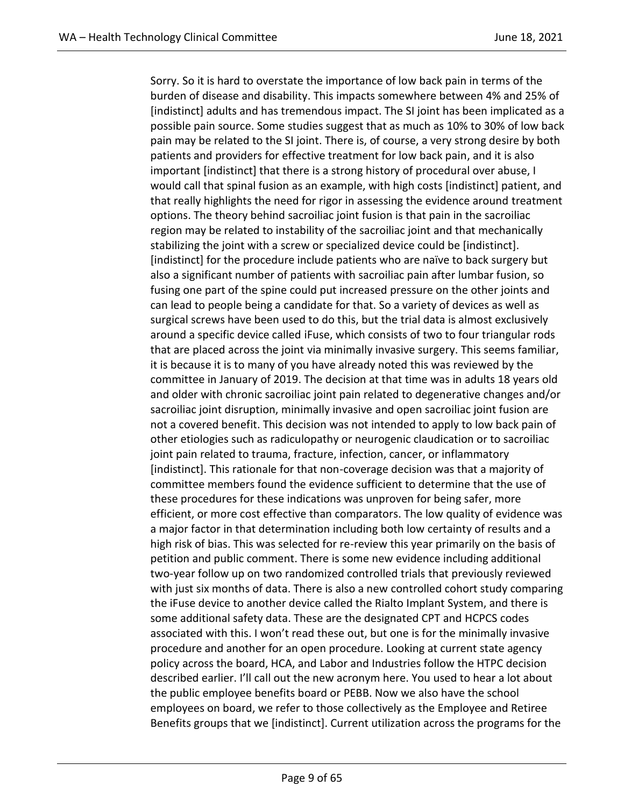Sorry. So it is hard to overstate the importance of low back pain in terms of the burden of disease and disability. This impacts somewhere between 4% and 25% of [indistinct] adults and has tremendous impact. The SI joint has been implicated as a possible pain source. Some studies suggest that as much as 10% to 30% of low back pain may be related to the SI joint. There is, of course, a very strong desire by both patients and providers for effective treatment for low back pain, and it is also important [indistinct] that there is a strong history of procedural over abuse, I would call that spinal fusion as an example, with high costs [indistinct] patient, and that really highlights the need for rigor in assessing the evidence around treatment options. The theory behind sacroiliac joint fusion is that pain in the sacroiliac region may be related to instability of the sacroiliac joint and that mechanically stabilizing the joint with a screw or specialized device could be [indistinct]. [indistinct] for the procedure include patients who are naïve to back surgery but also a significant number of patients with sacroiliac pain after lumbar fusion, so fusing one part of the spine could put increased pressure on the other joints and can lead to people being a candidate for that. So a variety of devices as well as surgical screws have been used to do this, but the trial data is almost exclusively around a specific device called iFuse, which consists of two to four triangular rods that are placed across the joint via minimally invasive surgery. This seems familiar, it is because it is to many of you have already noted this was reviewed by the committee in January of 2019. The decision at that time was in adults 18 years old and older with chronic sacroiliac joint pain related to degenerative changes and/or sacroiliac joint disruption, minimally invasive and open sacroiliac joint fusion are not a covered benefit. This decision was not intended to apply to low back pain of other etiologies such as radiculopathy or neurogenic claudication or to sacroiliac joint pain related to trauma, fracture, infection, cancer, or inflammatory [indistinct]. This rationale for that non-coverage decision was that a majority of committee members found the evidence sufficient to determine that the use of these procedures for these indications was unproven for being safer, more efficient, or more cost effective than comparators. The low quality of evidence was a major factor in that determination including both low certainty of results and a high risk of bias. This was selected for re-review this year primarily on the basis of petition and public comment. There is some new evidence including additional two-year follow up on two randomized controlled trials that previously reviewed with just six months of data. There is also a new controlled cohort study comparing the iFuse device to another device called the Rialto Implant System, and there is some additional safety data. These are the designated CPT and HCPCS codes associated with this. I won't read these out, but one is for the minimally invasive procedure and another for an open procedure. Looking at current state agency policy across the board, HCA, and Labor and Industries follow the HTPC decision described earlier. I'll call out the new acronym here. You used to hear a lot about the public employee benefits board or PEBB. Now we also have the school employees on board, we refer to those collectively as the Employee and Retiree Benefits groups that we [indistinct]. Current utilization across the programs for the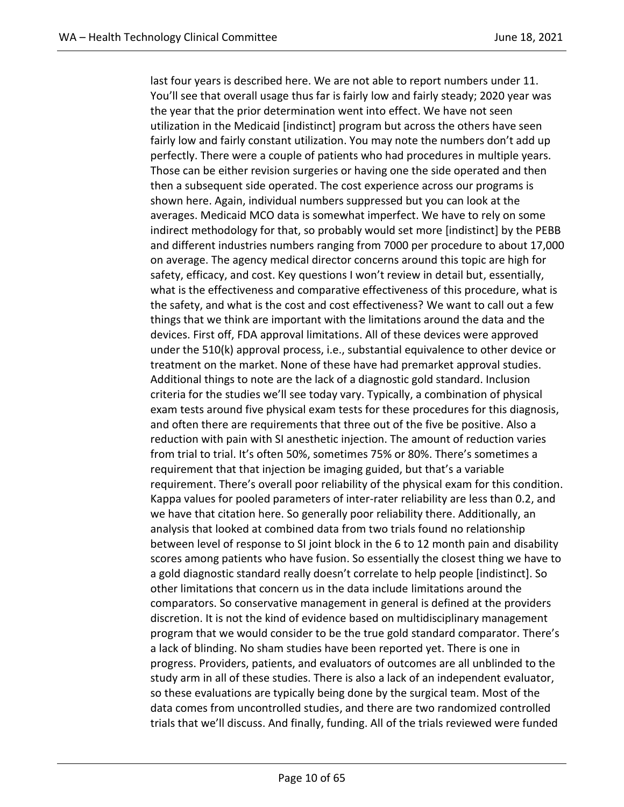last four years is described here. We are not able to report numbers under 11. You'll see that overall usage thus far is fairly low and fairly steady; 2020 year was the year that the prior determination went into effect. We have not seen utilization in the Medicaid [indistinct] program but across the others have seen fairly low and fairly constant utilization. You may note the numbers don't add up perfectly. There were a couple of patients who had procedures in multiple years. Those can be either revision surgeries or having one the side operated and then then a subsequent side operated. The cost experience across our programs is shown here. Again, individual numbers suppressed but you can look at the averages. Medicaid MCO data is somewhat imperfect. We have to rely on some indirect methodology for that, so probably would set more [indistinct] by the PEBB and different industries numbers ranging from 7000 per procedure to about 17,000 on average. The agency medical director concerns around this topic are high for safety, efficacy, and cost. Key questions I won't review in detail but, essentially, what is the effectiveness and comparative effectiveness of this procedure, what is the safety, and what is the cost and cost effectiveness? We want to call out a few things that we think are important with the limitations around the data and the devices. First off, FDA approval limitations. All of these devices were approved under the 510(k) approval process, i.e., substantial equivalence to other device or treatment on the market. None of these have had premarket approval studies. Additional things to note are the lack of a diagnostic gold standard. Inclusion criteria for the studies we'll see today vary. Typically, a combination of physical exam tests around five physical exam tests for these procedures for this diagnosis, and often there are requirements that three out of the five be positive. Also a reduction with pain with SI anesthetic injection. The amount of reduction varies from trial to trial. It's often 50%, sometimes 75% or 80%. There's sometimes a requirement that that injection be imaging guided, but that's a variable requirement. There's overall poor reliability of the physical exam for this condition. Kappa values for pooled parameters of inter-rater reliability are less than 0.2, and we have that citation here. So generally poor reliability there. Additionally, an analysis that looked at combined data from two trials found no relationship between level of response to SI joint block in the 6 to 12 month pain and disability scores among patients who have fusion. So essentially the closest thing we have to a gold diagnostic standard really doesn't correlate to help people [indistinct]. So other limitations that concern us in the data include limitations around the comparators. So conservative management in general is defined at the providers discretion. It is not the kind of evidence based on multidisciplinary management program that we would consider to be the true gold standard comparator. There's a lack of blinding. No sham studies have been reported yet. There is one in progress. Providers, patients, and evaluators of outcomes are all unblinded to the study arm in all of these studies. There is also a lack of an independent evaluator, so these evaluations are typically being done by the surgical team. Most of the data comes from uncontrolled studies, and there are two randomized controlled trials that we'll discuss. And finally, funding. All of the trials reviewed were funded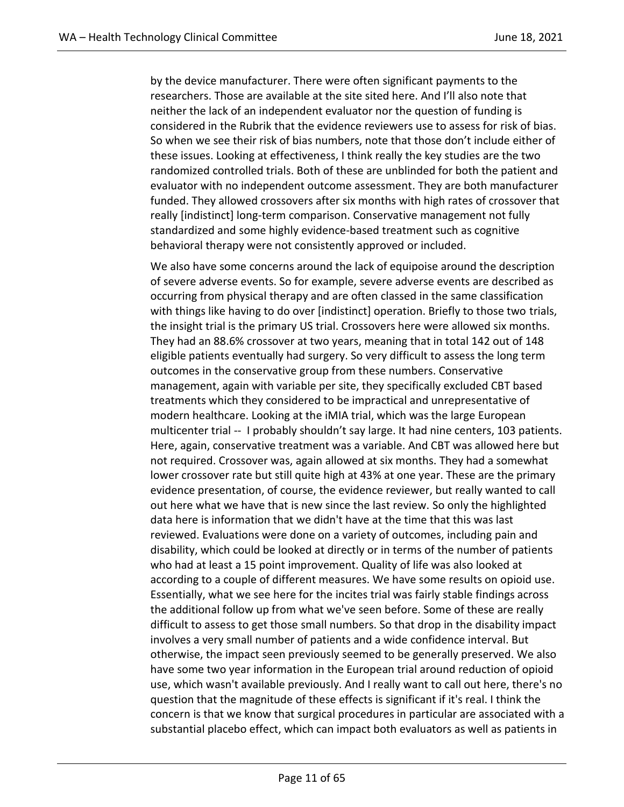by the device manufacturer. There were often significant payments to the researchers. Those are available at the site sited here. And I'll also note that neither the lack of an independent evaluator nor the question of funding is considered in the Rubrik that the evidence reviewers use to assess for risk of bias. So when we see their risk of bias numbers, note that those don't include either of these issues. Looking at effectiveness, I think really the key studies are the two randomized controlled trials. Both of these are unblinded for both the patient and evaluator with no independent outcome assessment. They are both manufacturer funded. They allowed crossovers after six months with high rates of crossover that really [indistinct] long-term comparison. Conservative management not fully standardized and some highly evidence-based treatment such as cognitive behavioral therapy were not consistently approved or included.

We also have some concerns around the lack of equipoise around the description of severe adverse events. So for example, severe adverse events are described as occurring from physical therapy and are often classed in the same classification with things like having to do over [indistinct] operation. Briefly to those two trials, the insight trial is the primary US trial. Crossovers here were allowed six months. They had an 88.6% crossover at two years, meaning that in total 142 out of 148 eligible patients eventually had surgery. So very difficult to assess the long term outcomes in the conservative group from these numbers. Conservative management, again with variable per site, they specifically excluded CBT based treatments which they considered to be impractical and unrepresentative of modern healthcare. Looking at the iMIA trial, which was the large European multicenter trial -- I probably shouldn't say large. It had nine centers, 103 patients. Here, again, conservative treatment was a variable. And CBT was allowed here but not required. Crossover was, again allowed at six months. They had a somewhat lower crossover rate but still quite high at 43% at one year. These are the primary evidence presentation, of course, the evidence reviewer, but really wanted to call out here what we have that is new since the last review. So only the highlighted data here is information that we didn't have at the time that this was last reviewed. Evaluations were done on a variety of outcomes, including pain and disability, which could be looked at directly or in terms of the number of patients who had at least a 15 point improvement. Quality of life was also looked at according to a couple of different measures. We have some results on opioid use. Essentially, what we see here for the incites trial was fairly stable findings across the additional follow up from what we've seen before. Some of these are really difficult to assess to get those small numbers. So that drop in the disability impact involves a very small number of patients and a wide confidence interval. But otherwise, the impact seen previously seemed to be generally preserved. We also have some two year information in the European trial around reduction of opioid use, which wasn't available previously. And I really want to call out here, there's no question that the magnitude of these effects is significant if it's real. I think the concern is that we know that surgical procedures in particular are associated with a substantial placebo effect, which can impact both evaluators as well as patients in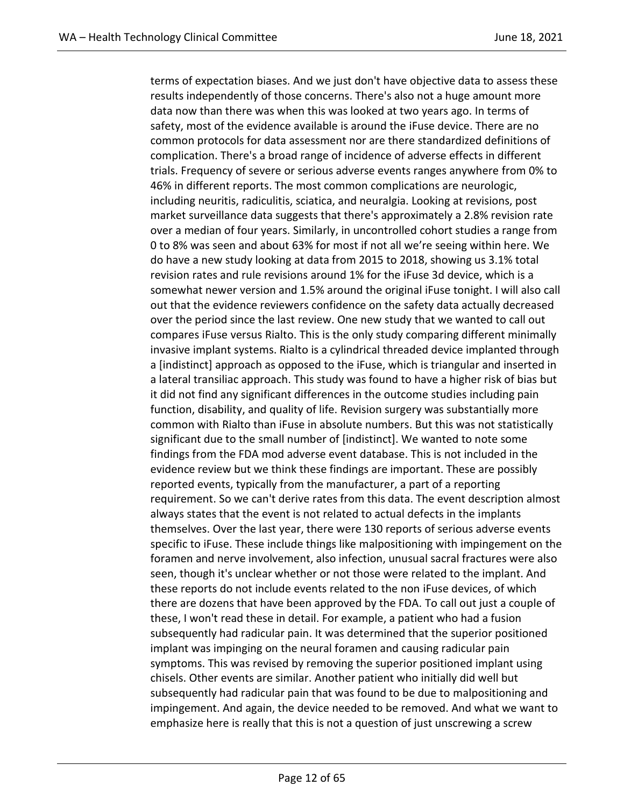terms of expectation biases. And we just don't have objective data to assess these results independently of those concerns. There's also not a huge amount more data now than there was when this was looked at two years ago. In terms of safety, most of the evidence available is around the iFuse device. There are no common protocols for data assessment nor are there standardized definitions of complication. There's a broad range of incidence of adverse effects in different trials. Frequency of severe or serious adverse events ranges anywhere from 0% to 46% in different reports. The most common complications are neurologic, including neuritis, radiculitis, sciatica, and neuralgia. Looking at revisions, post market surveillance data suggests that there's approximately a 2.8% revision rate over a median of four years. Similarly, in uncontrolled cohort studies a range from 0 to 8% was seen and about 63% for most if not all we're seeing within here. We do have a new study looking at data from 2015 to 2018, showing us 3.1% total revision rates and rule revisions around 1% for the iFuse 3d device, which is a somewhat newer version and 1.5% around the original iFuse tonight. I will also call out that the evidence reviewers confidence on the safety data actually decreased over the period since the last review. One new study that we wanted to call out compares iFuse versus Rialto. This is the only study comparing different minimally invasive implant systems. Rialto is a cylindrical threaded device implanted through a [indistinct] approach as opposed to the iFuse, which is triangular and inserted in a lateral transiliac approach. This study was found to have a higher risk of bias but it did not find any significant differences in the outcome studies including pain function, disability, and quality of life. Revision surgery was substantially more common with Rialto than iFuse in absolute numbers. But this was not statistically significant due to the small number of [indistinct]. We wanted to note some findings from the FDA mod adverse event database. This is not included in the evidence review but we think these findings are important. These are possibly reported events, typically from the manufacturer, a part of a reporting requirement. So we can't derive rates from this data. The event description almost always states that the event is not related to actual defects in the implants themselves. Over the last year, there were 130 reports of serious adverse events specific to iFuse. These include things like malpositioning with impingement on the foramen and nerve involvement, also infection, unusual sacral fractures were also seen, though it's unclear whether or not those were related to the implant. And these reports do not include events related to the non iFuse devices, of which there are dozens that have been approved by the FDA. To call out just a couple of these, I won't read these in detail. For example, a patient who had a fusion subsequently had radicular pain. It was determined that the superior positioned implant was impinging on the neural foramen and causing radicular pain symptoms. This was revised by removing the superior positioned implant using chisels. Other events are similar. Another patient who initially did well but subsequently had radicular pain that was found to be due to malpositioning and impingement. And again, the device needed to be removed. And what we want to emphasize here is really that this is not a question of just unscrewing a screw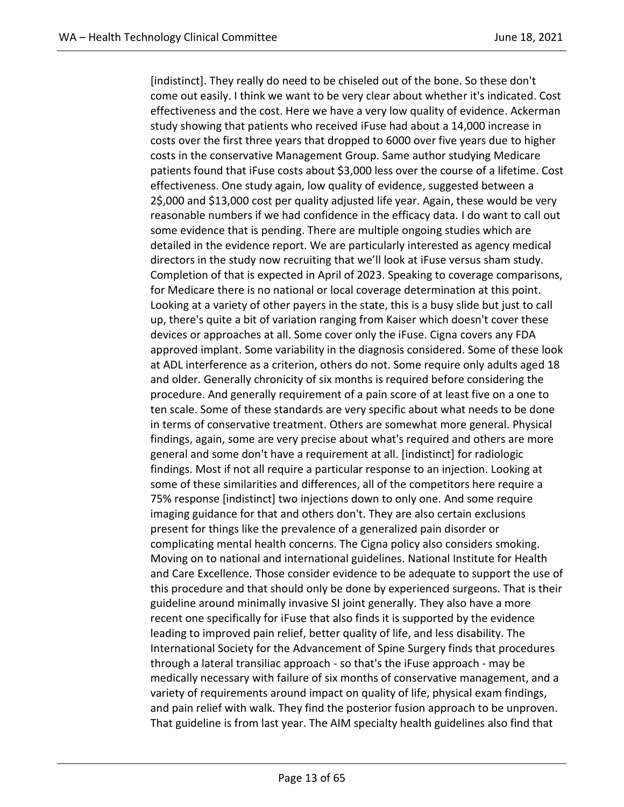[indistinct]. They really do need to be chiseled out of the bone. So these don't come out easily. I think we want to be very clear about whether it's indicated. Cost effectiveness and the cost. Here we have a very low quality of evidence. Ackerman study showing that patients who received iFuse had about a 14,000 increase in costs over the first three years that dropped to 6000 over five years due to higher costs in the conservative Management Group. Same author studying Medicare patients found that iFuse costs about \$3,000 less over the course of a lifetime. Cost effectiveness. One study again, low quality of evidence, suggested between a 2\$,000 and \$13,000 cost per quality adjusted life year. Again, these would be very reasonable numbers if we had confidence in the efficacy data. I do want to call out some evidence that is pending. There are multiple ongoing studies which are detailed in the evidence report. We are particularly interested as agency medical directors in the study now recruiting that we'll look at iFuse versus sham study. Completion of that is expected in April of 2023. Speaking to coverage comparisons, for Medicare there is no national or local coverage determination at this point. Looking at a variety of other payers in the state, this is a busy slide but just to call up, there's quite a bit of variation ranging from Kaiser which doesn't cover these devices or approaches at all. Some cover only the iFuse. Cigna covers any FDA approved implant. Some variability in the diagnosis considered. Some of these look at ADL interference as a criterion, others do not. Some require only adults aged 18 and older. Generally chronicity of six months is required before considering the procedure. And generally requirement of a pain score of at least five on a one to ten scale. Some of these standards are very specific about what needs to be done in terms of conservative treatment. Others are somewhat more general. Physical findings, again, some are very precise about what's required and others are more general and some don't have a requirement at all. [indistinct] for radiologic findings. Most if not all require a particular response to an injection. Looking at some of these similarities and differences, all of the competitors here require a 75% response [indistinct] two injections down to only one. And some require imaging guidance for that and others don't. They are also certain exclusions present for things like the prevalence of a generalized pain disorder or complicating mental health concerns. The Cigna policy also considers smoking. Moving on to national and international guidelines. National Institute for Health and Care Excellence. Those consider evidence to be adequate to support the use of this procedure and that should only be done by experienced surgeons. That is their guideline around minimally invasive SI joint generally. They also have a more recent one specifically for iFuse that also finds it is supported by the evidence leading to improved pain relief, better quality of life, and less disability. The International Society for the Advancement of Spine Surgery finds that procedures through a lateral transiliac approach - so that's the iFuse approach - may be medically necessary with failure of six months of conservative management, and a variety of requirements around impact on quality of life, physical exam findings, and pain relief with walk. They find the posterior fusion approach to be unproven. That guideline is from last year. The AIM specialty health guidelines also find that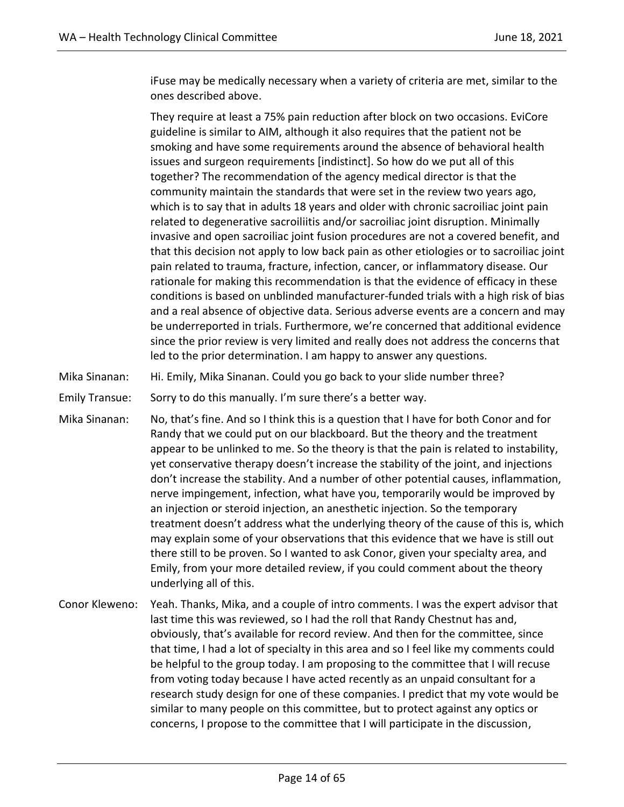iFuse may be medically necessary when a variety of criteria are met, similar to the ones described above.

They require at least a 75% pain reduction after block on two occasions. EviCore guideline is similar to AIM, although it also requires that the patient not be smoking and have some requirements around the absence of behavioral health issues and surgeon requirements [indistinct]. So how do we put all of this together? The recommendation of the agency medical director is that the community maintain the standards that were set in the review two years ago, which is to say that in adults 18 years and older with chronic sacroiliac joint pain related to degenerative sacroiliitis and/or sacroiliac joint disruption. Minimally invasive and open sacroiliac joint fusion procedures are not a covered benefit, and that this decision not apply to low back pain as other etiologies or to sacroiliac joint pain related to trauma, fracture, infection, cancer, or inflammatory disease. Our rationale for making this recommendation is that the evidence of efficacy in these conditions is based on unblinded manufacturer-funded trials with a high risk of bias and a real absence of objective data. Serious adverse events are a concern and may be underreported in trials. Furthermore, we're concerned that additional evidence since the prior review is very limited and really does not address the concerns that led to the prior determination. I am happy to answer any questions.

Mika Sinanan: Hi. Emily, Mika Sinanan. Could you go back to your slide number three?

Emily Transue: Sorry to do this manually. I'm sure there's a better way.

- Mika Sinanan: No, that's fine. And so I think this is a question that I have for both Conor and for Randy that we could put on our blackboard. But the theory and the treatment appear to be unlinked to me. So the theory is that the pain is related to instability, yet conservative therapy doesn't increase the stability of the joint, and injections don't increase the stability. And a number of other potential causes, inflammation, nerve impingement, infection, what have you, temporarily would be improved by an injection or steroid injection, an anesthetic injection. So the temporary treatment doesn't address what the underlying theory of the cause of this is, which may explain some of your observations that this evidence that we have is still out there still to be proven. So I wanted to ask Conor, given your specialty area, and Emily, from your more detailed review, if you could comment about the theory underlying all of this.
- Conor Kleweno: Yeah. Thanks, Mika, and a couple of intro comments. I was the expert advisor that last time this was reviewed, so I had the roll that Randy Chestnut has and, obviously, that's available for record review. And then for the committee, since that time, I had a lot of specialty in this area and so I feel like my comments could be helpful to the group today. I am proposing to the committee that I will recuse from voting today because I have acted recently as an unpaid consultant for a research study design for one of these companies. I predict that my vote would be similar to many people on this committee, but to protect against any optics or concerns, I propose to the committee that I will participate in the discussion,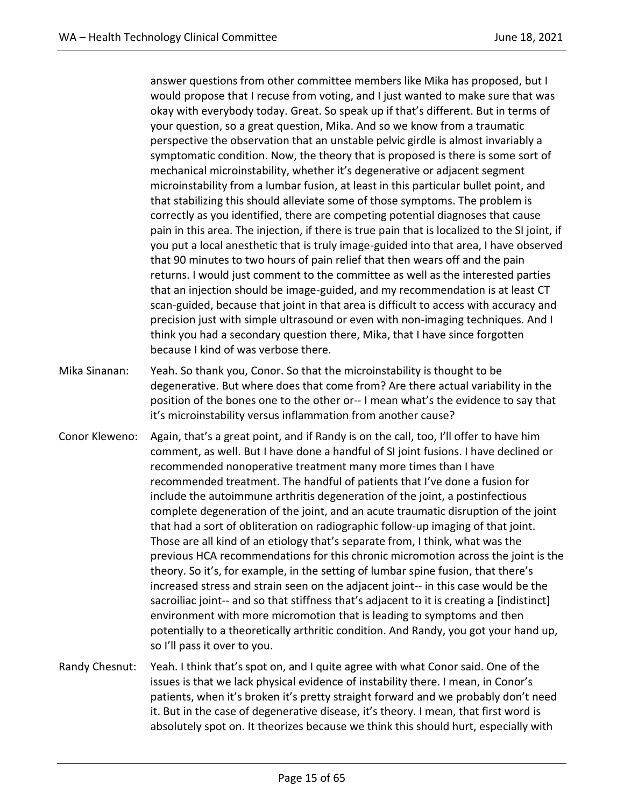answer questions from other committee members like Mika has proposed, but I would propose that I recuse from voting, and I just wanted to make sure that was okay with everybody today. Great. So speak up if that's different. But in terms of your question, so a great question, Mika. And so we know from a traumatic perspective the observation that an unstable pelvic girdle is almost invariably a symptomatic condition. Now, the theory that is proposed is there is some sort of mechanical microinstability, whether it's degenerative or adjacent segment microinstability from a lumbar fusion, at least in this particular bullet point, and that stabilizing this should alleviate some of those symptoms. The problem is correctly as you identified, there are competing potential diagnoses that cause pain in this area. The injection, if there is true pain that is localized to the SI joint, if you put a local anesthetic that is truly image-guided into that area, I have observed that 90 minutes to two hours of pain relief that then wears off and the pain returns. I would just comment to the committee as well as the interested parties that an injection should be image-guided, and my recommendation is at least CT scan-guided, because that joint in that area is difficult to access with accuracy and precision just with simple ultrasound or even with non-imaging techniques. And I think you had a secondary question there, Mika, that I have since forgotten because I kind of was verbose there.

- Mika Sinanan: Yeah. So thank you, Conor. So that the microinstability is thought to be degenerative. But where does that come from? Are there actual variability in the position of the bones one to the other or-- I mean what's the evidence to say that it's microinstability versus inflammation from another cause?
- Conor Kleweno: Again, that's a great point, and if Randy is on the call, too, I'll offer to have him comment, as well. But I have done a handful of SI joint fusions. I have declined or recommended nonoperative treatment many more times than I have recommended treatment. The handful of patients that I've done a fusion for include the autoimmune arthritis degeneration of the joint, a postinfectious complete degeneration of the joint, and an acute traumatic disruption of the joint that had a sort of obliteration on radiographic follow-up imaging of that joint. Those are all kind of an etiology that's separate from, I think, what was the previous HCA recommendations for this chronic micromotion across the joint is the theory. So it's, for example, in the setting of lumbar spine fusion, that there's increased stress and strain seen on the adjacent joint-- in this case would be the sacroiliac joint-- and so that stiffness that's adjacent to it is creating a [indistinct] environment with more micromotion that is leading to symptoms and then potentially to a theoretically arthritic condition. And Randy, you got your hand up, so I'll pass it over to you.
- Randy Chesnut: Yeah. I think that's spot on, and I quite agree with what Conor said. One of the issues is that we lack physical evidence of instability there. I mean, in Conor's patients, when it's broken it's pretty straight forward and we probably don't need it. But in the case of degenerative disease, it's theory. I mean, that first word is absolutely spot on. It theorizes because we think this should hurt, especially with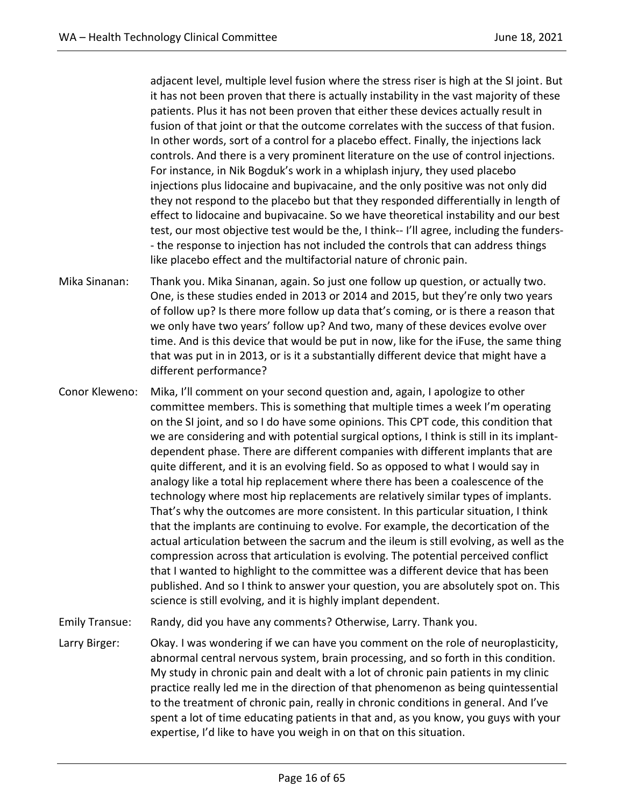adjacent level, multiple level fusion where the stress riser is high at the SI joint. But it has not been proven that there is actually instability in the vast majority of these patients. Plus it has not been proven that either these devices actually result in fusion of that joint or that the outcome correlates with the success of that fusion. In other words, sort of a control for a placebo effect. Finally, the injections lack controls. And there is a very prominent literature on the use of control injections. For instance, in Nik Bogduk's work in a whiplash injury, they used placebo injections plus lidocaine and bupivacaine, and the only positive was not only did they not respond to the placebo but that they responded differentially in length of effect to lidocaine and bupivacaine. So we have theoretical instability and our best test, our most objective test would be the, I think-- I'll agree, including the funders- - the response to injection has not included the controls that can address things like placebo effect and the multifactorial nature of chronic pain.

- Mika Sinanan: Thank you. Mika Sinanan, again. So just one follow up question, or actually two. One, is these studies ended in 2013 or 2014 and 2015, but they're only two years of follow up? Is there more follow up data that's coming, or is there a reason that we only have two years' follow up? And two, many of these devices evolve over time. And is this device that would be put in now, like for the iFuse, the same thing that was put in in 2013, or is it a substantially different device that might have a different performance?
- Conor Kleweno: Mika, I'll comment on your second question and, again, I apologize to other committee members. This is something that multiple times a week I'm operating on the SI joint, and so I do have some opinions. This CPT code, this condition that we are considering and with potential surgical options, I think is still in its implantdependent phase. There are different companies with different implants that are quite different, and it is an evolving field. So as opposed to what I would say in analogy like a total hip replacement where there has been a coalescence of the technology where most hip replacements are relatively similar types of implants. That's why the outcomes are more consistent. In this particular situation, I think that the implants are continuing to evolve. For example, the decortication of the actual articulation between the sacrum and the ileum is still evolving, as well as the compression across that articulation is evolving. The potential perceived conflict that I wanted to highlight to the committee was a different device that has been published. And so I think to answer your question, you are absolutely spot on. This science is still evolving, and it is highly implant dependent.

Emily Transue: Randy, did you have any comments? Otherwise, Larry. Thank you.

Larry Birger: Okay. I was wondering if we can have you comment on the role of neuroplasticity, abnormal central nervous system, brain processing, and so forth in this condition. My study in chronic pain and dealt with a lot of chronic pain patients in my clinic practice really led me in the direction of that phenomenon as being quintessential to the treatment of chronic pain, really in chronic conditions in general. And I've spent a lot of time educating patients in that and, as you know, you guys with your expertise, I'd like to have you weigh in on that on this situation.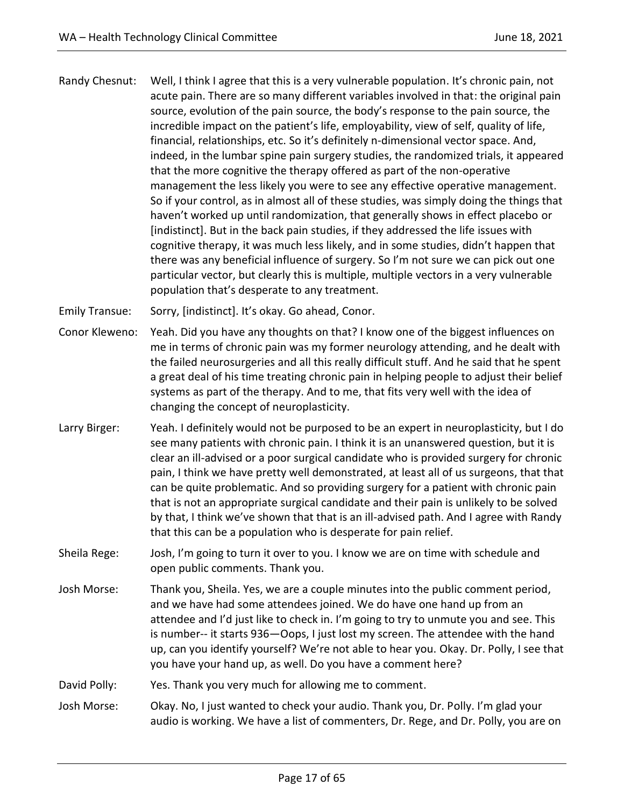Randy Chesnut: Well, I think I agree that this is a very vulnerable population. It's chronic pain, not acute pain. There are so many different variables involved in that: the original pain source, evolution of the pain source, the body's response to the pain source, the incredible impact on the patient's life, employability, view of self, quality of life, financial, relationships, etc. So it's definitely n-dimensional vector space. And, indeed, in the lumbar spine pain surgery studies, the randomized trials, it appeared that the more cognitive the therapy offered as part of the non-operative management the less likely you were to see any effective operative management. So if your control, as in almost all of these studies, was simply doing the things that haven't worked up until randomization, that generally shows in effect placebo or [indistinct]. But in the back pain studies, if they addressed the life issues with cognitive therapy, it was much less likely, and in some studies, didn't happen that there was any beneficial influence of surgery. So I'm not sure we can pick out one particular vector, but clearly this is multiple, multiple vectors in a very vulnerable population that's desperate to any treatment.

Emily Transue: Sorry, [indistinct]. It's okay. Go ahead, Conor.

- Conor Kleweno: Yeah. Did you have any thoughts on that? I know one of the biggest influences on me in terms of chronic pain was my former neurology attending, and he dealt with the failed neurosurgeries and all this really difficult stuff. And he said that he spent a great deal of his time treating chronic pain in helping people to adjust their belief systems as part of the therapy. And to me, that fits very well with the idea of changing the concept of neuroplasticity.
- Larry Birger: Yeah. I definitely would not be purposed to be an expert in neuroplasticity, but I do see many patients with chronic pain. I think it is an unanswered question, but it is clear an ill-advised or a poor surgical candidate who is provided surgery for chronic pain, I think we have pretty well demonstrated, at least all of us surgeons, that that can be quite problematic. And so providing surgery for a patient with chronic pain that is not an appropriate surgical candidate and their pain is unlikely to be solved by that, I think we've shown that that is an ill-advised path. And I agree with Randy that this can be a population who is desperate for pain relief.
- Sheila Rege: Josh, I'm going to turn it over to you. I know we are on time with schedule and open public comments. Thank you.
- Josh Morse: Thank you, Sheila. Yes, we are a couple minutes into the public comment period, and we have had some attendees joined. We do have one hand up from an attendee and I'd just like to check in. I'm going to try to unmute you and see. This is number-- it starts 936—Oops, I just lost my screen. The attendee with the hand up, can you identify yourself? We're not able to hear you. Okay. Dr. Polly, I see that you have your hand up, as well. Do you have a comment here?

David Polly: Yes. Thank you very much for allowing me to comment.

Josh Morse: Okay. No, I just wanted to check your audio. Thank you, Dr. Polly. I'm glad your audio is working. We have a list of commenters, Dr. Rege, and Dr. Polly, you are on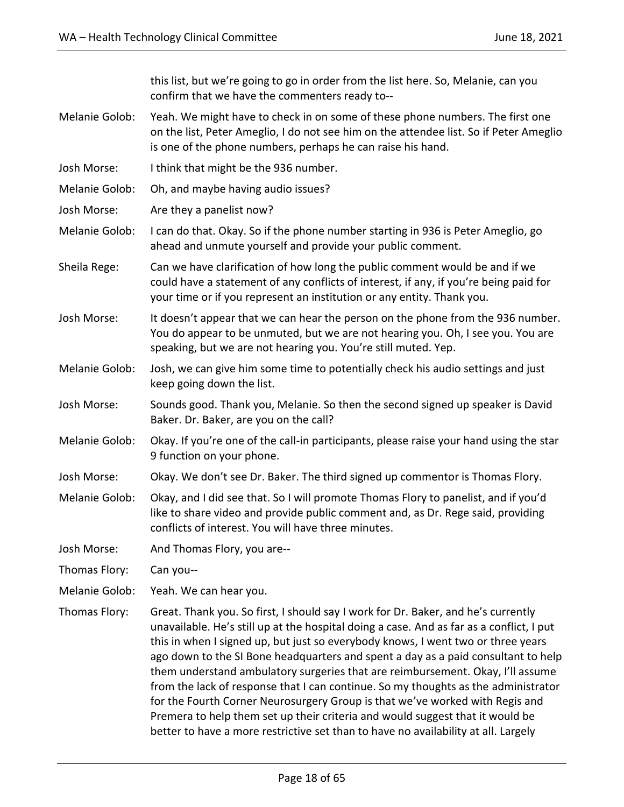this list, but we're going to go in order from the list here. So, Melanie, can you confirm that we have the commenters ready to--

- Melanie Golob: Yeah. We might have to check in on some of these phone numbers. The first one on the list, Peter Ameglio, I do not see him on the attendee list. So if Peter Ameglio is one of the phone numbers, perhaps he can raise his hand.
- Josh Morse: I think that might be the 936 number.
- Melanie Golob: Oh, and maybe having audio issues?
- Josh Morse: Are they a panelist now?
- Melanie Golob: I can do that. Okay. So if the phone number starting in 936 is Peter Ameglio, go ahead and unmute yourself and provide your public comment.
- Sheila Rege: Can we have clarification of how long the public comment would be and if we could have a statement of any conflicts of interest, if any, if you're being paid for your time or if you represent an institution or any entity. Thank you.
- Josh Morse: It doesn't appear that we can hear the person on the phone from the 936 number. You do appear to be unmuted, but we are not hearing you. Oh, I see you. You are speaking, but we are not hearing you. You're still muted. Yep.
- Melanie Golob: Josh, we can give him some time to potentially check his audio settings and just keep going down the list.
- Josh Morse: Sounds good. Thank you, Melanie. So then the second signed up speaker is David Baker. Dr. Baker, are you on the call?
- Melanie Golob: Okay. If you're one of the call-in participants, please raise your hand using the star 9 function on your phone.
- Josh Morse: Okay. We don't see Dr. Baker. The third signed up commentor is Thomas Flory.
- Melanie Golob: Okay, and I did see that. So I will promote Thomas Flory to panelist, and if you'd like to share video and provide public comment and, as Dr. Rege said, providing conflicts of interest. You will have three minutes.
- Josh Morse: And Thomas Flory, you are--
- Thomas Flory: Can you--
- Melanie Golob: Yeah. We can hear you.
- Thomas Flory: Great. Thank you. So first, I should say I work for Dr. Baker, and he's currently unavailable. He's still up at the hospital doing a case. And as far as a conflict, I put this in when I signed up, but just so everybody knows, I went two or three years ago down to the SI Bone headquarters and spent a day as a paid consultant to help them understand ambulatory surgeries that are reimbursement. Okay, I'll assume from the lack of response that I can continue. So my thoughts as the administrator for the Fourth Corner Neurosurgery Group is that we've worked with Regis and Premera to help them set up their criteria and would suggest that it would be better to have a more restrictive set than to have no availability at all. Largely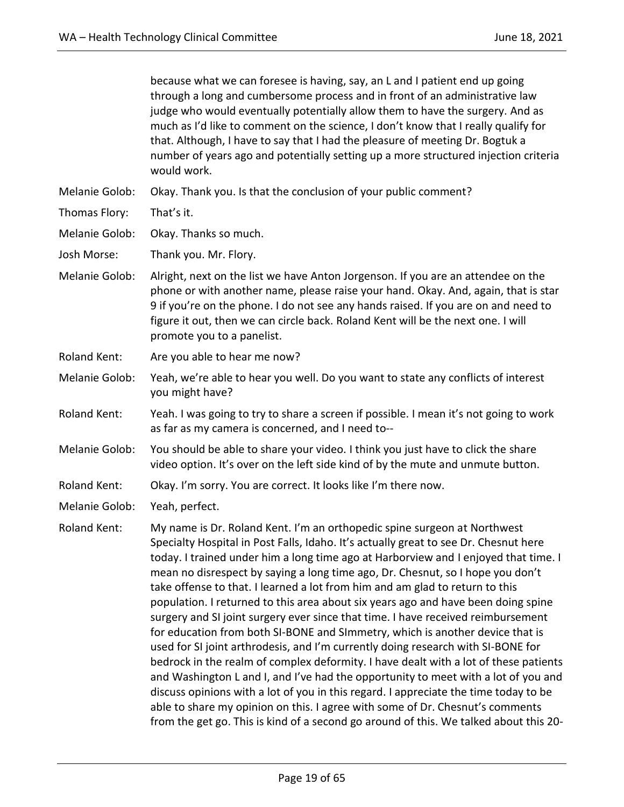|                     | because what we can foresee is having, say, an L and I patient end up going<br>through a long and cumbersome process and in front of an administrative law<br>judge who would eventually potentially allow them to have the surgery. And as<br>much as I'd like to comment on the science, I don't know that I really qualify for<br>that. Although, I have to say that I had the pleasure of meeting Dr. Bogtuk a<br>number of years ago and potentially setting up a more structured injection criteria<br>would work.                                                                                                                                                                                                                                                                                                                                                                                                                                                                                                                                                                                                                                                                                                |
|---------------------|-------------------------------------------------------------------------------------------------------------------------------------------------------------------------------------------------------------------------------------------------------------------------------------------------------------------------------------------------------------------------------------------------------------------------------------------------------------------------------------------------------------------------------------------------------------------------------------------------------------------------------------------------------------------------------------------------------------------------------------------------------------------------------------------------------------------------------------------------------------------------------------------------------------------------------------------------------------------------------------------------------------------------------------------------------------------------------------------------------------------------------------------------------------------------------------------------------------------------|
| Melanie Golob:      | Okay. Thank you. Is that the conclusion of your public comment?                                                                                                                                                                                                                                                                                                                                                                                                                                                                                                                                                                                                                                                                                                                                                                                                                                                                                                                                                                                                                                                                                                                                                         |
| Thomas Flory:       | That's it.                                                                                                                                                                                                                                                                                                                                                                                                                                                                                                                                                                                                                                                                                                                                                                                                                                                                                                                                                                                                                                                                                                                                                                                                              |
| Melanie Golob:      | Okay. Thanks so much.                                                                                                                                                                                                                                                                                                                                                                                                                                                                                                                                                                                                                                                                                                                                                                                                                                                                                                                                                                                                                                                                                                                                                                                                   |
| Josh Morse:         | Thank you. Mr. Flory.                                                                                                                                                                                                                                                                                                                                                                                                                                                                                                                                                                                                                                                                                                                                                                                                                                                                                                                                                                                                                                                                                                                                                                                                   |
| Melanie Golob:      | Alright, next on the list we have Anton Jorgenson. If you are an attendee on the<br>phone or with another name, please raise your hand. Okay. And, again, that is star<br>9 if you're on the phone. I do not see any hands raised. If you are on and need to<br>figure it out, then we can circle back. Roland Kent will be the next one. I will<br>promote you to a panelist.                                                                                                                                                                                                                                                                                                                                                                                                                                                                                                                                                                                                                                                                                                                                                                                                                                          |
| <b>Roland Kent:</b> | Are you able to hear me now?                                                                                                                                                                                                                                                                                                                                                                                                                                                                                                                                                                                                                                                                                                                                                                                                                                                                                                                                                                                                                                                                                                                                                                                            |
| Melanie Golob:      | Yeah, we're able to hear you well. Do you want to state any conflicts of interest<br>you might have?                                                                                                                                                                                                                                                                                                                                                                                                                                                                                                                                                                                                                                                                                                                                                                                                                                                                                                                                                                                                                                                                                                                    |
| Roland Kent:        | Yeah. I was going to try to share a screen if possible. I mean it's not going to work<br>as far as my camera is concerned, and I need to--                                                                                                                                                                                                                                                                                                                                                                                                                                                                                                                                                                                                                                                                                                                                                                                                                                                                                                                                                                                                                                                                              |
| Melanie Golob:      | You should be able to share your video. I think you just have to click the share<br>video option. It's over on the left side kind of by the mute and unmute button.                                                                                                                                                                                                                                                                                                                                                                                                                                                                                                                                                                                                                                                                                                                                                                                                                                                                                                                                                                                                                                                     |
| <b>Roland Kent:</b> | Okay. I'm sorry. You are correct. It looks like I'm there now.                                                                                                                                                                                                                                                                                                                                                                                                                                                                                                                                                                                                                                                                                                                                                                                                                                                                                                                                                                                                                                                                                                                                                          |
| Melanie Golob:      | Yeah, perfect.                                                                                                                                                                                                                                                                                                                                                                                                                                                                                                                                                                                                                                                                                                                                                                                                                                                                                                                                                                                                                                                                                                                                                                                                          |
| Roland Kent:        | My name is Dr. Roland Kent. I'm an orthopedic spine surgeon at Northwest<br>Specialty Hospital in Post Falls, Idaho. It's actually great to see Dr. Chesnut here<br>today. I trained under him a long time ago at Harborview and I enjoyed that time. I<br>mean no disrespect by saying a long time ago, Dr. Chesnut, so I hope you don't<br>take offense to that. I learned a lot from him and am glad to return to this<br>population. I returned to this area about six years ago and have been doing spine<br>surgery and SI joint surgery ever since that time. I have received reimbursement<br>for education from both SI-BONE and SImmetry, which is another device that is<br>used for SI joint arthrodesis, and I'm currently doing research with SI-BONE for<br>bedrock in the realm of complex deformity. I have dealt with a lot of these patients<br>and Washington L and I, and I've had the opportunity to meet with a lot of you and<br>discuss opinions with a lot of you in this regard. I appreciate the time today to be<br>able to share my opinion on this. I agree with some of Dr. Chesnut's comments<br>from the get go. This is kind of a second go around of this. We talked about this 20- |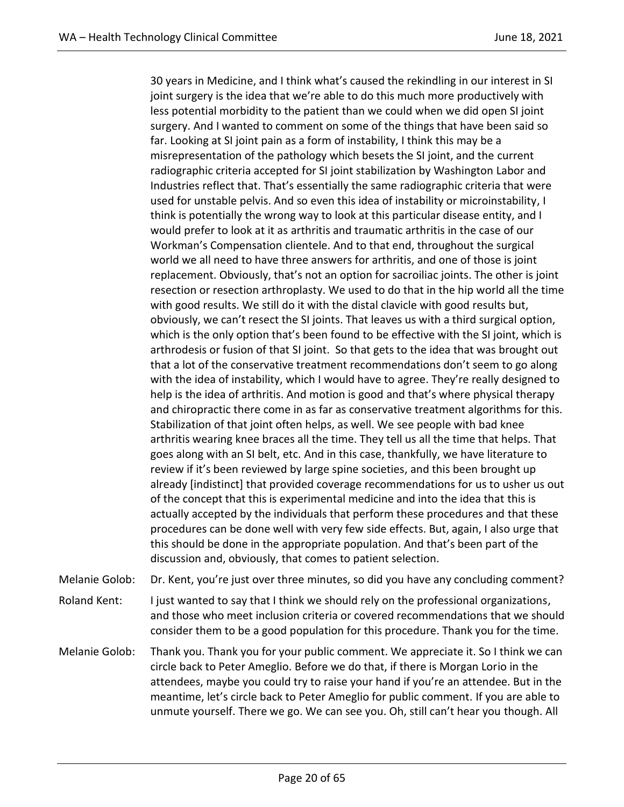30 years in Medicine, and I think what's caused the rekindling in our interest in SI joint surgery is the idea that we're able to do this much more productively with less potential morbidity to the patient than we could when we did open SI joint surgery. And I wanted to comment on some of the things that have been said so far. Looking at SI joint pain as a form of instability, I think this may be a misrepresentation of the pathology which besets the SI joint, and the current radiographic criteria accepted for SI joint stabilization by Washington Labor and Industries reflect that. That's essentially the same radiographic criteria that were used for unstable pelvis. And so even this idea of instability or microinstability, I think is potentially the wrong way to look at this particular disease entity, and I would prefer to look at it as arthritis and traumatic arthritis in the case of our Workman's Compensation clientele. And to that end, throughout the surgical world we all need to have three answers for arthritis, and one of those is joint replacement. Obviously, that's not an option for sacroiliac joints. The other is joint resection or resection arthroplasty. We used to do that in the hip world all the time with good results. We still do it with the distal clavicle with good results but, obviously, we can't resect the SI joints. That leaves us with a third surgical option, which is the only option that's been found to be effective with the SI joint, which is arthrodesis or fusion of that SI joint. So that gets to the idea that was brought out that a lot of the conservative treatment recommendations don't seem to go along with the idea of instability, which I would have to agree. They're really designed to help is the idea of arthritis. And motion is good and that's where physical therapy and chiropractic there come in as far as conservative treatment algorithms for this. Stabilization of that joint often helps, as well. We see people with bad knee arthritis wearing knee braces all the time. They tell us all the time that helps. That goes along with an SI belt, etc. And in this case, thankfully, we have literature to review if it's been reviewed by large spine societies, and this been brought up already [indistinct] that provided coverage recommendations for us to usher us out of the concept that this is experimental medicine and into the idea that this is actually accepted by the individuals that perform these procedures and that these procedures can be done well with very few side effects. But, again, I also urge that this should be done in the appropriate population. And that's been part of the discussion and, obviously, that comes to patient selection.

Melanie Golob: Dr. Kent, you're just over three minutes, so did you have any concluding comment?

Roland Kent: I just wanted to say that I think we should rely on the professional organizations, and those who meet inclusion criteria or covered recommendations that we should consider them to be a good population for this procedure. Thank you for the time.

Melanie Golob: Thank you. Thank you for your public comment. We appreciate it. So I think we can circle back to Peter Ameglio. Before we do that, if there is Morgan Lorio in the attendees, maybe you could try to raise your hand if you're an attendee. But in the meantime, let's circle back to Peter Ameglio for public comment. If you are able to unmute yourself. There we go. We can see you. Oh, still can't hear you though. All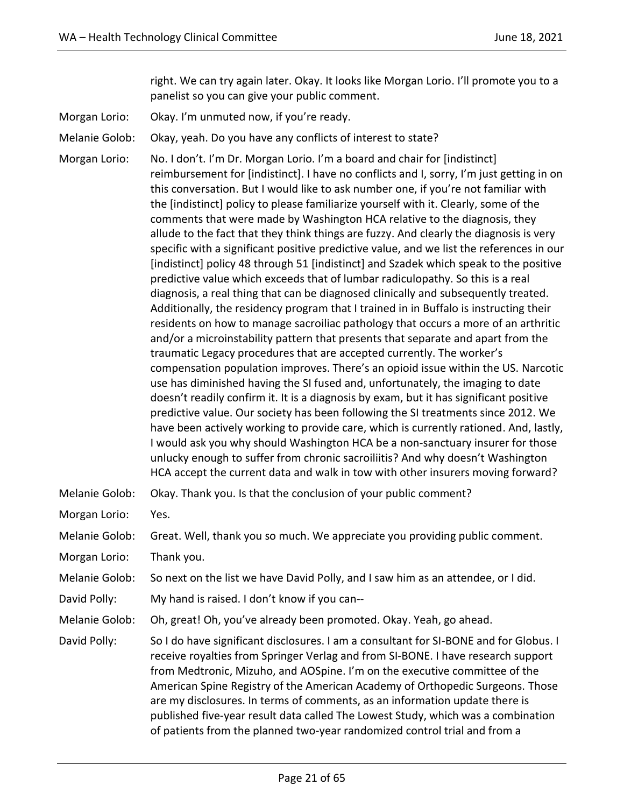right. We can try again later. Okay. It looks like Morgan Lorio. I'll promote you to a panelist so you can give your public comment.

Morgan Lorio: Okay. I'm unmuted now, if you're ready.

Melanie Golob: Okay, yeah. Do you have any conflicts of interest to state?

Morgan Lorio: No. I don't. I'm Dr. Morgan Lorio. I'm a board and chair for [indistinct] reimbursement for [indistinct]. I have no conflicts and I, sorry, I'm just getting in on this conversation. But I would like to ask number one, if you're not familiar with the [indistinct] policy to please familiarize yourself with it. Clearly, some of the comments that were made by Washington HCA relative to the diagnosis, they allude to the fact that they think things are fuzzy. And clearly the diagnosis is very specific with a significant positive predictive value, and we list the references in our [indistinct] policy 48 through 51 [indistinct] and Szadek which speak to the positive predictive value which exceeds that of lumbar radiculopathy. So this is a real diagnosis, a real thing that can be diagnosed clinically and subsequently treated. Additionally, the residency program that I trained in in Buffalo is instructing their residents on how to manage sacroiliac pathology that occurs a more of an arthritic and/or a microinstability pattern that presents that separate and apart from the traumatic Legacy procedures that are accepted currently. The worker's compensation population improves. There's an opioid issue within the US. Narcotic use has diminished having the SI fused and, unfortunately, the imaging to date doesn't readily confirm it. It is a diagnosis by exam, but it has significant positive predictive value. Our society has been following the SI treatments since 2012. We have been actively working to provide care, which is currently rationed. And, lastly, I would ask you why should Washington HCA be a non-sanctuary insurer for those unlucky enough to suffer from chronic sacroiliitis? And why doesn't Washington HCA accept the current data and walk in tow with other insurers moving forward?

| Melanie Golob: | Okay. Thank you. Is that the conclusion of your public comment?                                                                                                                                                                                                                                                                                                                                                                                                                                                                                                                          |
|----------------|------------------------------------------------------------------------------------------------------------------------------------------------------------------------------------------------------------------------------------------------------------------------------------------------------------------------------------------------------------------------------------------------------------------------------------------------------------------------------------------------------------------------------------------------------------------------------------------|
| Morgan Lorio:  | Yes.                                                                                                                                                                                                                                                                                                                                                                                                                                                                                                                                                                                     |
| Melanie Golob: | Great. Well, thank you so much. We appreciate you providing public comment.                                                                                                                                                                                                                                                                                                                                                                                                                                                                                                              |
| Morgan Lorio:  | Thank you.                                                                                                                                                                                                                                                                                                                                                                                                                                                                                                                                                                               |
| Melanie Golob: | So next on the list we have David Polly, and I saw him as an attendee, or I did.                                                                                                                                                                                                                                                                                                                                                                                                                                                                                                         |
| David Polly:   | My hand is raised. I don't know if you can--                                                                                                                                                                                                                                                                                                                                                                                                                                                                                                                                             |
| Melanie Golob: | Oh, great! Oh, you've already been promoted. Okay. Yeah, go ahead.                                                                                                                                                                                                                                                                                                                                                                                                                                                                                                                       |
| David Polly:   | So I do have significant disclosures. I am a consultant for SI-BONE and for Globus. I<br>receive royalties from Springer Verlag and from SI-BONE. I have research support<br>from Medtronic, Mizuho, and AOSpine. I'm on the executive committee of the<br>American Spine Registry of the American Academy of Orthopedic Surgeons. Those<br>are my disclosures. In terms of comments, as an information update there is<br>published five-year result data called The Lowest Study, which was a combination<br>of patients from the planned two-year randomized control trial and from a |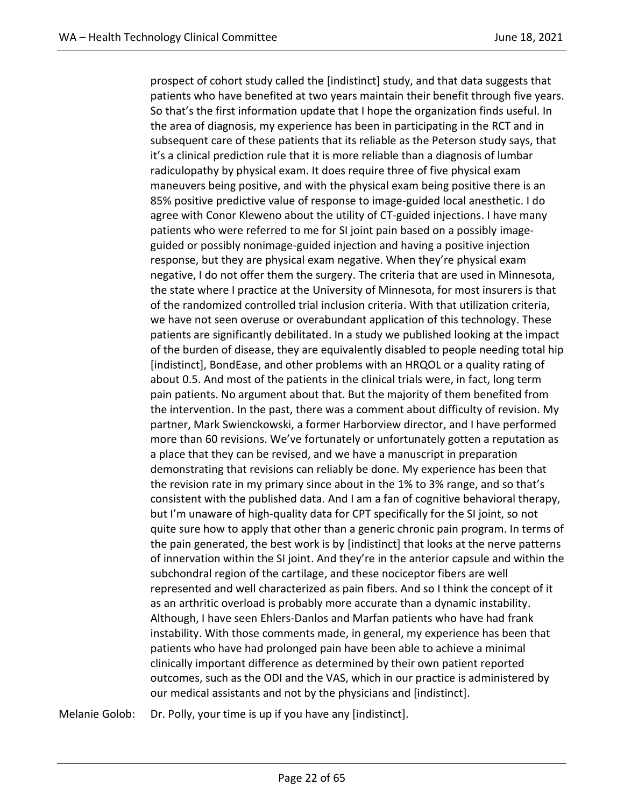prospect of cohort study called the [indistinct] study, and that data suggests that patients who have benefited at two years maintain their benefit through five years. So that's the first information update that I hope the organization finds useful. In the area of diagnosis, my experience has been in participating in the RCT and in subsequent care of these patients that its reliable as the Peterson study says, that it's a clinical prediction rule that it is more reliable than a diagnosis of lumbar radiculopathy by physical exam. It does require three of five physical exam maneuvers being positive, and with the physical exam being positive there is an 85% positive predictive value of response to image-guided local anesthetic. I do agree with Conor Kleweno about the utility of CT-guided injections. I have many patients who were referred to me for SI joint pain based on a possibly imageguided or possibly nonimage-guided injection and having a positive injection response, but they are physical exam negative. When they're physical exam negative, I do not offer them the surgery. The criteria that are used in Minnesota, the state where I practice at the University of Minnesota, for most insurers is that of the randomized controlled trial inclusion criteria. With that utilization criteria, we have not seen overuse or overabundant application of this technology. These patients are significantly debilitated. In a study we published looking at the impact of the burden of disease, they are equivalently disabled to people needing total hip [indistinct], BondEase, and other problems with an HRQOL or a quality rating of about 0.5. And most of the patients in the clinical trials were, in fact, long term pain patients. No argument about that. But the majority of them benefited from the intervention. In the past, there was a comment about difficulty of revision. My partner, Mark Swienckowski, a former Harborview director, and I have performed more than 60 revisions. We've fortunately or unfortunately gotten a reputation as a place that they can be revised, and we have a manuscript in preparation demonstrating that revisions can reliably be done. My experience has been that the revision rate in my primary since about in the 1% to 3% range, and so that's consistent with the published data. And I am a fan of cognitive behavioral therapy, but I'm unaware of high-quality data for CPT specifically for the SI joint, so not quite sure how to apply that other than a generic chronic pain program. In terms of the pain generated, the best work is by [indistinct] that looks at the nerve patterns of innervation within the SI joint. And they're in the anterior capsule and within the subchondral region of the cartilage, and these nociceptor fibers are well represented and well characterized as pain fibers. And so I think the concept of it as an arthritic overload is probably more accurate than a dynamic instability. Although, I have seen Ehlers-Danlos and Marfan patients who have had frank instability. With those comments made, in general, my experience has been that patients who have had prolonged pain have been able to achieve a minimal clinically important difference as determined by their own patient reported outcomes, such as the ODI and the VAS, which in our practice is administered by our medical assistants and not by the physicians and [indistinct].

Melanie Golob: Dr. Polly, your time is up if you have any [indistinct].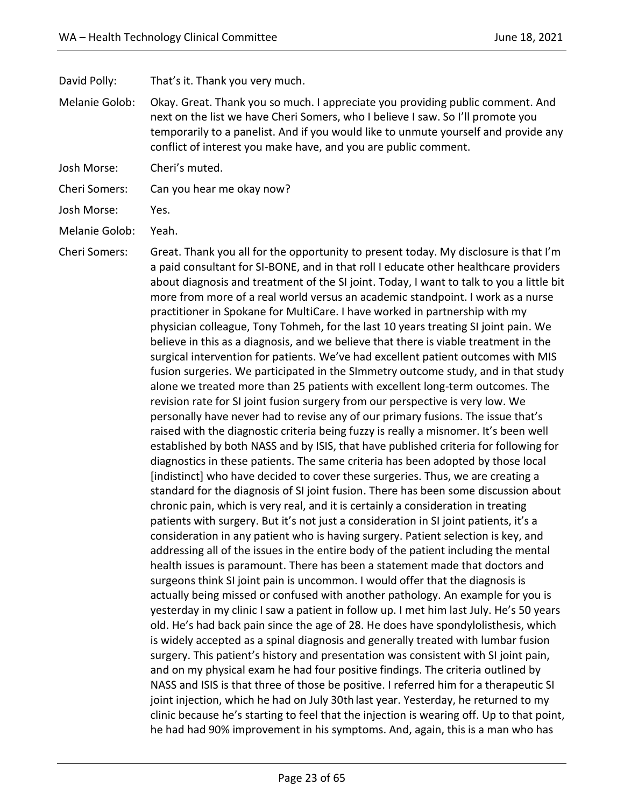David Polly: That's it. Thank you very much.

- Melanie Golob: Okay. Great. Thank you so much. I appreciate you providing public comment. And next on the list we have Cheri Somers, who I believe I saw. So I'll promote you temporarily to a panelist. And if you would like to unmute yourself and provide any conflict of interest you make have, and you are public comment.
- Josh Morse: Cheri's muted.
- Cheri Somers: Can you hear me okay now?
- Josh Morse: Yes.
- Melanie Golob: Yeah.
- Cheri Somers: Great. Thank you all for the opportunity to present today. My disclosure is that I'm a paid consultant for SI-BONE, and in that roll I educate other healthcare providers about diagnosis and treatment of the SI joint. Today, I want to talk to you a little bit more from more of a real world versus an academic standpoint. I work as a nurse practitioner in Spokane for MultiCare. I have worked in partnership with my physician colleague, Tony Tohmeh, for the last 10 years treating SI joint pain. We believe in this as a diagnosis, and we believe that there is viable treatment in the surgical intervention for patients. We've had excellent patient outcomes with MIS fusion surgeries. We participated in the SImmetry outcome study, and in that study alone we treated more than 25 patients with excellent long-term outcomes. The revision rate for SI joint fusion surgery from our perspective is very low. We personally have never had to revise any of our primary fusions. The issue that's raised with the diagnostic criteria being fuzzy is really a misnomer. It's been well established by both NASS and by ISIS, that have published criteria for following for diagnostics in these patients. The same criteria has been adopted by those local [indistinct] who have decided to cover these surgeries. Thus, we are creating a standard for the diagnosis of SI joint fusion. There has been some discussion about chronic pain, which is very real, and it is certainly a consideration in treating patients with surgery. But it's not just a consideration in SI joint patients, it's a consideration in any patient who is having surgery. Patient selection is key, and addressing all of the issues in the entire body of the patient including the mental health issues is paramount. There has been a statement made that doctors and surgeons think SI joint pain is uncommon. I would offer that the diagnosis is actually being missed or confused with another pathology. An example for you is yesterday in my clinic I saw a patient in follow up. I met him last July. He's 50 years old. He's had back pain since the age of 28. He does have spondylolisthesis, which is widely accepted as a spinal diagnosis and generally treated with lumbar fusion surgery. This patient's history and presentation was consistent with SI joint pain, and on my physical exam he had four positive findings. The criteria outlined by NASS and ISIS is that three of those be positive. I referred him for a therapeutic SI joint injection, which he had on July 30th last year. Yesterday, he returned to my clinic because he's starting to feel that the injection is wearing off. Up to that point, he had had 90% improvement in his symptoms. And, again, this is a man who has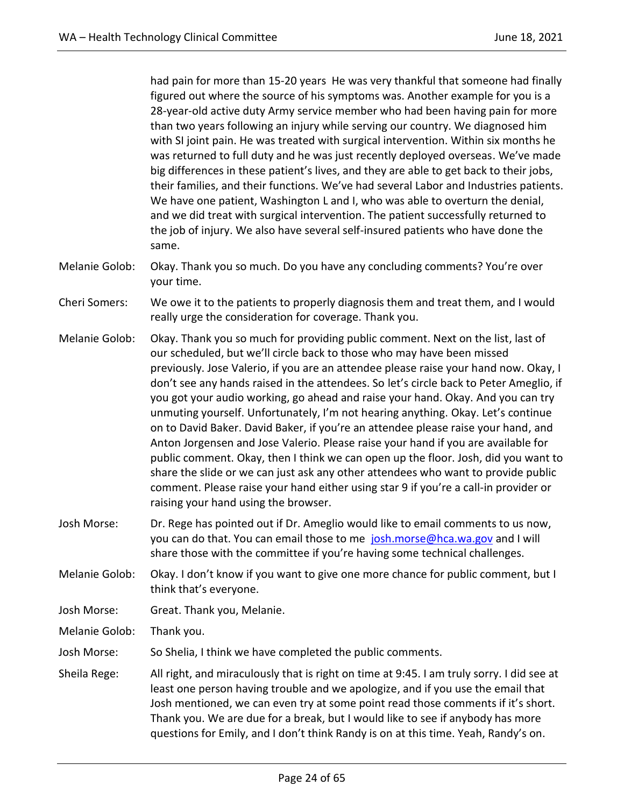had pain for more than 15-20 years He was very thankful that someone had finally figured out where the source of his symptoms was. Another example for you is a 28-year-old active duty Army service member who had been having pain for more than two years following an injury while serving our country. We diagnosed him with SI joint pain. He was treated with surgical intervention. Within six months he was returned to full duty and he was just recently deployed overseas. We've made big differences in these patient's lives, and they are able to get back to their jobs, their families, and their functions. We've had several Labor and Industries patients. We have one patient, Washington L and I, who was able to overturn the denial, and we did treat with surgical intervention. The patient successfully returned to the job of injury. We also have several self-insured patients who have done the same.

- Melanie Golob: Okay. Thank you so much. Do you have any concluding comments? You're over your time.
- Cheri Somers: We owe it to the patients to properly diagnosis them and treat them, and I would really urge the consideration for coverage. Thank you.
- Melanie Golob: Okay. Thank you so much for providing public comment. Next on the list, last of our scheduled, but we'll circle back to those who may have been missed previously. Jose Valerio, if you are an attendee please raise your hand now. Okay, I don't see any hands raised in the attendees. So let's circle back to Peter Ameglio, if you got your audio working, go ahead and raise your hand. Okay. And you can try unmuting yourself. Unfortunately, I'm not hearing anything. Okay. Let's continue on to David Baker. David Baker, if you're an attendee please raise your hand, and Anton Jorgensen and Jose Valerio. Please raise your hand if you are available for public comment. Okay, then I think we can open up the floor. Josh, did you want to share the slide or we can just ask any other attendees who want to provide public comment. Please raise your hand either using star 9 if you're a call-in provider or raising your hand using the browser.
- Josh Morse: Dr. Rege has pointed out if Dr. Ameglio would like to email comments to us now, you can do that. You can email those to me [josh.morse@hca.wa.gov](mailto:josh.morse@hca.wa.gov) and I will share those with the committee if you're having some technical challenges.
- Melanie Golob: Okay. I don't know if you want to give one more chance for public comment, but I think that's everyone.
- Josh Morse: Great. Thank you, Melanie.
- Melanie Golob: Thank you.
- Josh Morse: So Shelia, I think we have completed the public comments.
- Sheila Rege: All right, and miraculously that is right on time at 9:45. I am truly sorry. I did see at least one person having trouble and we apologize, and if you use the email that Josh mentioned, we can even try at some point read those comments if it's short. Thank you. We are due for a break, but I would like to see if anybody has more questions for Emily, and I don't think Randy is on at this time. Yeah, Randy's on.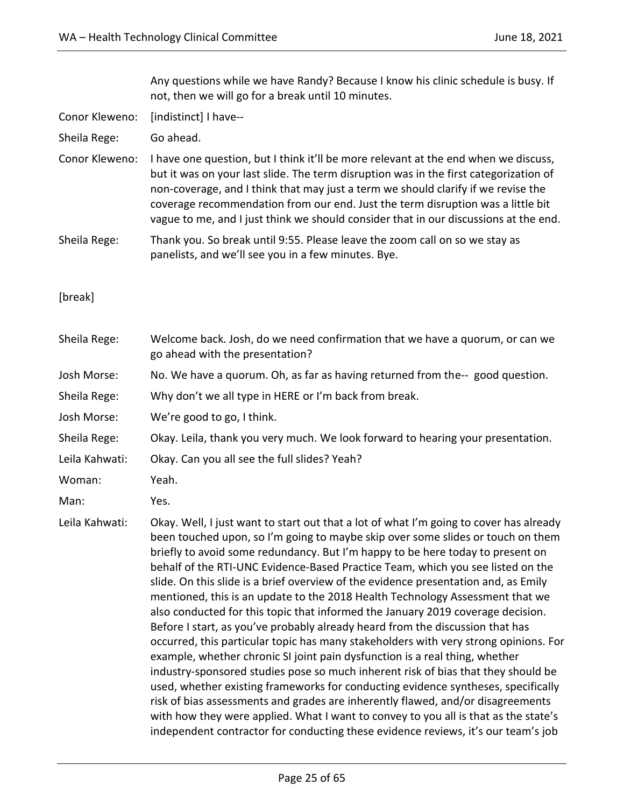Any questions while we have Randy? Because I know his clinic schedule is busy. If not, then we will go for a break until 10 minutes.

Conor Kleweno: [indistinct] I have--

Sheila Rege: Go ahead.

- Conor Kleweno: I have one question, but I think it'll be more relevant at the end when we discuss, but it was on your last slide. The term disruption was in the first categorization of non-coverage, and I think that may just a term we should clarify if we revise the coverage recommendation from our end. Just the term disruption was a little bit vague to me, and I just think we should consider that in our discussions at the end.
- Sheila Rege: Thank you. So break until 9:55. Please leave the zoom call on so we stay as panelists, and we'll see you in a few minutes. Bye.
- [break]

| Sheila Rege:   | Welcome back. Josh, do we need confirmation that we have a quorum, or can we<br>go ahead with the presentation?                                                                                                                                                                                                                                                                                                                                                                                                                                                                                                                                                                                                                                                                                                                                                                                                                                                                                                                                                                                                                                                                                                                                                                                            |
|----------------|------------------------------------------------------------------------------------------------------------------------------------------------------------------------------------------------------------------------------------------------------------------------------------------------------------------------------------------------------------------------------------------------------------------------------------------------------------------------------------------------------------------------------------------------------------------------------------------------------------------------------------------------------------------------------------------------------------------------------------------------------------------------------------------------------------------------------------------------------------------------------------------------------------------------------------------------------------------------------------------------------------------------------------------------------------------------------------------------------------------------------------------------------------------------------------------------------------------------------------------------------------------------------------------------------------|
| Josh Morse:    | No. We have a quorum. Oh, as far as having returned from the-- good question.                                                                                                                                                                                                                                                                                                                                                                                                                                                                                                                                                                                                                                                                                                                                                                                                                                                                                                                                                                                                                                                                                                                                                                                                                              |
| Sheila Rege:   | Why don't we all type in HERE or I'm back from break.                                                                                                                                                                                                                                                                                                                                                                                                                                                                                                                                                                                                                                                                                                                                                                                                                                                                                                                                                                                                                                                                                                                                                                                                                                                      |
| Josh Morse:    | We're good to go, I think.                                                                                                                                                                                                                                                                                                                                                                                                                                                                                                                                                                                                                                                                                                                                                                                                                                                                                                                                                                                                                                                                                                                                                                                                                                                                                 |
| Sheila Rege:   | Okay. Leila, thank you very much. We look forward to hearing your presentation.                                                                                                                                                                                                                                                                                                                                                                                                                                                                                                                                                                                                                                                                                                                                                                                                                                                                                                                                                                                                                                                                                                                                                                                                                            |
| Leila Kahwati: | Okay. Can you all see the full slides? Yeah?                                                                                                                                                                                                                                                                                                                                                                                                                                                                                                                                                                                                                                                                                                                                                                                                                                                                                                                                                                                                                                                                                                                                                                                                                                                               |
| Woman:         | Yeah.                                                                                                                                                                                                                                                                                                                                                                                                                                                                                                                                                                                                                                                                                                                                                                                                                                                                                                                                                                                                                                                                                                                                                                                                                                                                                                      |
| Man:           | Yes.                                                                                                                                                                                                                                                                                                                                                                                                                                                                                                                                                                                                                                                                                                                                                                                                                                                                                                                                                                                                                                                                                                                                                                                                                                                                                                       |
| Leila Kahwati: | Okay. Well, I just want to start out that a lot of what I'm going to cover has already<br>been touched upon, so I'm going to maybe skip over some slides or touch on them<br>briefly to avoid some redundancy. But I'm happy to be here today to present on<br>behalf of the RTI-UNC Evidence-Based Practice Team, which you see listed on the<br>slide. On this slide is a brief overview of the evidence presentation and, as Emily<br>mentioned, this is an update to the 2018 Health Technology Assessment that we<br>also conducted for this topic that informed the January 2019 coverage decision.<br>Before I start, as you've probably already heard from the discussion that has<br>occurred, this particular topic has many stakeholders with very strong opinions. For<br>example, whether chronic SI joint pain dysfunction is a real thing, whether<br>industry-sponsored studies pose so much inherent risk of bias that they should be<br>used, whether existing frameworks for conducting evidence syntheses, specifically<br>risk of bias assessments and grades are inherently flawed, and/or disagreements<br>with how they were applied. What I want to convey to you all is that as the state's<br>independent contractor for conducting these evidence reviews, it's our team's job |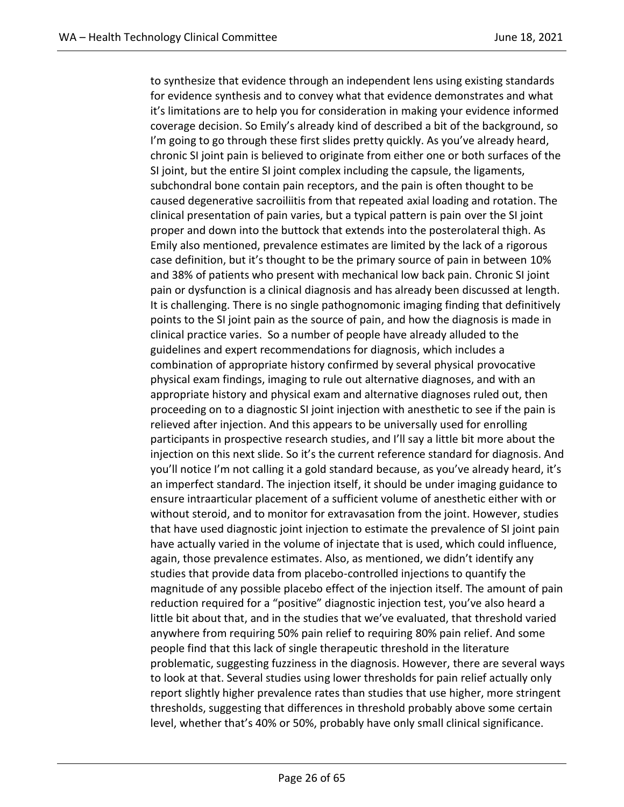to synthesize that evidence through an independent lens using existing standards for evidence synthesis and to convey what that evidence demonstrates and what it's limitations are to help you for consideration in making your evidence informed coverage decision. So Emily's already kind of described a bit of the background, so I'm going to go through these first slides pretty quickly. As you've already heard, chronic SI joint pain is believed to originate from either one or both surfaces of the SI joint, but the entire SI joint complex including the capsule, the ligaments, subchondral bone contain pain receptors, and the pain is often thought to be caused degenerative sacroiliitis from that repeated axial loading and rotation. The clinical presentation of pain varies, but a typical pattern is pain over the SI joint proper and down into the buttock that extends into the posterolateral thigh. As Emily also mentioned, prevalence estimates are limited by the lack of a rigorous case definition, but it's thought to be the primary source of pain in between 10% and 38% of patients who present with mechanical low back pain. Chronic SI joint pain or dysfunction is a clinical diagnosis and has already been discussed at length. It is challenging. There is no single pathognomonic imaging finding that definitively points to the SI joint pain as the source of pain, and how the diagnosis is made in clinical practice varies. So a number of people have already alluded to the guidelines and expert recommendations for diagnosis, which includes a combination of appropriate history confirmed by several physical provocative physical exam findings, imaging to rule out alternative diagnoses, and with an appropriate history and physical exam and alternative diagnoses ruled out, then proceeding on to a diagnostic SI joint injection with anesthetic to see if the pain is relieved after injection. And this appears to be universally used for enrolling participants in prospective research studies, and I'll say a little bit more about the injection on this next slide. So it's the current reference standard for diagnosis. And you'll notice I'm not calling it a gold standard because, as you've already heard, it's an imperfect standard. The injection itself, it should be under imaging guidance to ensure intraarticular placement of a sufficient volume of anesthetic either with or without steroid, and to monitor for extravasation from the joint. However, studies that have used diagnostic joint injection to estimate the prevalence of SI joint pain have actually varied in the volume of injectate that is used, which could influence, again, those prevalence estimates. Also, as mentioned, we didn't identify any studies that provide data from placebo-controlled injections to quantify the magnitude of any possible placebo effect of the injection itself. The amount of pain reduction required for a "positive" diagnostic injection test, you've also heard a little bit about that, and in the studies that we've evaluated, that threshold varied anywhere from requiring 50% pain relief to requiring 80% pain relief. And some people find that this lack of single therapeutic threshold in the literature problematic, suggesting fuzziness in the diagnosis. However, there are several ways to look at that. Several studies using lower thresholds for pain relief actually only report slightly higher prevalence rates than studies that use higher, more stringent thresholds, suggesting that differences in threshold probably above some certain level, whether that's 40% or 50%, probably have only small clinical significance.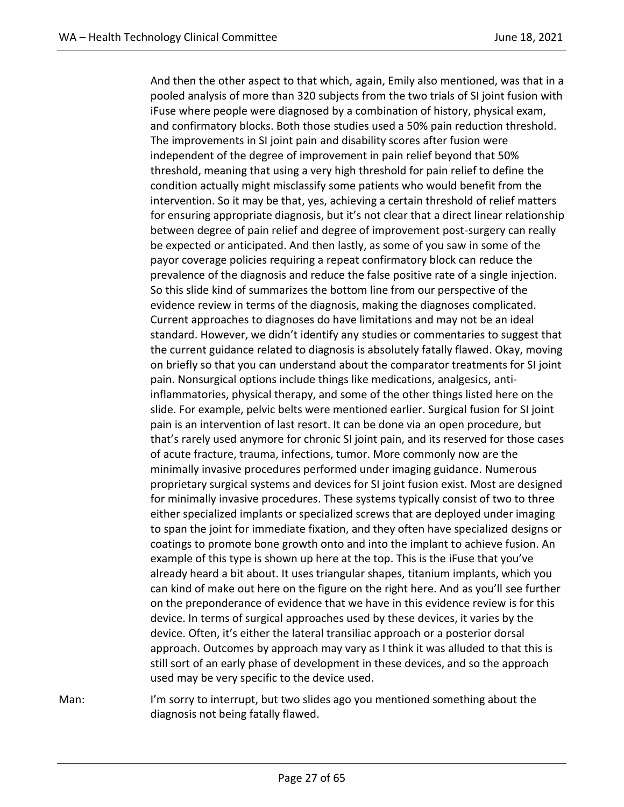And then the other aspect to that which, again, Emily also mentioned, was that in a pooled analysis of more than 320 subjects from the two trials of SI joint fusion with iFuse where people were diagnosed by a combination of history, physical exam, and confirmatory blocks. Both those studies used a 50% pain reduction threshold. The improvements in SI joint pain and disability scores after fusion were independent of the degree of improvement in pain relief beyond that 50% threshold, meaning that using a very high threshold for pain relief to define the condition actually might misclassify some patients who would benefit from the intervention. So it may be that, yes, achieving a certain threshold of relief matters for ensuring appropriate diagnosis, but it's not clear that a direct linear relationship between degree of pain relief and degree of improvement post-surgery can really be expected or anticipated. And then lastly, as some of you saw in some of the payor coverage policies requiring a repeat confirmatory block can reduce the prevalence of the diagnosis and reduce the false positive rate of a single injection. So this slide kind of summarizes the bottom line from our perspective of the evidence review in terms of the diagnosis, making the diagnoses complicated. Current approaches to diagnoses do have limitations and may not be an ideal standard. However, we didn't identify any studies or commentaries to suggest that the current guidance related to diagnosis is absolutely fatally flawed. Okay, moving on briefly so that you can understand about the comparator treatments for SI joint pain. Nonsurgical options include things like medications, analgesics, antiinflammatories, physical therapy, and some of the other things listed here on the slide. For example, pelvic belts were mentioned earlier. Surgical fusion for SI joint pain is an intervention of last resort. It can be done via an open procedure, but that's rarely used anymore for chronic SI joint pain, and its reserved for those cases of acute fracture, trauma, infections, tumor. More commonly now are the minimally invasive procedures performed under imaging guidance. Numerous proprietary surgical systems and devices for SI joint fusion exist. Most are designed for minimally invasive procedures. These systems typically consist of two to three either specialized implants or specialized screws that are deployed under imaging to span the joint for immediate fixation, and they often have specialized designs or coatings to promote bone growth onto and into the implant to achieve fusion. An example of this type is shown up here at the top. This is the iFuse that you've already heard a bit about. It uses triangular shapes, titanium implants, which you can kind of make out here on the figure on the right here. And as you'll see further on the preponderance of evidence that we have in this evidence review is for this device. In terms of surgical approaches used by these devices, it varies by the device. Often, it's either the lateral transiliac approach or a posterior dorsal approach. Outcomes by approach may vary as I think it was alluded to that this is still sort of an early phase of development in these devices, and so the approach used may be very specific to the device used.

Man: I'm sorry to interrupt, but two slides ago you mentioned something about the diagnosis not being fatally flawed.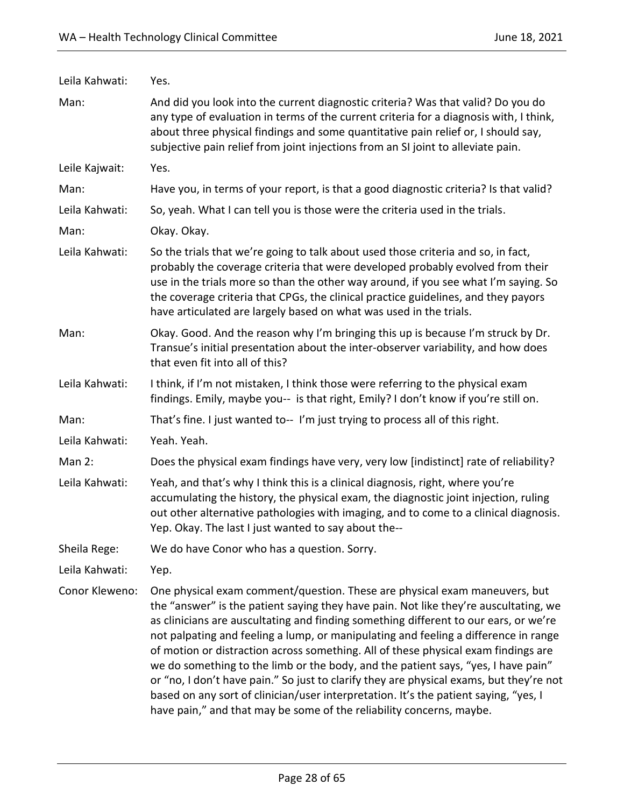| Leila Kahwati: | Yes.                                                                                                                                                                                                                                                                                                                                                                                                                                                                                                                                                                                                                                                                                                                                                                                    |
|----------------|-----------------------------------------------------------------------------------------------------------------------------------------------------------------------------------------------------------------------------------------------------------------------------------------------------------------------------------------------------------------------------------------------------------------------------------------------------------------------------------------------------------------------------------------------------------------------------------------------------------------------------------------------------------------------------------------------------------------------------------------------------------------------------------------|
| Man:           | And did you look into the current diagnostic criteria? Was that valid? Do you do<br>any type of evaluation in terms of the current criteria for a diagnosis with, I think,<br>about three physical findings and some quantitative pain relief or, I should say,<br>subjective pain relief from joint injections from an SI joint to alleviate pain.                                                                                                                                                                                                                                                                                                                                                                                                                                     |
| Leile Kajwait: | Yes.                                                                                                                                                                                                                                                                                                                                                                                                                                                                                                                                                                                                                                                                                                                                                                                    |
| Man:           | Have you, in terms of your report, is that a good diagnostic criteria? Is that valid?                                                                                                                                                                                                                                                                                                                                                                                                                                                                                                                                                                                                                                                                                                   |
| Leila Kahwati: | So, yeah. What I can tell you is those were the criteria used in the trials.                                                                                                                                                                                                                                                                                                                                                                                                                                                                                                                                                                                                                                                                                                            |
| Man:           | Okay. Okay.                                                                                                                                                                                                                                                                                                                                                                                                                                                                                                                                                                                                                                                                                                                                                                             |
| Leila Kahwati: | So the trials that we're going to talk about used those criteria and so, in fact,<br>probably the coverage criteria that were developed probably evolved from their<br>use in the trials more so than the other way around, if you see what I'm saying. So<br>the coverage criteria that CPGs, the clinical practice guidelines, and they payors<br>have articulated are largely based on what was used in the trials.                                                                                                                                                                                                                                                                                                                                                                  |
| Man:           | Okay. Good. And the reason why I'm bringing this up is because I'm struck by Dr.<br>Transue's initial presentation about the inter-observer variability, and how does<br>that even fit into all of this?                                                                                                                                                                                                                                                                                                                                                                                                                                                                                                                                                                                |
| Leila Kahwati: | I think, if I'm not mistaken, I think those were referring to the physical exam<br>findings. Emily, maybe you-- is that right, Emily? I don't know if you're still on.                                                                                                                                                                                                                                                                                                                                                                                                                                                                                                                                                                                                                  |
| Man:           | That's fine. I just wanted to-- I'm just trying to process all of this right.                                                                                                                                                                                                                                                                                                                                                                                                                                                                                                                                                                                                                                                                                                           |
| Leila Kahwati: | Yeah. Yeah.                                                                                                                                                                                                                                                                                                                                                                                                                                                                                                                                                                                                                                                                                                                                                                             |
| Man $2$ :      | Does the physical exam findings have very, very low [indistinct] rate of reliability?                                                                                                                                                                                                                                                                                                                                                                                                                                                                                                                                                                                                                                                                                                   |
| Leila Kahwati: | Yeah, and that's why I think this is a clinical diagnosis, right, where you're<br>accumulating the history, the physical exam, the diagnostic joint injection, ruling<br>out other alternative pathologies with imaging, and to come to a clinical diagnosis.<br>Yep. Okay. The last I just wanted to say about the--                                                                                                                                                                                                                                                                                                                                                                                                                                                                   |
| Sheila Rege:   | We do have Conor who has a question. Sorry.                                                                                                                                                                                                                                                                                                                                                                                                                                                                                                                                                                                                                                                                                                                                             |
| Leila Kahwati: | Yep.                                                                                                                                                                                                                                                                                                                                                                                                                                                                                                                                                                                                                                                                                                                                                                                    |
| Conor Kleweno: | One physical exam comment/question. These are physical exam maneuvers, but<br>the "answer" is the patient saying they have pain. Not like they're auscultating, we<br>as clinicians are auscultating and finding something different to our ears, or we're<br>not palpating and feeling a lump, or manipulating and feeling a difference in range<br>of motion or distraction across something. All of these physical exam findings are<br>we do something to the limb or the body, and the patient says, "yes, I have pain"<br>or "no, I don't have pain." So just to clarify they are physical exams, but they're not<br>based on any sort of clinician/user interpretation. It's the patient saying, "yes, I<br>have pain," and that may be some of the reliability concerns, maybe. |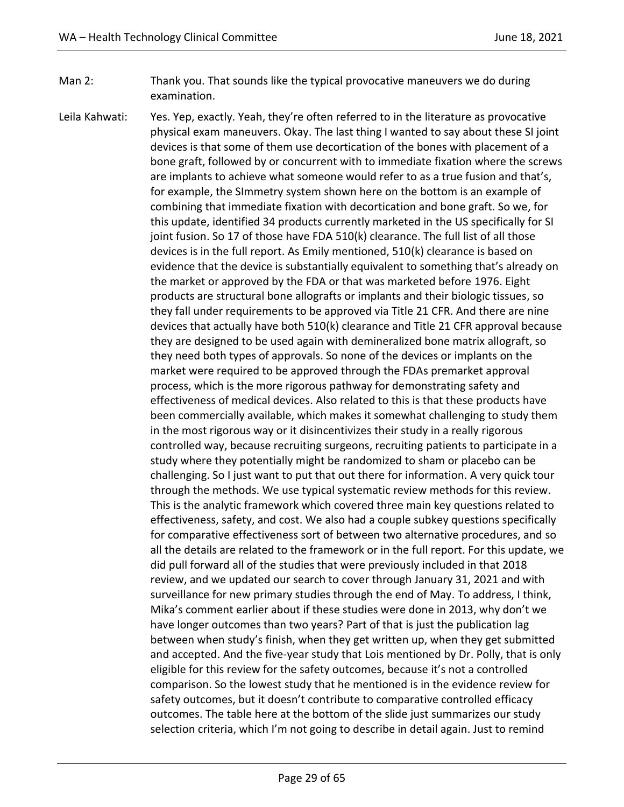- Man 2: Thank you. That sounds like the typical provocative maneuvers we do during examination.
- Leila Kahwati: Yes. Yep, exactly. Yeah, they're often referred to in the literature as provocative physical exam maneuvers. Okay. The last thing I wanted to say about these SI joint devices is that some of them use decortication of the bones with placement of a bone graft, followed by or concurrent with to immediate fixation where the screws are implants to achieve what someone would refer to as a true fusion and that's, for example, the SImmetry system shown here on the bottom is an example of combining that immediate fixation with decortication and bone graft. So we, for this update, identified 34 products currently marketed in the US specifically for SI joint fusion. So 17 of those have FDA 510(k) clearance. The full list of all those devices is in the full report. As Emily mentioned, 510(k) clearance is based on evidence that the device is substantially equivalent to something that's already on the market or approved by the FDA or that was marketed before 1976. Eight products are structural bone allografts or implants and their biologic tissues, so they fall under requirements to be approved via Title 21 CFR. And there are nine devices that actually have both 510(k) clearance and Title 21 CFR approval because they are designed to be used again with demineralized bone matrix allograft, so they need both types of approvals. So none of the devices or implants on the market were required to be approved through the FDAs premarket approval process, which is the more rigorous pathway for demonstrating safety and effectiveness of medical devices. Also related to this is that these products have been commercially available, which makes it somewhat challenging to study them in the most rigorous way or it disincentivizes their study in a really rigorous controlled way, because recruiting surgeons, recruiting patients to participate in a study where they potentially might be randomized to sham or placebo can be challenging. So I just want to put that out there for information. A very quick tour through the methods. We use typical systematic review methods for this review. This is the analytic framework which covered three main key questions related to effectiveness, safety, and cost. We also had a couple subkey questions specifically for comparative effectiveness sort of between two alternative procedures, and so all the details are related to the framework or in the full report. For this update, we did pull forward all of the studies that were previously included in that 2018 review, and we updated our search to cover through January 31, 2021 and with surveillance for new primary studies through the end of May. To address, I think, Mika's comment earlier about if these studies were done in 2013, why don't we have longer outcomes than two years? Part of that is just the publication lag between when study's finish, when they get written up, when they get submitted and accepted. And the five-year study that Lois mentioned by Dr. Polly, that is only eligible for this review for the safety outcomes, because it's not a controlled comparison. So the lowest study that he mentioned is in the evidence review for safety outcomes, but it doesn't contribute to comparative controlled efficacy outcomes. The table here at the bottom of the slide just summarizes our study selection criteria, which I'm not going to describe in detail again. Just to remind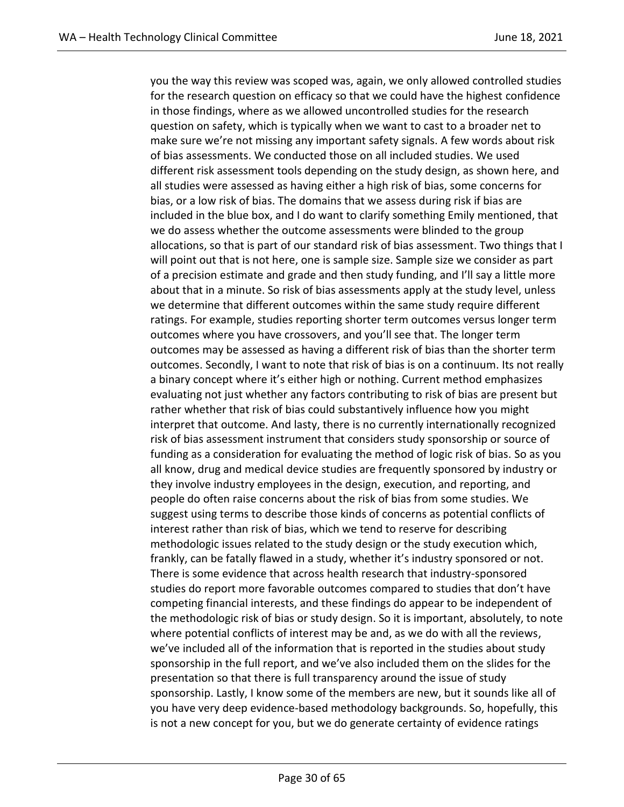you the way this review was scoped was, again, we only allowed controlled studies for the research question on efficacy so that we could have the highest confidence in those findings, where as we allowed uncontrolled studies for the research question on safety, which is typically when we want to cast to a broader net to make sure we're not missing any important safety signals. A few words about risk of bias assessments. We conducted those on all included studies. We used different risk assessment tools depending on the study design, as shown here, and all studies were assessed as having either a high risk of bias, some concerns for bias, or a low risk of bias. The domains that we assess during risk if bias are included in the blue box, and I do want to clarify something Emily mentioned, that we do assess whether the outcome assessments were blinded to the group allocations, so that is part of our standard risk of bias assessment. Two things that I will point out that is not here, one is sample size. Sample size we consider as part of a precision estimate and grade and then study funding, and I'll say a little more about that in a minute. So risk of bias assessments apply at the study level, unless we determine that different outcomes within the same study require different ratings. For example, studies reporting shorter term outcomes versus longer term outcomes where you have crossovers, and you'll see that. The longer term outcomes may be assessed as having a different risk of bias than the shorter term outcomes. Secondly, I want to note that risk of bias is on a continuum. Its not really a binary concept where it's either high or nothing. Current method emphasizes evaluating not just whether any factors contributing to risk of bias are present but rather whether that risk of bias could substantively influence how you might interpret that outcome. And lasty, there is no currently internationally recognized risk of bias assessment instrument that considers study sponsorship or source of funding as a consideration for evaluating the method of logic risk of bias. So as you all know, drug and medical device studies are frequently sponsored by industry or they involve industry employees in the design, execution, and reporting, and people do often raise concerns about the risk of bias from some studies. We suggest using terms to describe those kinds of concerns as potential conflicts of interest rather than risk of bias, which we tend to reserve for describing methodologic issues related to the study design or the study execution which, frankly, can be fatally flawed in a study, whether it's industry sponsored or not. There is some evidence that across health research that industry-sponsored studies do report more favorable outcomes compared to studies that don't have competing financial interests, and these findings do appear to be independent of the methodologic risk of bias or study design. So it is important, absolutely, to note where potential conflicts of interest may be and, as we do with all the reviews, we've included all of the information that is reported in the studies about study sponsorship in the full report, and we've also included them on the slides for the presentation so that there is full transparency around the issue of study sponsorship. Lastly, I know some of the members are new, but it sounds like all of you have very deep evidence-based methodology backgrounds. So, hopefully, this is not a new concept for you, but we do generate certainty of evidence ratings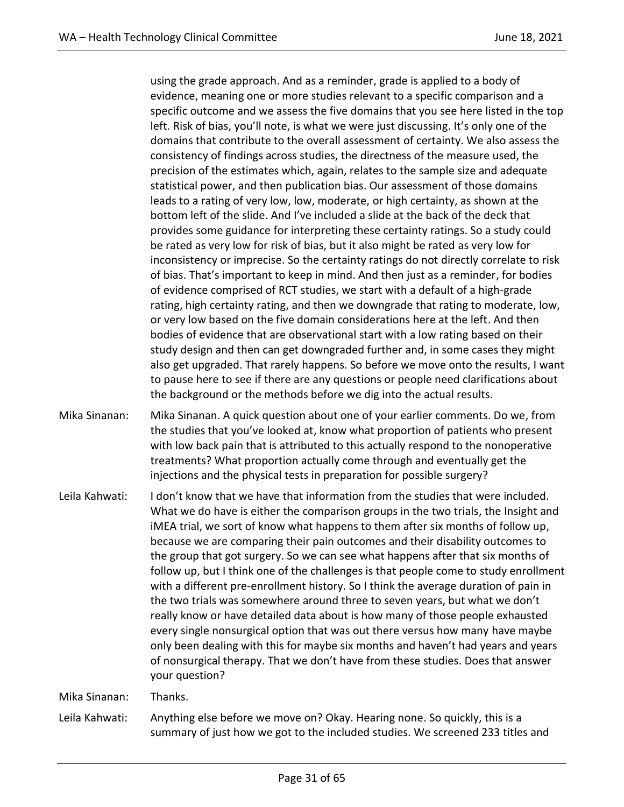using the grade approach. And as a reminder, grade is applied to a body of evidence, meaning one or more studies relevant to a specific comparison and a specific outcome and we assess the five domains that you see here listed in the top left. Risk of bias, you'll note, is what we were just discussing. It's only one of the domains that contribute to the overall assessment of certainty. We also assess the consistency of findings across studies, the directness of the measure used, the precision of the estimates which, again, relates to the sample size and adequate statistical power, and then publication bias. Our assessment of those domains leads to a rating of very low, low, moderate, or high certainty, as shown at the bottom left of the slide. And I've included a slide at the back of the deck that provides some guidance for interpreting these certainty ratings. So a study could be rated as very low for risk of bias, but it also might be rated as very low for inconsistency or imprecise. So the certainty ratings do not directly correlate to risk of bias. That's important to keep in mind. And then just as a reminder, for bodies of evidence comprised of RCT studies, we start with a default of a high-grade rating, high certainty rating, and then we downgrade that rating to moderate, low, or very low based on the five domain considerations here at the left. And then bodies of evidence that are observational start with a low rating based on their study design and then can get downgraded further and, in some cases they might also get upgraded. That rarely happens. So before we move onto the results, I want to pause here to see if there are any questions or people need clarifications about the background or the methods before we dig into the actual results.

- Mika Sinanan: Mika Sinanan. A quick question about one of your earlier comments. Do we, from the studies that you've looked at, know what proportion of patients who present with low back pain that is attributed to this actually respond to the nonoperative treatments? What proportion actually come through and eventually get the injections and the physical tests in preparation for possible surgery?
- Leila Kahwati: I don't know that we have that information from the studies that were included. What we do have is either the comparison groups in the two trials, the Insight and iMEA trial, we sort of know what happens to them after six months of follow up, because we are comparing their pain outcomes and their disability outcomes to the group that got surgery. So we can see what happens after that six months of follow up, but I think one of the challenges is that people come to study enrollment with a different pre-enrollment history. So I think the average duration of pain in the two trials was somewhere around three to seven years, but what we don't really know or have detailed data about is how many of those people exhausted every single nonsurgical option that was out there versus how many have maybe only been dealing with this for maybe six months and haven't had years and years of nonsurgical therapy. That we don't have from these studies. Does that answer your question?

Mika Sinanan: Thanks.

Leila Kahwati: Anything else before we move on? Okay. Hearing none. So quickly, this is a summary of just how we got to the included studies. We screened 233 titles and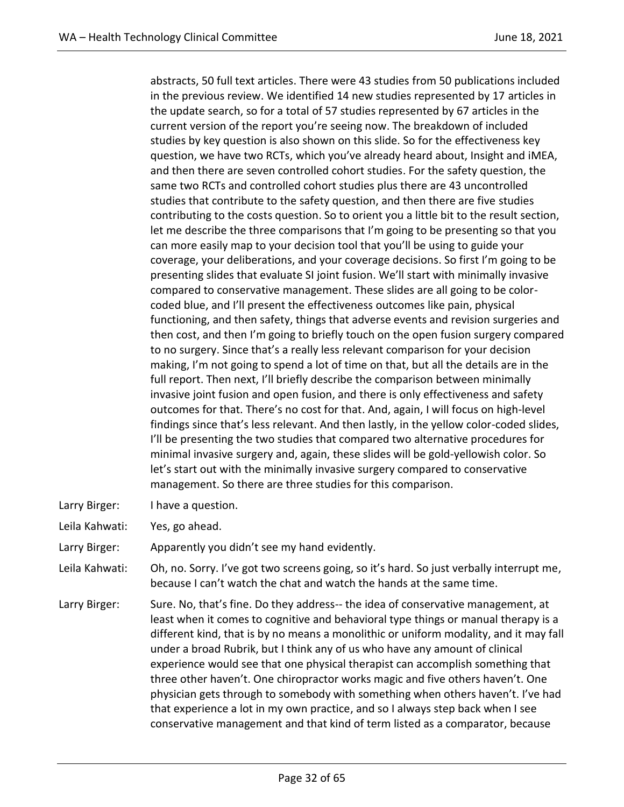abstracts, 50 full text articles. There were 43 studies from 50 publications included in the previous review. We identified 14 new studies represented by 17 articles in the update search, so for a total of 57 studies represented by 67 articles in the current version of the report you're seeing now. The breakdown of included studies by key question is also shown on this slide. So for the effectiveness key question, we have two RCTs, which you've already heard about, Insight and iMEA, and then there are seven controlled cohort studies. For the safety question, the same two RCTs and controlled cohort studies plus there are 43 uncontrolled studies that contribute to the safety question, and then there are five studies contributing to the costs question. So to orient you a little bit to the result section, let me describe the three comparisons that I'm going to be presenting so that you can more easily map to your decision tool that you'll be using to guide your coverage, your deliberations, and your coverage decisions. So first I'm going to be presenting slides that evaluate SI joint fusion. We'll start with minimally invasive compared to conservative management. These slides are all going to be colorcoded blue, and I'll present the effectiveness outcomes like pain, physical functioning, and then safety, things that adverse events and revision surgeries and then cost, and then I'm going to briefly touch on the open fusion surgery compared to no surgery. Since that's a really less relevant comparison for your decision making, I'm not going to spend a lot of time on that, but all the details are in the full report. Then next, I'll briefly describe the comparison between minimally invasive joint fusion and open fusion, and there is only effectiveness and safety outcomes for that. There's no cost for that. And, again, I will focus on high-level findings since that's less relevant. And then lastly, in the yellow color-coded slides, I'll be presenting the two studies that compared two alternative procedures for minimal invasive surgery and, again, these slides will be gold-yellowish color. So let's start out with the minimally invasive surgery compared to conservative management. So there are three studies for this comparison.

- Larry Birger: I have a question.
- Leila Kahwati: Yes, go ahead.
- Larry Birger: Apparently you didn't see my hand evidently.
- Leila Kahwati: Oh, no. Sorry. I've got two screens going, so it's hard. So just verbally interrupt me, because I can't watch the chat and watch the hands at the same time.
- Larry Birger: Sure. No, that's fine. Do they address-- the idea of conservative management, at least when it comes to cognitive and behavioral type things or manual therapy is a different kind, that is by no means a monolithic or uniform modality, and it may fall under a broad Rubrik, but I think any of us who have any amount of clinical experience would see that one physical therapist can accomplish something that three other haven't. One chiropractor works magic and five others haven't. One physician gets through to somebody with something when others haven't. I've had that experience a lot in my own practice, and so I always step back when I see conservative management and that kind of term listed as a comparator, because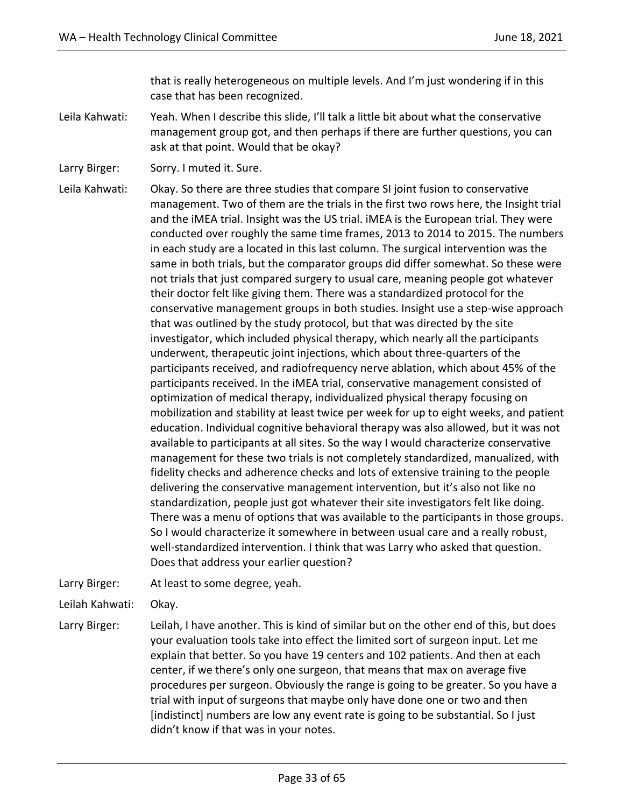that is really heterogeneous on multiple levels. And I'm just wondering if in this case that has been recognized.

- Leila Kahwati: Yeah. When I describe this slide, I'll talk a little bit about what the conservative management group got, and then perhaps if there are further questions, you can ask at that point. Would that be okay?
- Larry Birger: Sorry. I muted it. Sure.

Leila Kahwati: Okay. So there are three studies that compare SI joint fusion to conservative management. Two of them are the trials in the first two rows here, the Insight trial and the iMEA trial. Insight was the US trial. iMEA is the European trial. They were conducted over roughly the same time frames, 2013 to 2014 to 2015. The numbers in each study are a located in this last column. The surgical intervention was the same in both trials, but the comparator groups did differ somewhat. So these were not trials that just compared surgery to usual care, meaning people got whatever their doctor felt like giving them. There was a standardized protocol for the conservative management groups in both studies. Insight use a step-wise approach that was outlined by the study protocol, but that was directed by the site investigator, which included physical therapy, which nearly all the participants underwent, therapeutic joint injections, which about three-quarters of the participants received, and radiofrequency nerve ablation, which about 45% of the participants received. In the iMEA trial, conservative management consisted of optimization of medical therapy, individualized physical therapy focusing on mobilization and stability at least twice per week for up to eight weeks, and patient education. Individual cognitive behavioral therapy was also allowed, but it was not available to participants at all sites. So the way I would characterize conservative management for these two trials is not completely standardized, manualized, with fidelity checks and adherence checks and lots of extensive training to the people delivering the conservative management intervention, but it's also not like no standardization, people just got whatever their site investigators felt like doing. There was a menu of options that was available to the participants in those groups. So I would characterize it somewhere in between usual care and a really robust, well-standardized intervention. I think that was Larry who asked that question. Does that address your earlier question?

Larry Birger: At least to some degree, yeah.

Leilah Kahwati: Okay.

Larry Birger: Leilah, I have another. This is kind of similar but on the other end of this, but does your evaluation tools take into effect the limited sort of surgeon input. Let me explain that better. So you have 19 centers and 102 patients. And then at each center, if we there's only one surgeon, that means that max on average five procedures per surgeon. Obviously the range is going to be greater. So you have a trial with input of surgeons that maybe only have done one or two and then [indistinct] numbers are low any event rate is going to be substantial. So I just didn't know if that was in your notes.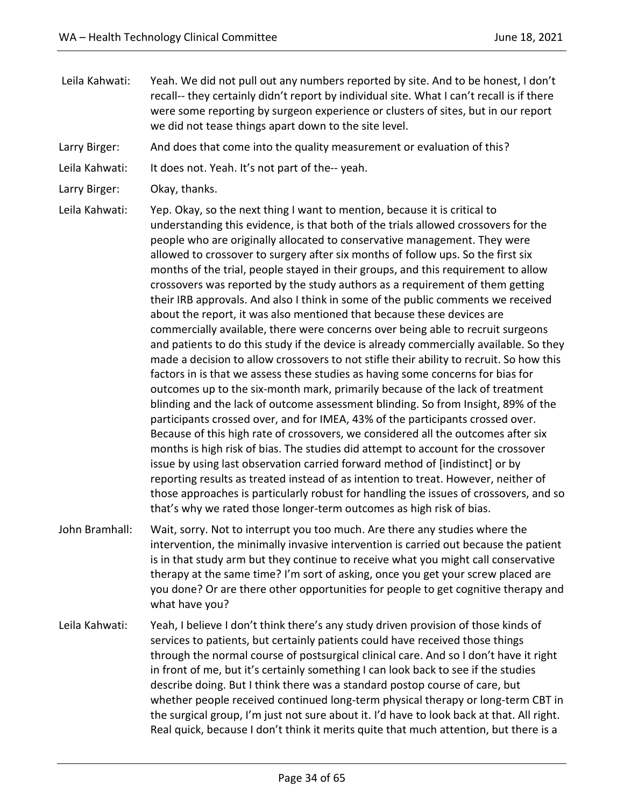- Leila Kahwati: Yeah. We did not pull out any numbers reported by site. And to be honest, I don't recall-- they certainly didn't report by individual site. What I can't recall is if there were some reporting by surgeon experience or clusters of sites, but in our report we did not tease things apart down to the site level.
- Larry Birger: And does that come into the quality measurement or evaluation of this?
- Leila Kahwati: It does not. Yeah. It's not part of the--yeah.
- Larry Birger: Okay, thanks.

Leila Kahwati: Yep. Okay, so the next thing I want to mention, because it is critical to understanding this evidence, is that both of the trials allowed crossovers for the people who are originally allocated to conservative management. They were allowed to crossover to surgery after six months of follow ups. So the first six months of the trial, people stayed in their groups, and this requirement to allow crossovers was reported by the study authors as a requirement of them getting their IRB approvals. And also I think in some of the public comments we received about the report, it was also mentioned that because these devices are commercially available, there were concerns over being able to recruit surgeons and patients to do this study if the device is already commercially available. So they made a decision to allow crossovers to not stifle their ability to recruit. So how this factors in is that we assess these studies as having some concerns for bias for outcomes up to the six-month mark, primarily because of the lack of treatment blinding and the lack of outcome assessment blinding. So from Insight, 89% of the participants crossed over, and for IMEA, 43% of the participants crossed over. Because of this high rate of crossovers, we considered all the outcomes after six months is high risk of bias. The studies did attempt to account for the crossover issue by using last observation carried forward method of [indistinct] or by reporting results as treated instead of as intention to treat. However, neither of those approaches is particularly robust for handling the issues of crossovers, and so that's why we rated those longer-term outcomes as high risk of bias.

- John Bramhall: Wait, sorry. Not to interrupt you too much. Are there any studies where the intervention, the minimally invasive intervention is carried out because the patient is in that study arm but they continue to receive what you might call conservative therapy at the same time? I'm sort of asking, once you get your screw placed are you done? Or are there other opportunities for people to get cognitive therapy and what have you?
- Leila Kahwati: Yeah, I believe I don't think there's any study driven provision of those kinds of services to patients, but certainly patients could have received those things through the normal course of postsurgical clinical care. And so I don't have it right in front of me, but it's certainly something I can look back to see if the studies describe doing. But I think there was a standard postop course of care, but whether people received continued long-term physical therapy or long-term CBT in the surgical group, I'm just not sure about it. I'd have to look back at that. All right. Real quick, because I don't think it merits quite that much attention, but there is a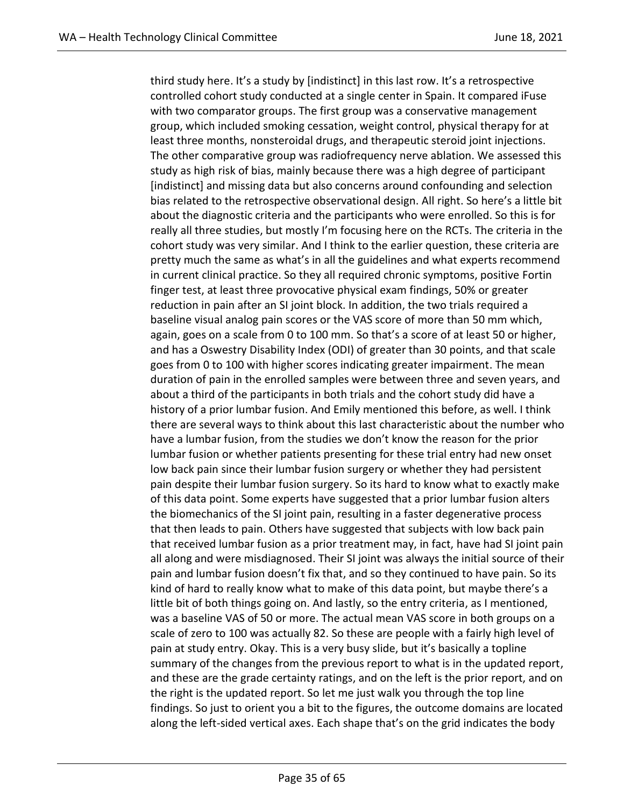third study here. It's a study by [indistinct] in this last row. It's a retrospective controlled cohort study conducted at a single center in Spain. It compared iFuse with two comparator groups. The first group was a conservative management group, which included smoking cessation, weight control, physical therapy for at least three months, nonsteroidal drugs, and therapeutic steroid joint injections. The other comparative group was radiofrequency nerve ablation. We assessed this study as high risk of bias, mainly because there was a high degree of participant [indistinct] and missing data but also concerns around confounding and selection bias related to the retrospective observational design. All right. So here's a little bit about the diagnostic criteria and the participants who were enrolled. So this is for really all three studies, but mostly I'm focusing here on the RCTs. The criteria in the cohort study was very similar. And I think to the earlier question, these criteria are pretty much the same as what's in all the guidelines and what experts recommend in current clinical practice. So they all required chronic symptoms, positive Fortin finger test, at least three provocative physical exam findings, 50% or greater reduction in pain after an SI joint block. In addition, the two trials required a baseline visual analog pain scores or the VAS score of more than 50 mm which, again, goes on a scale from 0 to 100 mm. So that's a score of at least 50 or higher, and has a Oswestry Disability Index (ODI) of greater than 30 points, and that scale goes from 0 to 100 with higher scores indicating greater impairment. The mean duration of pain in the enrolled samples were between three and seven years, and about a third of the participants in both trials and the cohort study did have a history of a prior lumbar fusion. And Emily mentioned this before, as well. I think there are several ways to think about this last characteristic about the number who have a lumbar fusion, from the studies we don't know the reason for the prior lumbar fusion or whether patients presenting for these trial entry had new onset low back pain since their lumbar fusion surgery or whether they had persistent pain despite their lumbar fusion surgery. So its hard to know what to exactly make of this data point. Some experts have suggested that a prior lumbar fusion alters the biomechanics of the SI joint pain, resulting in a faster degenerative process that then leads to pain. Others have suggested that subjects with low back pain that received lumbar fusion as a prior treatment may, in fact, have had SI joint pain all along and were misdiagnosed. Their SI joint was always the initial source of their pain and lumbar fusion doesn't fix that, and so they continued to have pain. So its kind of hard to really know what to make of this data point, but maybe there's a little bit of both things going on. And lastly, so the entry criteria, as I mentioned, was a baseline VAS of 50 or more. The actual mean VAS score in both groups on a scale of zero to 100 was actually 82. So these are people with a fairly high level of pain at study entry. Okay. This is a very busy slide, but it's basically a topline summary of the changes from the previous report to what is in the updated report, and these are the grade certainty ratings, and on the left is the prior report, and on the right is the updated report. So let me just walk you through the top line findings. So just to orient you a bit to the figures, the outcome domains are located along the left-sided vertical axes. Each shape that's on the grid indicates the body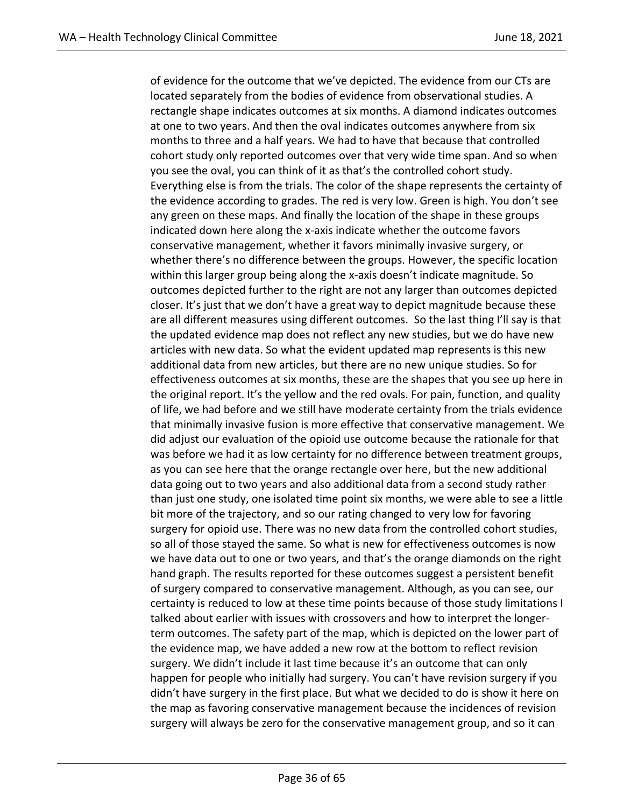of evidence for the outcome that we've depicted. The evidence from our CTs are located separately from the bodies of evidence from observational studies. A rectangle shape indicates outcomes at six months. A diamond indicates outcomes at one to two years. And then the oval indicates outcomes anywhere from six months to three and a half years. We had to have that because that controlled cohort study only reported outcomes over that very wide time span. And so when you see the oval, you can think of it as that's the controlled cohort study. Everything else is from the trials. The color of the shape represents the certainty of the evidence according to grades. The red is very low. Green is high. You don't see any green on these maps. And finally the location of the shape in these groups indicated down here along the x-axis indicate whether the outcome favors conservative management, whether it favors minimally invasive surgery, or whether there's no difference between the groups. However, the specific location within this larger group being along the x-axis doesn't indicate magnitude. So outcomes depicted further to the right are not any larger than outcomes depicted closer. It's just that we don't have a great way to depict magnitude because these are all different measures using different outcomes. So the last thing I'll say is that the updated evidence map does not reflect any new studies, but we do have new articles with new data. So what the evident updated map represents is this new additional data from new articles, but there are no new unique studies. So for effectiveness outcomes at six months, these are the shapes that you see up here in the original report. It's the yellow and the red ovals. For pain, function, and quality of life, we had before and we still have moderate certainty from the trials evidence that minimally invasive fusion is more effective that conservative management. We did adjust our evaluation of the opioid use outcome because the rationale for that was before we had it as low certainty for no difference between treatment groups, as you can see here that the orange rectangle over here, but the new additional data going out to two years and also additional data from a second study rather than just one study, one isolated time point six months, we were able to see a little bit more of the trajectory, and so our rating changed to very low for favoring surgery for opioid use. There was no new data from the controlled cohort studies, so all of those stayed the same. So what is new for effectiveness outcomes is now we have data out to one or two years, and that's the orange diamonds on the right hand graph. The results reported for these outcomes suggest a persistent benefit of surgery compared to conservative management. Although, as you can see, our certainty is reduced to low at these time points because of those study limitations I talked about earlier with issues with crossovers and how to interpret the longerterm outcomes. The safety part of the map, which is depicted on the lower part of the evidence map, we have added a new row at the bottom to reflect revision surgery. We didn't include it last time because it's an outcome that can only happen for people who initially had surgery. You can't have revision surgery if you didn't have surgery in the first place. But what we decided to do is show it here on the map as favoring conservative management because the incidences of revision surgery will always be zero for the conservative management group, and so it can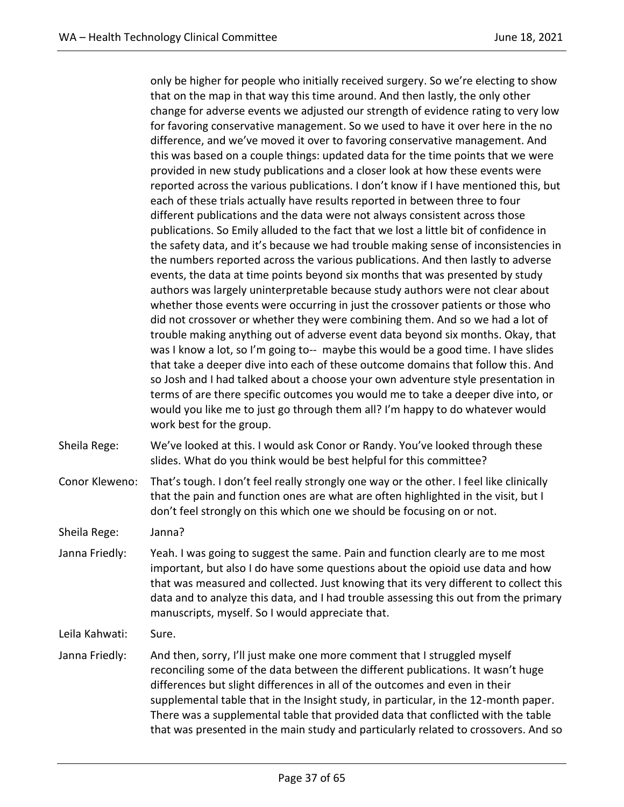only be higher for people who initially received surgery. So we're electing to show that on the map in that way this time around. And then lastly, the only other change for adverse events we adjusted our strength of evidence rating to very low for favoring conservative management. So we used to have it over here in the no difference, and we've moved it over to favoring conservative management. And this was based on a couple things: updated data for the time points that we were provided in new study publications and a closer look at how these events were reported across the various publications. I don't know if I have mentioned this, but each of these trials actually have results reported in between three to four different publications and the data were not always consistent across those publications. So Emily alluded to the fact that we lost a little bit of confidence in the safety data, and it's because we had trouble making sense of inconsistencies in the numbers reported across the various publications. And then lastly to adverse events, the data at time points beyond six months that was presented by study authors was largely uninterpretable because study authors were not clear about whether those events were occurring in just the crossover patients or those who did not crossover or whether they were combining them. And so we had a lot of trouble making anything out of adverse event data beyond six months. Okay, that was I know a lot, so I'm going to-- maybe this would be a good time. I have slides that take a deeper dive into each of these outcome domains that follow this. And so Josh and I had talked about a choose your own adventure style presentation in terms of are there specific outcomes you would me to take a deeper dive into, or would you like me to just go through them all? I'm happy to do whatever would work best for the group.

Sheila Rege: We've looked at this. I would ask Conor or Randy. You've looked through these slides. What do you think would be best helpful for this committee?

Conor Kleweno: That's tough. I don't feel really strongly one way or the other. I feel like clinically that the pain and function ones are what are often highlighted in the visit, but I don't feel strongly on this which one we should be focusing on or not.

Sheila Rege: Janna?

Janna Friedly: Yeah. I was going to suggest the same. Pain and function clearly are to me most important, but also I do have some questions about the opioid use data and how that was measured and collected. Just knowing that its very different to collect this data and to analyze this data, and I had trouble assessing this out from the primary manuscripts, myself. So I would appreciate that.

Leila Kahwati: Sure.

Janna Friedly: And then, sorry, I'll just make one more comment that I struggled myself reconciling some of the data between the different publications. It wasn't huge differences but slight differences in all of the outcomes and even in their supplemental table that in the Insight study, in particular, in the 12-month paper. There was a supplemental table that provided data that conflicted with the table that was presented in the main study and particularly related to crossovers. And so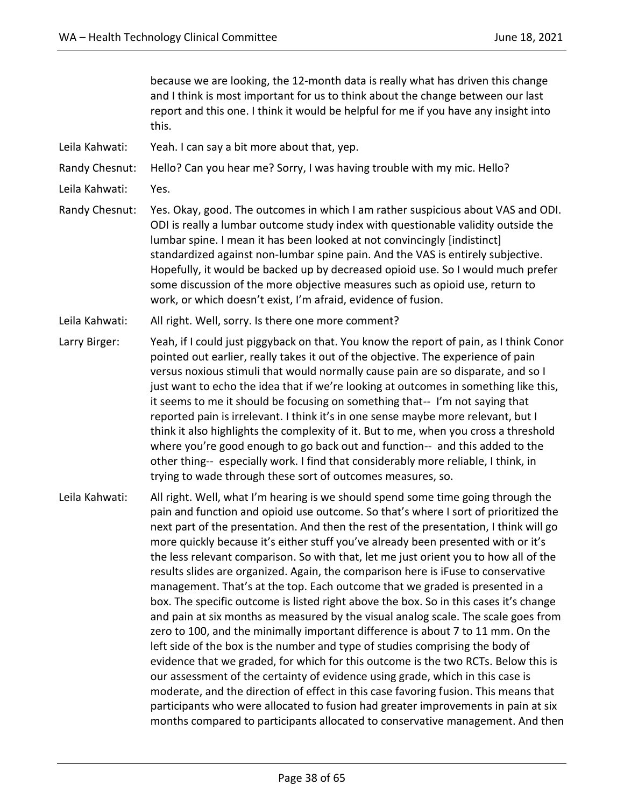because we are looking, the 12-month data is really what has driven this change and I think is most important for us to think about the change between our last report and this one. I think it would be helpful for me if you have any insight into this.

Leila Kahwati: Yeah. I can say a bit more about that, yep.

Randy Chesnut: Hello? Can you hear me? Sorry, I was having trouble with my mic. Hello?

- Leila Kahwati: Yes.
- Randy Chesnut: Yes. Okay, good. The outcomes in which I am rather suspicious about VAS and ODI. ODI is really a lumbar outcome study index with questionable validity outside the lumbar spine. I mean it has been looked at not convincingly [indistinct] standardized against non-lumbar spine pain. And the VAS is entirely subjective. Hopefully, it would be backed up by decreased opioid use. So I would much prefer some discussion of the more objective measures such as opioid use, return to work, or which doesn't exist, I'm afraid, evidence of fusion.
- Leila Kahwati: All right. Well, sorry. Is there one more comment?
- Larry Birger: Yeah, if I could just piggyback on that. You know the report of pain, as I think Conor pointed out earlier, really takes it out of the objective. The experience of pain versus noxious stimuli that would normally cause pain are so disparate, and so I just want to echo the idea that if we're looking at outcomes in something like this, it seems to me it should be focusing on something that-- I'm not saying that reported pain is irrelevant. I think it's in one sense maybe more relevant, but I think it also highlights the complexity of it. But to me, when you cross a threshold where you're good enough to go back out and function-- and this added to the other thing-- especially work. I find that considerably more reliable, I think, in trying to wade through these sort of outcomes measures, so.
- Leila Kahwati: All right. Well, what I'm hearing is we should spend some time going through the pain and function and opioid use outcome. So that's where I sort of prioritized the next part of the presentation. And then the rest of the presentation, I think will go more quickly because it's either stuff you've already been presented with or it's the less relevant comparison. So with that, let me just orient you to how all of the results slides are organized. Again, the comparison here is iFuse to conservative management. That's at the top. Each outcome that we graded is presented in a box. The specific outcome is listed right above the box. So in this cases it's change and pain at six months as measured by the visual analog scale. The scale goes from zero to 100, and the minimally important difference is about 7 to 11 mm. On the left side of the box is the number and type of studies comprising the body of evidence that we graded, for which for this outcome is the two RCTs. Below this is our assessment of the certainty of evidence using grade, which in this case is moderate, and the direction of effect in this case favoring fusion. This means that participants who were allocated to fusion had greater improvements in pain at six months compared to participants allocated to conservative management. And then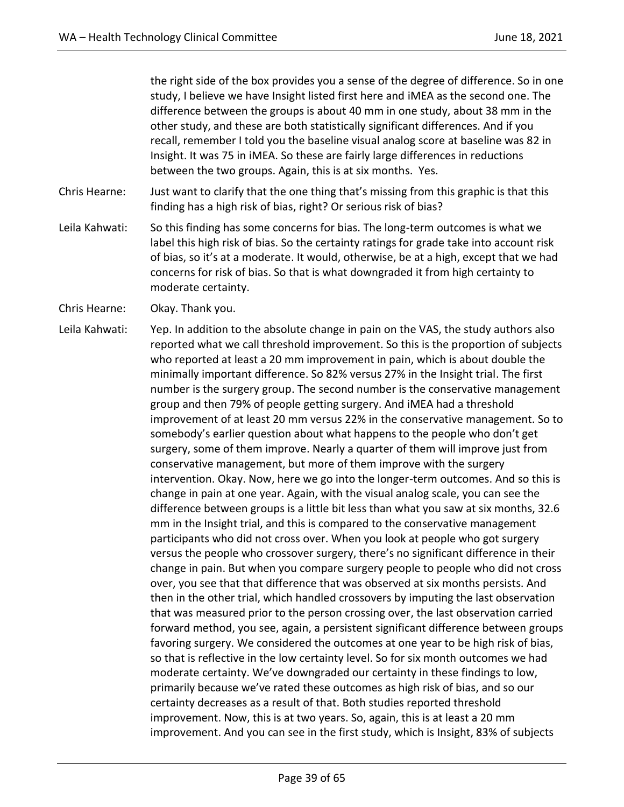the right side of the box provides you a sense of the degree of difference. So in one study, I believe we have Insight listed first here and iMEA as the second one. The difference between the groups is about 40 mm in one study, about 38 mm in the other study, and these are both statistically significant differences. And if you recall, remember I told you the baseline visual analog score at baseline was 82 in Insight. It was 75 in iMEA. So these are fairly large differences in reductions between the two groups. Again, this is at six months. Yes.

- Chris Hearne: Just want to clarify that the one thing that's missing from this graphic is that this finding has a high risk of bias, right? Or serious risk of bias?
- Leila Kahwati: So this finding has some concerns for bias. The long-term outcomes is what we label this high risk of bias. So the certainty ratings for grade take into account risk of bias, so it's at a moderate. It would, otherwise, be at a high, except that we had concerns for risk of bias. So that is what downgraded it from high certainty to moderate certainty.
- Chris Hearne: Okay. Thank you.
- Leila Kahwati: Yep. In addition to the absolute change in pain on the VAS, the study authors also reported what we call threshold improvement. So this is the proportion of subjects who reported at least a 20 mm improvement in pain, which is about double the minimally important difference. So 82% versus 27% in the Insight trial. The first number is the surgery group. The second number is the conservative management group and then 79% of people getting surgery. And iMEA had a threshold improvement of at least 20 mm versus 22% in the conservative management. So to somebody's earlier question about what happens to the people who don't get surgery, some of them improve. Nearly a quarter of them will improve just from conservative management, but more of them improve with the surgery intervention. Okay. Now, here we go into the longer-term outcomes. And so this is change in pain at one year. Again, with the visual analog scale, you can see the difference between groups is a little bit less than what you saw at six months, 32.6 mm in the Insight trial, and this is compared to the conservative management participants who did not cross over. When you look at people who got surgery versus the people who crossover surgery, there's no significant difference in their change in pain. But when you compare surgery people to people who did not cross over, you see that that difference that was observed at six months persists. And then in the other trial, which handled crossovers by imputing the last observation that was measured prior to the person crossing over, the last observation carried forward method, you see, again, a persistent significant difference between groups favoring surgery. We considered the outcomes at one year to be high risk of bias, so that is reflective in the low certainty level. So for six month outcomes we had moderate certainty. We've downgraded our certainty in these findings to low, primarily because we've rated these outcomes as high risk of bias, and so our certainty decreases as a result of that. Both studies reported threshold improvement. Now, this is at two years. So, again, this is at least a 20 mm improvement. And you can see in the first study, which is Insight, 83% of subjects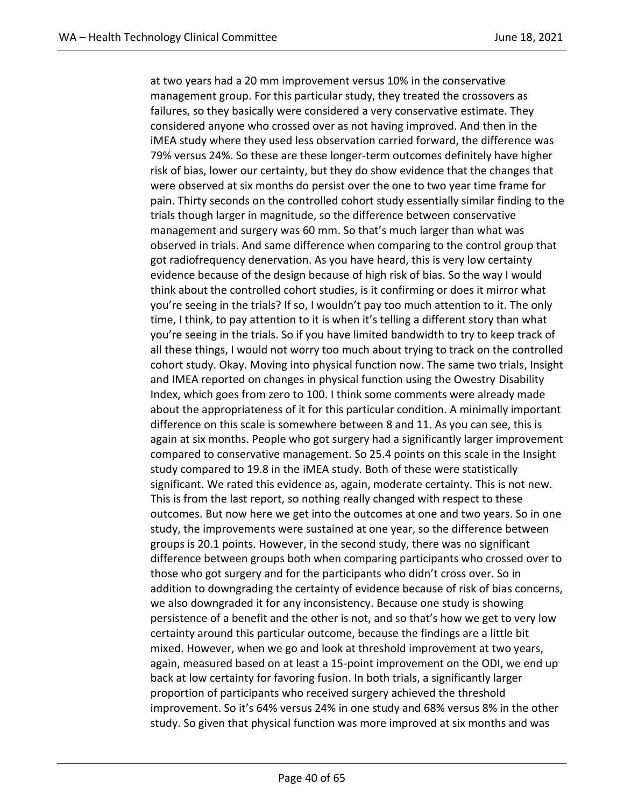at two years had a 20 mm improvement versus 10% in the conservative management group. For this particular study, they treated the crossovers as failures, so they basically were considered a very conservative estimate. They considered anyone who crossed over as not having improved. And then in the iMEA study where they used less observation carried forward, the difference was 79% versus 24%. So these are these longer-term outcomes definitely have higher risk of bias, lower our certainty, but they do show evidence that the changes that were observed at six months do persist over the one to two year time frame for pain. Thirty seconds on the controlled cohort study essentially similar finding to the trials though larger in magnitude, so the difference between conservative management and surgery was 60 mm. So that's much larger than what was observed in trials. And same difference when comparing to the control group that got radiofrequency denervation. As you have heard, this is very low certainty evidence because of the design because of high risk of bias. So the way I would think about the controlled cohort studies, is it confirming or does it mirror what you're seeing in the trials? If so, I wouldn't pay too much attention to it. The only time, I think, to pay attention to it is when it's telling a different story than what you're seeing in the trials. So if you have limited bandwidth to try to keep track of all these things, I would not worry too much about trying to track on the controlled cohort study. Okay. Moving into physical function now. The same two trials, Insight and IMEA reported on changes in physical function using the Owestry Disability Index, which goes from zero to 100. I think some comments were already made about the appropriateness of it for this particular condition. A minimally important difference on this scale is somewhere between 8 and 11. As you can see, this is again at six months. People who got surgery had a significantly larger improvement compared to conservative management. So 25.4 points on this scale in the Insight study compared to 19.8 in the iMEA study. Both of these were statistically significant. We rated this evidence as, again, moderate certainty. This is not new. This is from the last report, so nothing really changed with respect to these outcomes. But now here we get into the outcomes at one and two years. So in one study, the improvements were sustained at one year, so the difference between groups is 20.1 points. However, in the second study, there was no significant difference between groups both when comparing participants who crossed over to those who got surgery and for the participants who didn't cross over. So in addition to downgrading the certainty of evidence because of risk of bias concerns, we also downgraded it for any inconsistency. Because one study is showing persistence of a benefit and the other is not, and so that's how we get to very low certainty around this particular outcome, because the findings are a little bit mixed. However, when we go and look at threshold improvement at two years, again, measured based on at least a 15-point improvement on the ODI, we end up back at low certainty for favoring fusion. In both trials, a significantly larger proportion of participants who received surgery achieved the threshold improvement. So it's 64% versus 24% in one study and 68% versus 8% in the other study. So given that physical function was more improved at six months and was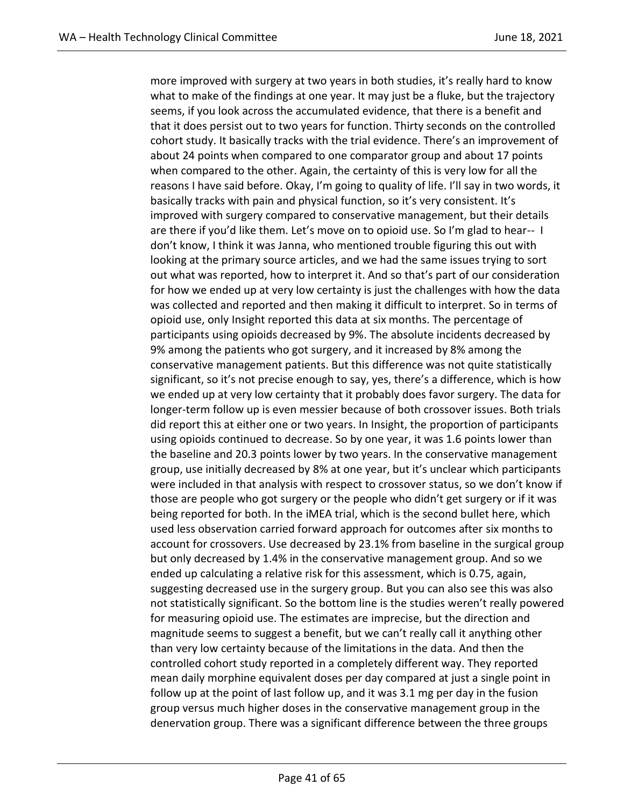more improved with surgery at two years in both studies, it's really hard to know what to make of the findings at one year. It may just be a fluke, but the trajectory seems, if you look across the accumulated evidence, that there is a benefit and that it does persist out to two years for function. Thirty seconds on the controlled cohort study. It basically tracks with the trial evidence. There's an improvement of about 24 points when compared to one comparator group and about 17 points when compared to the other. Again, the certainty of this is very low for all the reasons I have said before. Okay, I'm going to quality of life. I'll say in two words, it basically tracks with pain and physical function, so it's very consistent. It's improved with surgery compared to conservative management, but their details are there if you'd like them. Let's move on to opioid use. So I'm glad to hear-- I don't know, I think it was Janna, who mentioned trouble figuring this out with looking at the primary source articles, and we had the same issues trying to sort out what was reported, how to interpret it. And so that's part of our consideration for how we ended up at very low certainty is just the challenges with how the data was collected and reported and then making it difficult to interpret. So in terms of opioid use, only Insight reported this data at six months. The percentage of participants using opioids decreased by 9%. The absolute incidents decreased by 9% among the patients who got surgery, and it increased by 8% among the conservative management patients. But this difference was not quite statistically significant, so it's not precise enough to say, yes, there's a difference, which is how we ended up at very low certainty that it probably does favor surgery. The data for longer-term follow up is even messier because of both crossover issues. Both trials did report this at either one or two years. In Insight, the proportion of participants using opioids continued to decrease. So by one year, it was 1.6 points lower than the baseline and 20.3 points lower by two years. In the conservative management group, use initially decreased by 8% at one year, but it's unclear which participants were included in that analysis with respect to crossover status, so we don't know if those are people who got surgery or the people who didn't get surgery or if it was being reported for both. In the iMEA trial, which is the second bullet here, which used less observation carried forward approach for outcomes after six months to account for crossovers. Use decreased by 23.1% from baseline in the surgical group but only decreased by 1.4% in the conservative management group. And so we ended up calculating a relative risk for this assessment, which is 0.75, again, suggesting decreased use in the surgery group. But you can also see this was also not statistically significant. So the bottom line is the studies weren't really powered for measuring opioid use. The estimates are imprecise, but the direction and magnitude seems to suggest a benefit, but we can't really call it anything other than very low certainty because of the limitations in the data. And then the controlled cohort study reported in a completely different way. They reported mean daily morphine equivalent doses per day compared at just a single point in follow up at the point of last follow up, and it was 3.1 mg per day in the fusion group versus much higher doses in the conservative management group in the denervation group. There was a significant difference between the three groups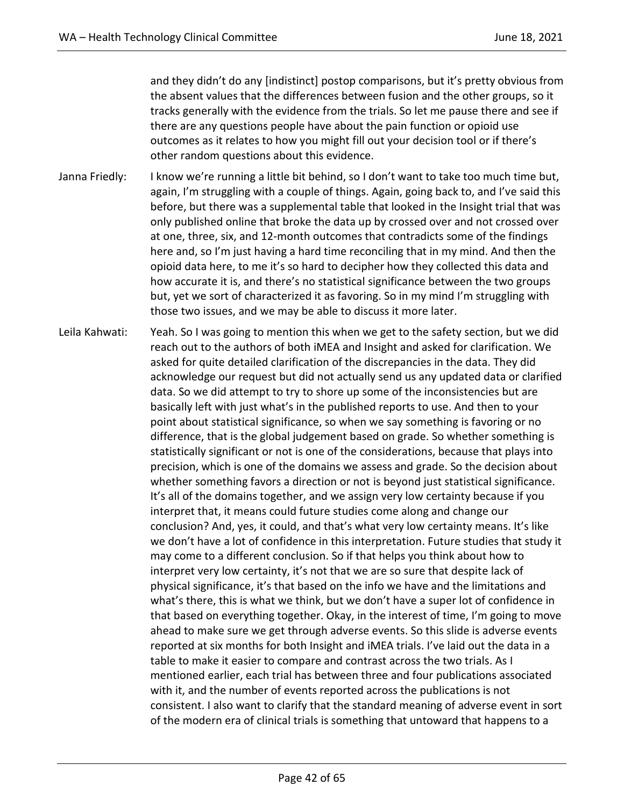and they didn't do any [indistinct] postop comparisons, but it's pretty obvious from the absent values that the differences between fusion and the other groups, so it tracks generally with the evidence from the trials. So let me pause there and see if there are any questions people have about the pain function or opioid use outcomes as it relates to how you might fill out your decision tool or if there's other random questions about this evidence.

- Janna Friedly: I know we're running a little bit behind, so I don't want to take too much time but, again, I'm struggling with a couple of things. Again, going back to, and I've said this before, but there was a supplemental table that looked in the Insight trial that was only published online that broke the data up by crossed over and not crossed over at one, three, six, and 12-month outcomes that contradicts some of the findings here and, so I'm just having a hard time reconciling that in my mind. And then the opioid data here, to me it's so hard to decipher how they collected this data and how accurate it is, and there's no statistical significance between the two groups but, yet we sort of characterized it as favoring. So in my mind I'm struggling with those two issues, and we may be able to discuss it more later.
- Leila Kahwati: Yeah. So I was going to mention this when we get to the safety section, but we did reach out to the authors of both iMEA and Insight and asked for clarification. We asked for quite detailed clarification of the discrepancies in the data. They did acknowledge our request but did not actually send us any updated data or clarified data. So we did attempt to try to shore up some of the inconsistencies but are basically left with just what's in the published reports to use. And then to your point about statistical significance, so when we say something is favoring or no difference, that is the global judgement based on grade. So whether something is statistically significant or not is one of the considerations, because that plays into precision, which is one of the domains we assess and grade. So the decision about whether something favors a direction or not is beyond just statistical significance. It's all of the domains together, and we assign very low certainty because if you interpret that, it means could future studies come along and change our conclusion? And, yes, it could, and that's what very low certainty means. It's like we don't have a lot of confidence in this interpretation. Future studies that study it may come to a different conclusion. So if that helps you think about how to interpret very low certainty, it's not that we are so sure that despite lack of physical significance, it's that based on the info we have and the limitations and what's there, this is what we think, but we don't have a super lot of confidence in that based on everything together. Okay, in the interest of time, I'm going to move ahead to make sure we get through adverse events. So this slide is adverse events reported at six months for both Insight and iMEA trials. I've laid out the data in a table to make it easier to compare and contrast across the two trials. As I mentioned earlier, each trial has between three and four publications associated with it, and the number of events reported across the publications is not consistent. I also want to clarify that the standard meaning of adverse event in sort of the modern era of clinical trials is something that untoward that happens to a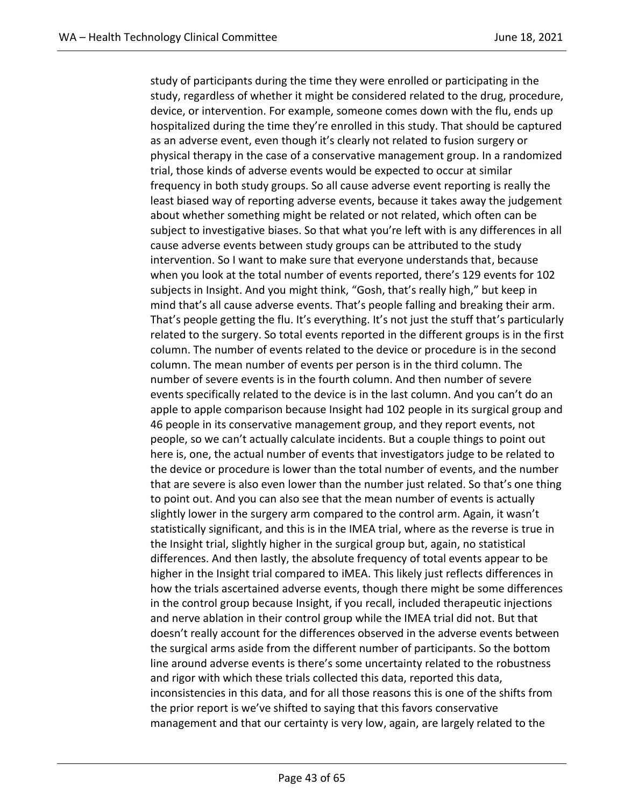study of participants during the time they were enrolled or participating in the study, regardless of whether it might be considered related to the drug, procedure, device, or intervention. For example, someone comes down with the flu, ends up hospitalized during the time they're enrolled in this study. That should be captured as an adverse event, even though it's clearly not related to fusion surgery or physical therapy in the case of a conservative management group. In a randomized trial, those kinds of adverse events would be expected to occur at similar frequency in both study groups. So all cause adverse event reporting is really the least biased way of reporting adverse events, because it takes away the judgement about whether something might be related or not related, which often can be subject to investigative biases. So that what you're left with is any differences in all cause adverse events between study groups can be attributed to the study intervention. So I want to make sure that everyone understands that, because when you look at the total number of events reported, there's 129 events for 102 subjects in Insight. And you might think, "Gosh, that's really high," but keep in mind that's all cause adverse events. That's people falling and breaking their arm. That's people getting the flu. It's everything. It's not just the stuff that's particularly related to the surgery. So total events reported in the different groups is in the first column. The number of events related to the device or procedure is in the second column. The mean number of events per person is in the third column. The number of severe events is in the fourth column. And then number of severe events specifically related to the device is in the last column. And you can't do an apple to apple comparison because Insight had 102 people in its surgical group and 46 people in its conservative management group, and they report events, not people, so we can't actually calculate incidents. But a couple things to point out here is, one, the actual number of events that investigators judge to be related to the device or procedure is lower than the total number of events, and the number that are severe is also even lower than the number just related. So that's one thing to point out. And you can also see that the mean number of events is actually slightly lower in the surgery arm compared to the control arm. Again, it wasn't statistically significant, and this is in the IMEA trial, where as the reverse is true in the Insight trial, slightly higher in the surgical group but, again, no statistical differences. And then lastly, the absolute frequency of total events appear to be higher in the Insight trial compared to iMEA. This likely just reflects differences in how the trials ascertained adverse events, though there might be some differences in the control group because Insight, if you recall, included therapeutic injections and nerve ablation in their control group while the IMEA trial did not. But that doesn't really account for the differences observed in the adverse events between the surgical arms aside from the different number of participants. So the bottom line around adverse events is there's some uncertainty related to the robustness and rigor with which these trials collected this data, reported this data, inconsistencies in this data, and for all those reasons this is one of the shifts from the prior report is we've shifted to saying that this favors conservative management and that our certainty is very low, again, are largely related to the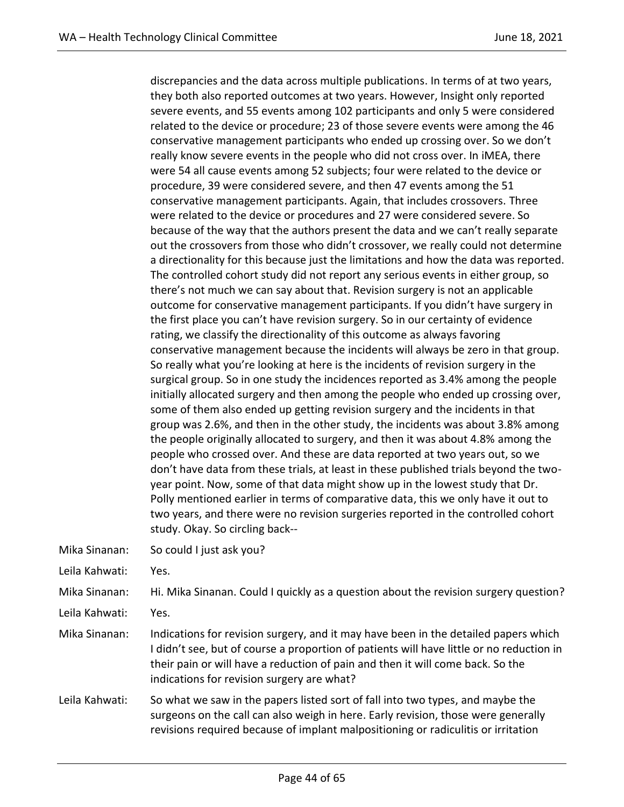discrepancies and the data across multiple publications. In terms of at two years, they both also reported outcomes at two years. However, Insight only reported severe events, and 55 events among 102 participants and only 5 were considered related to the device or procedure; 23 of those severe events were among the 46 conservative management participants who ended up crossing over. So we don't really know severe events in the people who did not cross over. In iMEA, there were 54 all cause events among 52 subjects; four were related to the device or procedure, 39 were considered severe, and then 47 events among the 51 conservative management participants. Again, that includes crossovers. Three were related to the device or procedures and 27 were considered severe. So because of the way that the authors present the data and we can't really separate out the crossovers from those who didn't crossover, we really could not determine a directionality for this because just the limitations and how the data was reported. The controlled cohort study did not report any serious events in either group, so there's not much we can say about that. Revision surgery is not an applicable outcome for conservative management participants. If you didn't have surgery in the first place you can't have revision surgery. So in our certainty of evidence rating, we classify the directionality of this outcome as always favoring conservative management because the incidents will always be zero in that group. So really what you're looking at here is the incidents of revision surgery in the surgical group. So in one study the incidences reported as 3.4% among the people initially allocated surgery and then among the people who ended up crossing over, some of them also ended up getting revision surgery and the incidents in that group was 2.6%, and then in the other study, the incidents was about 3.8% among the people originally allocated to surgery, and then it was about 4.8% among the people who crossed over. And these are data reported at two years out, so we don't have data from these trials, at least in these published trials beyond the twoyear point. Now, some of that data might show up in the lowest study that Dr. Polly mentioned earlier in terms of comparative data, this we only have it out to two years, and there were no revision surgeries reported in the controlled cohort study. Okay. So circling back--

- Mika Sinanan: So could I just ask you?
- Leila Kahwati: Yes.

Mika Sinanan: Hi. Mika Sinanan. Could I quickly as a question about the revision surgery question?

- Leila Kahwati: Yes.
- Mika Sinanan: Indications for revision surgery, and it may have been in the detailed papers which I didn't see, but of course a proportion of patients will have little or no reduction in their pain or will have a reduction of pain and then it will come back. So the indications for revision surgery are what?
- Leila Kahwati: So what we saw in the papers listed sort of fall into two types, and maybe the surgeons on the call can also weigh in here. Early revision, those were generally revisions required because of implant malpositioning or radiculitis or irritation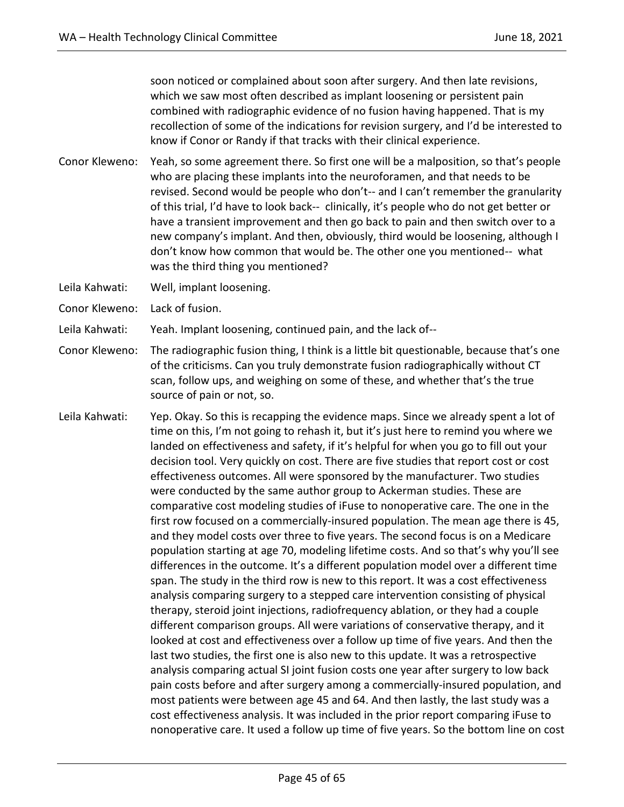soon noticed or complained about soon after surgery. And then late revisions, which we saw most often described as implant loosening or persistent pain combined with radiographic evidence of no fusion having happened. That is my recollection of some of the indications for revision surgery, and I'd be interested to know if Conor or Randy if that tracks with their clinical experience.

- Conor Kleweno: Yeah, so some agreement there. So first one will be a malposition, so that's people who are placing these implants into the neuroforamen, and that needs to be revised. Second would be people who don't-- and I can't remember the granularity of this trial, I'd have to look back-- clinically, it's people who do not get better or have a transient improvement and then go back to pain and then switch over to a new company's implant. And then, obviously, third would be loosening, although I don't know how common that would be. The other one you mentioned-- what was the third thing you mentioned?
- Leila Kahwati: Well, implant loosening.
- Conor Kleweno: Lack of fusion.

Leila Kahwati: Yeah. Implant loosening, continued pain, and the lack of--

- Conor Kleweno: The radiographic fusion thing, I think is a little bit questionable, because that's one of the criticisms. Can you truly demonstrate fusion radiographically without CT scan, follow ups, and weighing on some of these, and whether that's the true source of pain or not, so.
- Leila Kahwati: Yep. Okay. So this is recapping the evidence maps. Since we already spent a lot of time on this, I'm not going to rehash it, but it's just here to remind you where we landed on effectiveness and safety, if it's helpful for when you go to fill out your decision tool. Very quickly on cost. There are five studies that report cost or cost effectiveness outcomes. All were sponsored by the manufacturer. Two studies were conducted by the same author group to Ackerman studies. These are comparative cost modeling studies of iFuse to nonoperative care. The one in the first row focused on a commercially-insured population. The mean age there is 45, and they model costs over three to five years. The second focus is on a Medicare population starting at age 70, modeling lifetime costs. And so that's why you'll see differences in the outcome. It's a different population model over a different time span. The study in the third row is new to this report. It was a cost effectiveness analysis comparing surgery to a stepped care intervention consisting of physical therapy, steroid joint injections, radiofrequency ablation, or they had a couple different comparison groups. All were variations of conservative therapy, and it looked at cost and effectiveness over a follow up time of five years. And then the last two studies, the first one is also new to this update. It was a retrospective analysis comparing actual SI joint fusion costs one year after surgery to low back pain costs before and after surgery among a commercially-insured population, and most patients were between age 45 and 64. And then lastly, the last study was a cost effectiveness analysis. It was included in the prior report comparing iFuse to nonoperative care. It used a follow up time of five years. So the bottom line on cost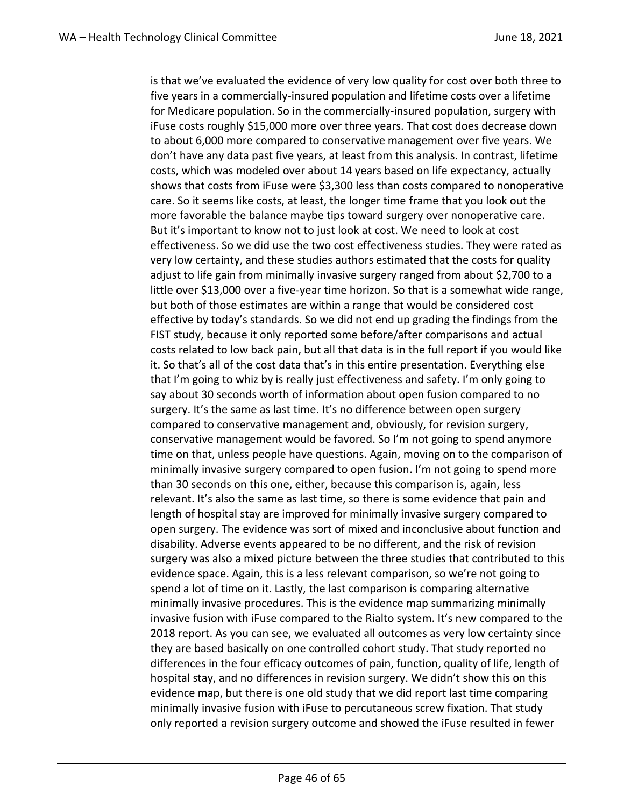is that we've evaluated the evidence of very low quality for cost over both three to five years in a commercially-insured population and lifetime costs over a lifetime for Medicare population. So in the commercially-insured population, surgery with iFuse costs roughly \$15,000 more over three years. That cost does decrease down to about 6,000 more compared to conservative management over five years. We don't have any data past five years, at least from this analysis. In contrast, lifetime costs, which was modeled over about 14 years based on life expectancy, actually shows that costs from iFuse were \$3,300 less than costs compared to nonoperative care. So it seems like costs, at least, the longer time frame that you look out the more favorable the balance maybe tips toward surgery over nonoperative care. But it's important to know not to just look at cost. We need to look at cost effectiveness. So we did use the two cost effectiveness studies. They were rated as very low certainty, and these studies authors estimated that the costs for quality adjust to life gain from minimally invasive surgery ranged from about \$2,700 to a little over \$13,000 over a five-year time horizon. So that is a somewhat wide range, but both of those estimates are within a range that would be considered cost effective by today's standards. So we did not end up grading the findings from the FIST study, because it only reported some before/after comparisons and actual costs related to low back pain, but all that data is in the full report if you would like it. So that's all of the cost data that's in this entire presentation. Everything else that I'm going to whiz by is really just effectiveness and safety. I'm only going to say about 30 seconds worth of information about open fusion compared to no surgery. It's the same as last time. It's no difference between open surgery compared to conservative management and, obviously, for revision surgery, conservative management would be favored. So I'm not going to spend anymore time on that, unless people have questions. Again, moving on to the comparison of minimally invasive surgery compared to open fusion. I'm not going to spend more than 30 seconds on this one, either, because this comparison is, again, less relevant. It's also the same as last time, so there is some evidence that pain and length of hospital stay are improved for minimally invasive surgery compared to open surgery. The evidence was sort of mixed and inconclusive about function and disability. Adverse events appeared to be no different, and the risk of revision surgery was also a mixed picture between the three studies that contributed to this evidence space. Again, this is a less relevant comparison, so we're not going to spend a lot of time on it. Lastly, the last comparison is comparing alternative minimally invasive procedures. This is the evidence map summarizing minimally invasive fusion with iFuse compared to the Rialto system. It's new compared to the 2018 report. As you can see, we evaluated all outcomes as very low certainty since they are based basically on one controlled cohort study. That study reported no differences in the four efficacy outcomes of pain, function, quality of life, length of hospital stay, and no differences in revision surgery. We didn't show this on this evidence map, but there is one old study that we did report last time comparing minimally invasive fusion with iFuse to percutaneous screw fixation. That study only reported a revision surgery outcome and showed the iFuse resulted in fewer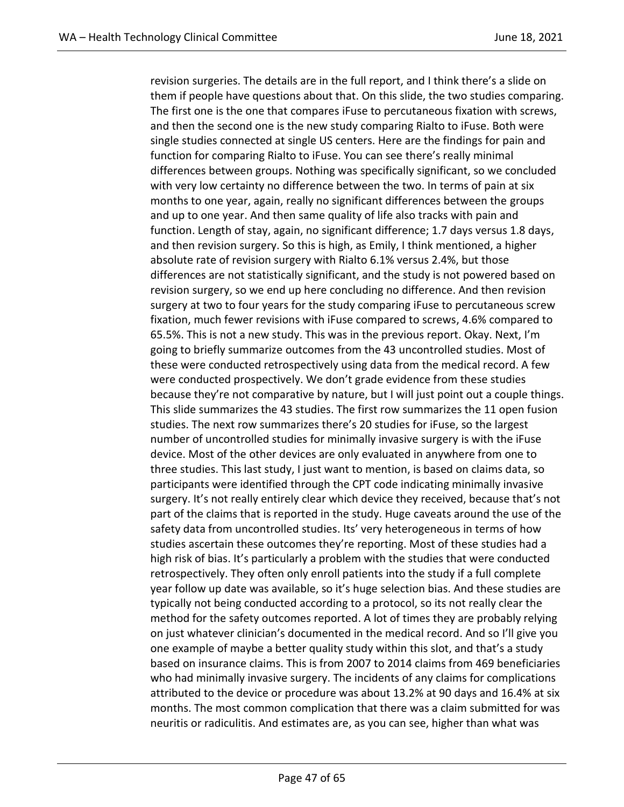revision surgeries. The details are in the full report, and I think there's a slide on them if people have questions about that. On this slide, the two studies comparing. The first one is the one that compares iFuse to percutaneous fixation with screws, and then the second one is the new study comparing Rialto to iFuse. Both were single studies connected at single US centers. Here are the findings for pain and function for comparing Rialto to iFuse. You can see there's really minimal differences between groups. Nothing was specifically significant, so we concluded with very low certainty no difference between the two. In terms of pain at six months to one year, again, really no significant differences between the groups and up to one year. And then same quality of life also tracks with pain and function. Length of stay, again, no significant difference; 1.7 days versus 1.8 days, and then revision surgery. So this is high, as Emily, I think mentioned, a higher absolute rate of revision surgery with Rialto 6.1% versus 2.4%, but those differences are not statistically significant, and the study is not powered based on revision surgery, so we end up here concluding no difference. And then revision surgery at two to four years for the study comparing iFuse to percutaneous screw fixation, much fewer revisions with iFuse compared to screws, 4.6% compared to 65.5%. This is not a new study. This was in the previous report. Okay. Next, I'm going to briefly summarize outcomes from the 43 uncontrolled studies. Most of these were conducted retrospectively using data from the medical record. A few were conducted prospectively. We don't grade evidence from these studies because they're not comparative by nature, but I will just point out a couple things. This slide summarizes the 43 studies. The first row summarizes the 11 open fusion studies. The next row summarizes there's 20 studies for iFuse, so the largest number of uncontrolled studies for minimally invasive surgery is with the iFuse device. Most of the other devices are only evaluated in anywhere from one to three studies. This last study, I just want to mention, is based on claims data, so participants were identified through the CPT code indicating minimally invasive surgery. It's not really entirely clear which device they received, because that's not part of the claims that is reported in the study. Huge caveats around the use of the safety data from uncontrolled studies. Its' very heterogeneous in terms of how studies ascertain these outcomes they're reporting. Most of these studies had a high risk of bias. It's particularly a problem with the studies that were conducted retrospectively. They often only enroll patients into the study if a full complete year follow up date was available, so it's huge selection bias. And these studies are typically not being conducted according to a protocol, so its not really clear the method for the safety outcomes reported. A lot of times they are probably relying on just whatever clinician's documented in the medical record. And so I'll give you one example of maybe a better quality study within this slot, and that's a study based on insurance claims. This is from 2007 to 2014 claims from 469 beneficiaries who had minimally invasive surgery. The incidents of any claims for complications attributed to the device or procedure was about 13.2% at 90 days and 16.4% at six months. The most common complication that there was a claim submitted for was neuritis or radiculitis. And estimates are, as you can see, higher than what was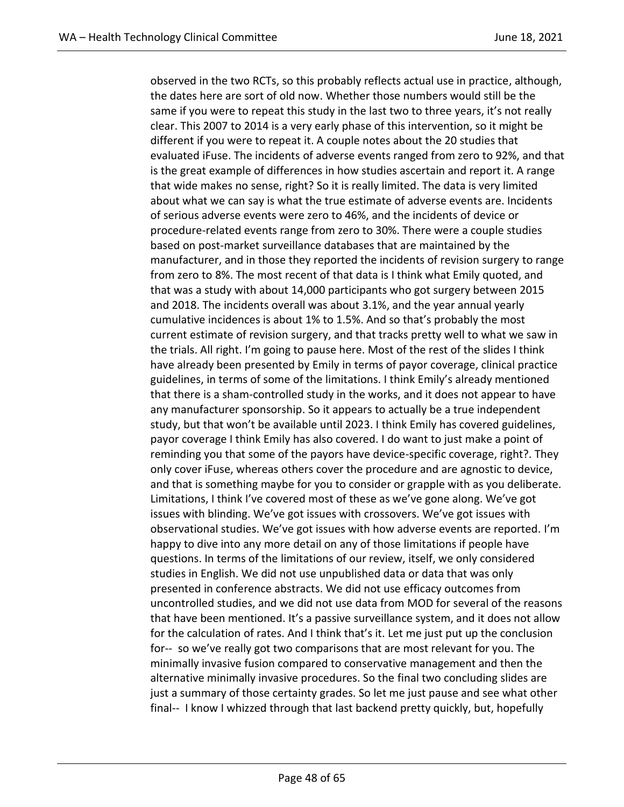observed in the two RCTs, so this probably reflects actual use in practice, although, the dates here are sort of old now. Whether those numbers would still be the same if you were to repeat this study in the last two to three years, it's not really clear. This 2007 to 2014 is a very early phase of this intervention, so it might be different if you were to repeat it. A couple notes about the 20 studies that evaluated iFuse. The incidents of adverse events ranged from zero to 92%, and that is the great example of differences in how studies ascertain and report it. A range that wide makes no sense, right? So it is really limited. The data is very limited about what we can say is what the true estimate of adverse events are. Incidents of serious adverse events were zero to 46%, and the incidents of device or procedure-related events range from zero to 30%. There were a couple studies based on post-market surveillance databases that are maintained by the manufacturer, and in those they reported the incidents of revision surgery to range from zero to 8%. The most recent of that data is I think what Emily quoted, and that was a study with about 14,000 participants who got surgery between 2015 and 2018. The incidents overall was about 3.1%, and the year annual yearly cumulative incidences is about 1% to 1.5%. And so that's probably the most current estimate of revision surgery, and that tracks pretty well to what we saw in the trials. All right. I'm going to pause here. Most of the rest of the slides I think have already been presented by Emily in terms of payor coverage, clinical practice guidelines, in terms of some of the limitations. I think Emily's already mentioned that there is a sham-controlled study in the works, and it does not appear to have any manufacturer sponsorship. So it appears to actually be a true independent study, but that won't be available until 2023. I think Emily has covered guidelines, payor coverage I think Emily has also covered. I do want to just make a point of reminding you that some of the payors have device-specific coverage, right?. They only cover iFuse, whereas others cover the procedure and are agnostic to device, and that is something maybe for you to consider or grapple with as you deliberate. Limitations, I think I've covered most of these as we've gone along. We've got issues with blinding. We've got issues with crossovers. We've got issues with observational studies. We've got issues with how adverse events are reported. I'm happy to dive into any more detail on any of those limitations if people have questions. In terms of the limitations of our review, itself, we only considered studies in English. We did not use unpublished data or data that was only presented in conference abstracts. We did not use efficacy outcomes from uncontrolled studies, and we did not use data from MOD for several of the reasons that have been mentioned. It's a passive surveillance system, and it does not allow for the calculation of rates. And I think that's it. Let me just put up the conclusion for-- so we've really got two comparisons that are most relevant for you. The minimally invasive fusion compared to conservative management and then the alternative minimally invasive procedures. So the final two concluding slides are just a summary of those certainty grades. So let me just pause and see what other final-- I know I whizzed through that last backend pretty quickly, but, hopefully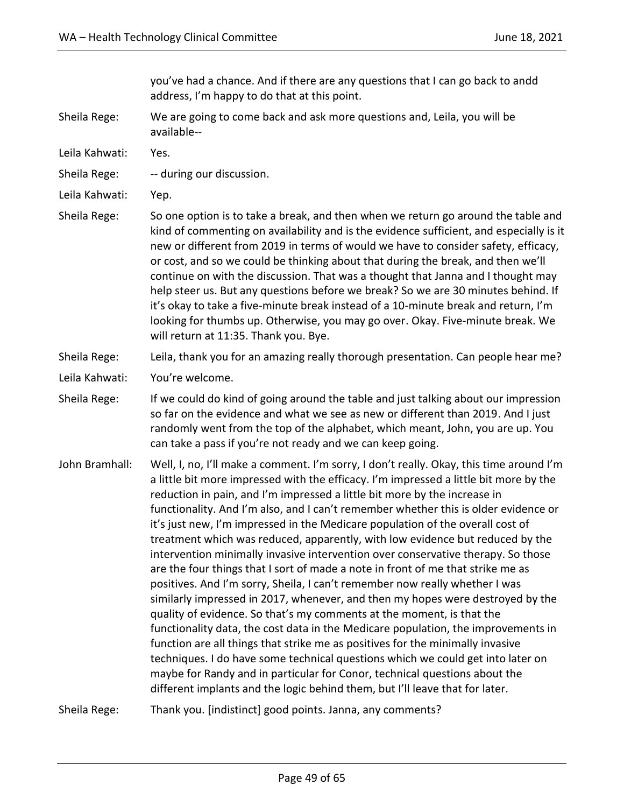you've had a chance. And if there are any questions that I can go back to andd address, I'm happy to do that at this point.

- Sheila Rege: We are going to come back and ask more questions and, Leila, you will be available--
- Leila Kahwati: Yes.
- Sheila Rege: -- during our discussion.
- Leila Kahwati: Yep.
- Sheila Rege: So one option is to take a break, and then when we return go around the table and kind of commenting on availability and is the evidence sufficient, and especially is it new or different from 2019 in terms of would we have to consider safety, efficacy, or cost, and so we could be thinking about that during the break, and then we'll continue on with the discussion. That was a thought that Janna and I thought may help steer us. But any questions before we break? So we are 30 minutes behind. If it's okay to take a five-minute break instead of a 10-minute break and return, I'm looking for thumbs up. Otherwise, you may go over. Okay. Five-minute break. We will return at 11:35. Thank you. Bye.

## Sheila Rege: Leila, thank you for an amazing really thorough presentation. Can people hear me?

- Leila Kahwati: You're welcome.
- Sheila Rege: If we could do kind of going around the table and just talking about our impression so far on the evidence and what we see as new or different than 2019. And I just randomly went from the top of the alphabet, which meant, John, you are up. You can take a pass if you're not ready and we can keep going.
- John Bramhall: Well, I, no, I'll make a comment. I'm sorry, I don't really. Okay, this time around I'm a little bit more impressed with the efficacy. I'm impressed a little bit more by the reduction in pain, and I'm impressed a little bit more by the increase in functionality. And I'm also, and I can't remember whether this is older evidence or it's just new, I'm impressed in the Medicare population of the overall cost of treatment which was reduced, apparently, with low evidence but reduced by the intervention minimally invasive intervention over conservative therapy. So those are the four things that I sort of made a note in front of me that strike me as positives. And I'm sorry, Sheila, I can't remember now really whether I was similarly impressed in 2017, whenever, and then my hopes were destroyed by the quality of evidence. So that's my comments at the moment, is that the functionality data, the cost data in the Medicare population, the improvements in function are all things that strike me as positives for the minimally invasive techniques. I do have some technical questions which we could get into later on maybe for Randy and in particular for Conor, technical questions about the different implants and the logic behind them, but I'll leave that for later.

Sheila Rege: Thank you. [indistinct] good points. Janna, any comments?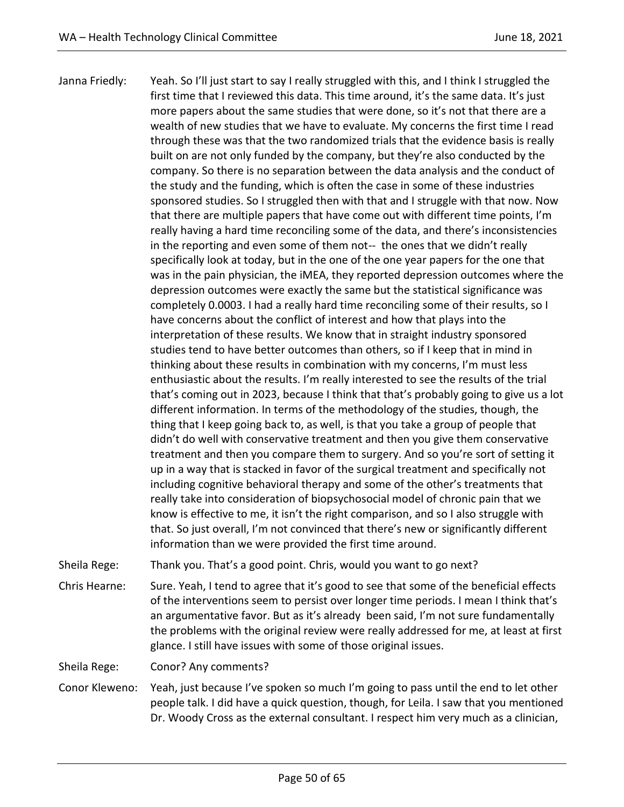Janna Friedly: Yeah. So I'll just start to say I really struggled with this, and I think I struggled the first time that I reviewed this data. This time around, it's the same data. It's just more papers about the same studies that were done, so it's not that there are a wealth of new studies that we have to evaluate. My concerns the first time I read through these was that the two randomized trials that the evidence basis is really built on are not only funded by the company, but they're also conducted by the company. So there is no separation between the data analysis and the conduct of the study and the funding, which is often the case in some of these industries sponsored studies. So I struggled then with that and I struggle with that now. Now that there are multiple papers that have come out with different time points, I'm really having a hard time reconciling some of the data, and there's inconsistencies in the reporting and even some of them not-- the ones that we didn't really specifically look at today, but in the one of the one year papers for the one that was in the pain physician, the iMEA, they reported depression outcomes where the depression outcomes were exactly the same but the statistical significance was completely 0.0003. I had a really hard time reconciling some of their results, so I have concerns about the conflict of interest and how that plays into the interpretation of these results. We know that in straight industry sponsored studies tend to have better outcomes than others, so if I keep that in mind in thinking about these results in combination with my concerns, I'm must less enthusiastic about the results. I'm really interested to see the results of the trial that's coming out in 2023, because I think that that's probably going to give us a lot different information. In terms of the methodology of the studies, though, the thing that I keep going back to, as well, is that you take a group of people that didn't do well with conservative treatment and then you give them conservative treatment and then you compare them to surgery. And so you're sort of setting it up in a way that is stacked in favor of the surgical treatment and specifically not including cognitive behavioral therapy and some of the other's treatments that really take into consideration of biopsychosocial model of chronic pain that we know is effective to me, it isn't the right comparison, and so I also struggle with that. So just overall, I'm not convinced that there's new or significantly different information than we were provided the first time around.

Sheila Rege: Thank you. That's a good point. Chris, would you want to go next?

Chris Hearne: Sure. Yeah, I tend to agree that it's good to see that some of the beneficial effects of the interventions seem to persist over longer time periods. I mean I think that's an argumentative favor. But as it's already been said, I'm not sure fundamentally the problems with the original review were really addressed for me, at least at first glance. I still have issues with some of those original issues.

Sheila Rege: Conor? Any comments?

Conor Kleweno: Yeah, just because I've spoken so much I'm going to pass until the end to let other people talk. I did have a quick question, though, for Leila. I saw that you mentioned Dr. Woody Cross as the external consultant. I respect him very much as a clinician,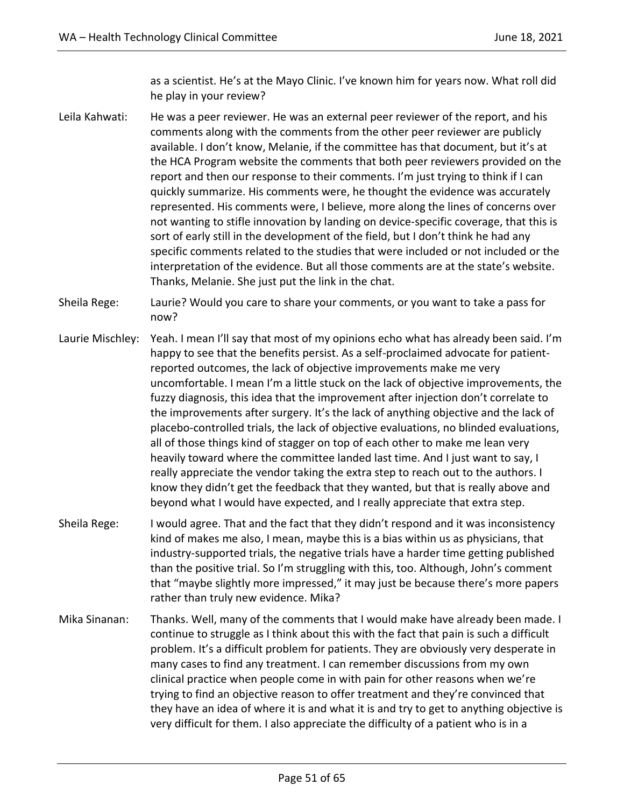as a scientist. He's at the Mayo Clinic. I've known him for years now. What roll did he play in your review?

- Leila Kahwati: He was a peer reviewer. He was an external peer reviewer of the report, and his comments along with the comments from the other peer reviewer are publicly available. I don't know, Melanie, if the committee has that document, but it's at the HCA Program website the comments that both peer reviewers provided on the report and then our response to their comments. I'm just trying to think if I can quickly summarize. His comments were, he thought the evidence was accurately represented. His comments were, I believe, more along the lines of concerns over not wanting to stifle innovation by landing on device-specific coverage, that this is sort of early still in the development of the field, but I don't think he had any specific comments related to the studies that were included or not included or the interpretation of the evidence. But all those comments are at the state's website. Thanks, Melanie. She just put the link in the chat.
- Sheila Rege: Laurie? Would you care to share your comments, or you want to take a pass for now?
- Laurie Mischley: Yeah. I mean I'll say that most of my opinions echo what has already been said. I'm happy to see that the benefits persist. As a self-proclaimed advocate for patientreported outcomes, the lack of objective improvements make me very uncomfortable. I mean I'm a little stuck on the lack of objective improvements, the fuzzy diagnosis, this idea that the improvement after injection don't correlate to the improvements after surgery. It's the lack of anything objective and the lack of placebo-controlled trials, the lack of objective evaluations, no blinded evaluations, all of those things kind of stagger on top of each other to make me lean very heavily toward where the committee landed last time. And I just want to say, I really appreciate the vendor taking the extra step to reach out to the authors. I know they didn't get the feedback that they wanted, but that is really above and beyond what I would have expected, and I really appreciate that extra step.
- Sheila Rege: I would agree. That and the fact that they didn't respond and it was inconsistency kind of makes me also, I mean, maybe this is a bias within us as physicians, that industry-supported trials, the negative trials have a harder time getting published than the positive trial. So I'm struggling with this, too. Although, John's comment that "maybe slightly more impressed," it may just be because there's more papers rather than truly new evidence. Mika?
- Mika Sinanan: Thanks. Well, many of the comments that I would make have already been made. I continue to struggle as I think about this with the fact that pain is such a difficult problem. It's a difficult problem for patients. They are obviously very desperate in many cases to find any treatment. I can remember discussions from my own clinical practice when people come in with pain for other reasons when we're trying to find an objective reason to offer treatment and they're convinced that they have an idea of where it is and what it is and try to get to anything objective is very difficult for them. I also appreciate the difficulty of a patient who is in a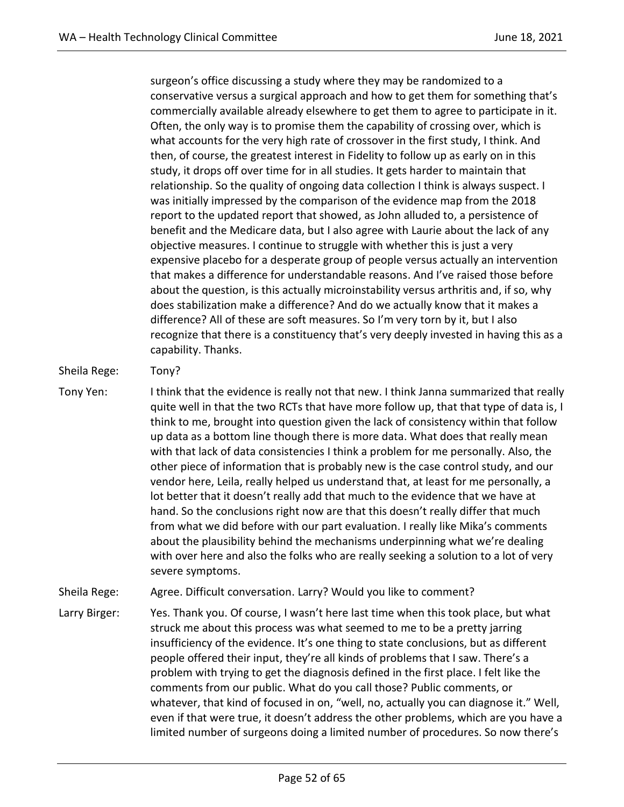surgeon's office discussing a study where they may be randomized to a conservative versus a surgical approach and how to get them for something that's commercially available already elsewhere to get them to agree to participate in it. Often, the only way is to promise them the capability of crossing over, which is what accounts for the very high rate of crossover in the first study, I think. And then, of course, the greatest interest in Fidelity to follow up as early on in this study, it drops off over time for in all studies. It gets harder to maintain that relationship. So the quality of ongoing data collection I think is always suspect. I was initially impressed by the comparison of the evidence map from the 2018 report to the updated report that showed, as John alluded to, a persistence of benefit and the Medicare data, but I also agree with Laurie about the lack of any objective measures. I continue to struggle with whether this is just a very expensive placebo for a desperate group of people versus actually an intervention that makes a difference for understandable reasons. And I've raised those before about the question, is this actually microinstability versus arthritis and, if so, why does stabilization make a difference? And do we actually know that it makes a difference? All of these are soft measures. So I'm very torn by it, but I also recognize that there is a constituency that's very deeply invested in having this as a capability. Thanks.

## Sheila Rege: Tony?

- Tony Yen: I think that the evidence is really not that new. I think Janna summarized that really quite well in that the two RCTs that have more follow up, that that type of data is, I think to me, brought into question given the lack of consistency within that follow up data as a bottom line though there is more data. What does that really mean with that lack of data consistencies I think a problem for me personally. Also, the other piece of information that is probably new is the case control study, and our vendor here, Leila, really helped us understand that, at least for me personally, a lot better that it doesn't really add that much to the evidence that we have at hand. So the conclusions right now are that this doesn't really differ that much from what we did before with our part evaluation. I really like Mika's comments about the plausibility behind the mechanisms underpinning what we're dealing with over here and also the folks who are really seeking a solution to a lot of very severe symptoms.
- Sheila Rege: Agree. Difficult conversation. Larry? Would you like to comment?
- Larry Birger: Yes. Thank you. Of course, I wasn't here last time when this took place, but what struck me about this process was what seemed to me to be a pretty jarring insufficiency of the evidence. It's one thing to state conclusions, but as different people offered their input, they're all kinds of problems that I saw. There's a problem with trying to get the diagnosis defined in the first place. I felt like the comments from our public. What do you call those? Public comments, or whatever, that kind of focused in on, "well, no, actually you can diagnose it." Well, even if that were true, it doesn't address the other problems, which are you have a limited number of surgeons doing a limited number of procedures. So now there's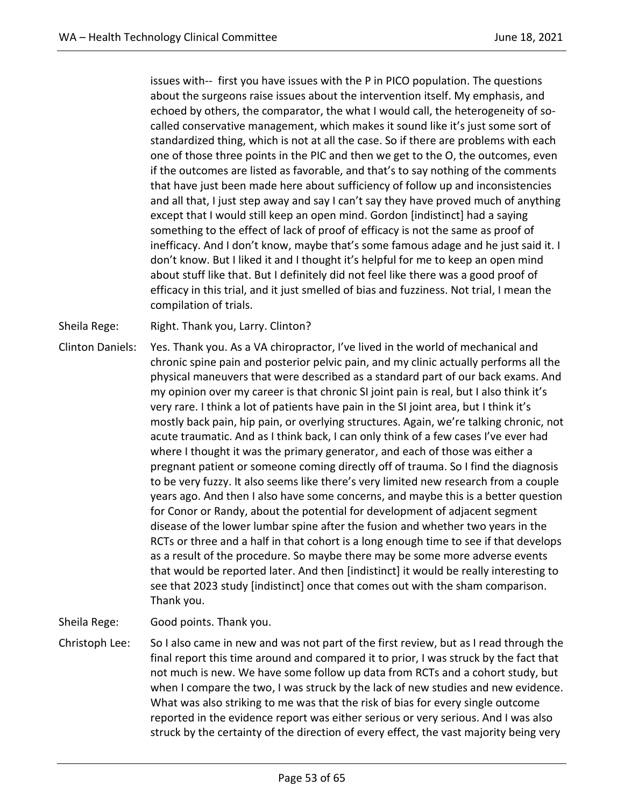issues with-- first you have issues with the P in PICO population. The questions about the surgeons raise issues about the intervention itself. My emphasis, and echoed by others, the comparator, the what I would call, the heterogeneity of socalled conservative management, which makes it sound like it's just some sort of standardized thing, which is not at all the case. So if there are problems with each one of those three points in the PIC and then we get to the O, the outcomes, even if the outcomes are listed as favorable, and that's to say nothing of the comments that have just been made here about sufficiency of follow up and inconsistencies and all that, I just step away and say I can't say they have proved much of anything except that I would still keep an open mind. Gordon [indistinct] had a saying something to the effect of lack of proof of efficacy is not the same as proof of inefficacy. And I don't know, maybe that's some famous adage and he just said it. I don't know. But I liked it and I thought it's helpful for me to keep an open mind about stuff like that. But I definitely did not feel like there was a good proof of efficacy in this trial, and it just smelled of bias and fuzziness. Not trial, I mean the compilation of trials.

Sheila Rege: Right. Thank you, Larry. Clinton?

Clinton Daniels: Yes. Thank you. As a VA chiropractor, I've lived in the world of mechanical and chronic spine pain and posterior pelvic pain, and my clinic actually performs all the physical maneuvers that were described as a standard part of our back exams. And my opinion over my career is that chronic SI joint pain is real, but I also think it's very rare. I think a lot of patients have pain in the SI joint area, but I think it's mostly back pain, hip pain, or overlying structures. Again, we're talking chronic, not acute traumatic. And as I think back, I can only think of a few cases I've ever had where I thought it was the primary generator, and each of those was either a pregnant patient or someone coming directly off of trauma. So I find the diagnosis to be very fuzzy. It also seems like there's very limited new research from a couple years ago. And then I also have some concerns, and maybe this is a better question for Conor or Randy, about the potential for development of adjacent segment disease of the lower lumbar spine after the fusion and whether two years in the RCTs or three and a half in that cohort is a long enough time to see if that develops as a result of the procedure. So maybe there may be some more adverse events that would be reported later. And then [indistinct] it would be really interesting to see that 2023 study [indistinct] once that comes out with the sham comparison. Thank you.

Sheila Rege: Good points. Thank you.

Christoph Lee: So I also came in new and was not part of the first review, but as I read through the final report this time around and compared it to prior, I was struck by the fact that not much is new. We have some follow up data from RCTs and a cohort study, but when I compare the two, I was struck by the lack of new studies and new evidence. What was also striking to me was that the risk of bias for every single outcome reported in the evidence report was either serious or very serious. And I was also struck by the certainty of the direction of every effect, the vast majority being very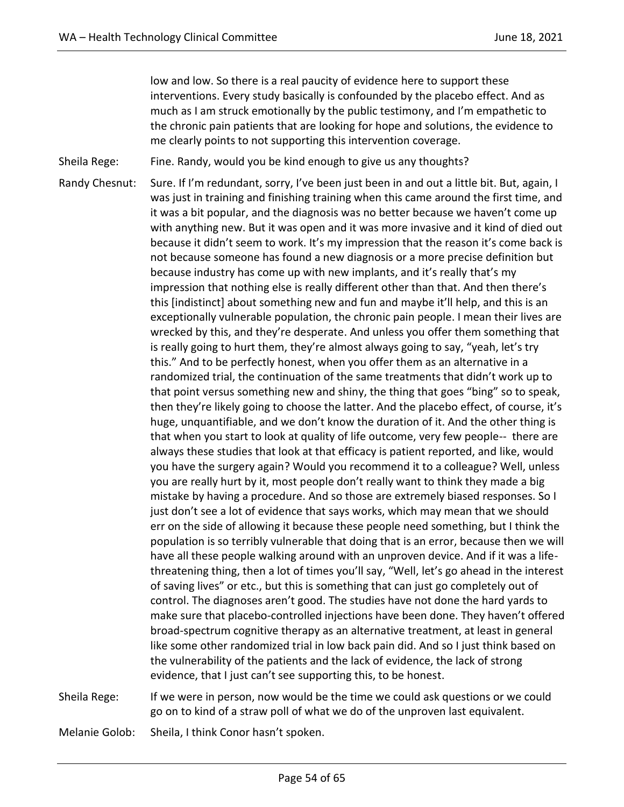low and low. So there is a real paucity of evidence here to support these interventions. Every study basically is confounded by the placebo effect. And as much as I am struck emotionally by the public testimony, and I'm empathetic to the chronic pain patients that are looking for hope and solutions, the evidence to me clearly points to not supporting this intervention coverage.

Sheila Rege: Fine. Randy, would you be kind enough to give us any thoughts?

Randy Chesnut: Sure. If I'm redundant, sorry, I've been just been in and out a little bit. But, again, I was just in training and finishing training when this came around the first time, and it was a bit popular, and the diagnosis was no better because we haven't come up with anything new. But it was open and it was more invasive and it kind of died out because it didn't seem to work. It's my impression that the reason it's come back is not because someone has found a new diagnosis or a more precise definition but because industry has come up with new implants, and it's really that's my impression that nothing else is really different other than that. And then there's this [indistinct] about something new and fun and maybe it'll help, and this is an exceptionally vulnerable population, the chronic pain people. I mean their lives are wrecked by this, and they're desperate. And unless you offer them something that is really going to hurt them, they're almost always going to say, "yeah, let's try this." And to be perfectly honest, when you offer them as an alternative in a randomized trial, the continuation of the same treatments that didn't work up to that point versus something new and shiny, the thing that goes "bing" so to speak, then they're likely going to choose the latter. And the placebo effect, of course, it's huge, unquantifiable, and we don't know the duration of it. And the other thing is that when you start to look at quality of life outcome, very few people-- there are always these studies that look at that efficacy is patient reported, and like, would you have the surgery again? Would you recommend it to a colleague? Well, unless you are really hurt by it, most people don't really want to think they made a big mistake by having a procedure. And so those are extremely biased responses. So I just don't see a lot of evidence that says works, which may mean that we should err on the side of allowing it because these people need something, but I think the population is so terribly vulnerable that doing that is an error, because then we will have all these people walking around with an unproven device. And if it was a lifethreatening thing, then a lot of times you'll say, "Well, let's go ahead in the interest of saving lives" or etc., but this is something that can just go completely out of control. The diagnoses aren't good. The studies have not done the hard yards to make sure that placebo-controlled injections have been done. They haven't offered broad-spectrum cognitive therapy as an alternative treatment, at least in general like some other randomized trial in low back pain did. And so I just think based on the vulnerability of the patients and the lack of evidence, the lack of strong evidence, that I just can't see supporting this, to be honest.

Sheila Rege: If we were in person, now would be the time we could ask questions or we could go on to kind of a straw poll of what we do of the unproven last equivalent.

Melanie Golob: Sheila, I think Conor hasn't spoken.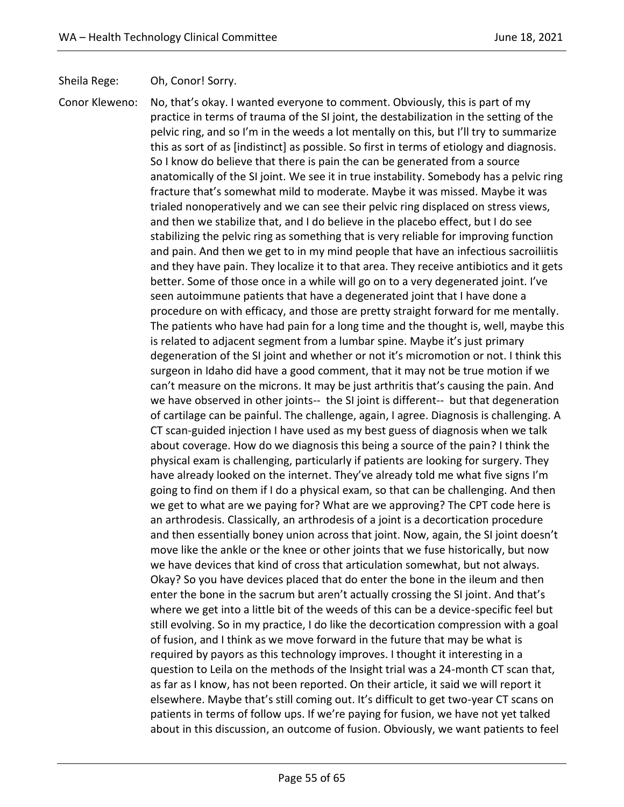Sheila Rege: Oh, Conor! Sorry.

practice in terms of trauma of the SI joint, the destabilization in the setting of the pelvic ring, and so I'm in the weeds a lot mentally on this, but I'll try to summarize this as sort of as [indistinct] as possible. So first in terms of etiology and diagnosis. So I know do believe that there is pain the can be generated from a source anatomically of the SI joint. We see it in true instability. Somebody has a pelvic ring fracture that's somewhat mild to moderate. Maybe it was missed. Maybe it was trialed nonoperatively and we can see their pelvic ring displaced on stress views, and then we stabilize that, and I do believe in the placebo effect, but I do see stabilizing the pelvic ring as something that is very reliable for improving function and pain. And then we get to in my mind people that have an infectious sacroiliitis and they have pain. They localize it to that area. They receive antibiotics and it gets better. Some of those once in a while will go on to a very degenerated joint. I've seen autoimmune patients that have a degenerated joint that I have done a procedure on with efficacy, and those are pretty straight forward for me mentally. The patients who have had pain for a long time and the thought is, well, maybe this is related to adjacent segment from a lumbar spine. Maybe it's just primary degeneration of the SI joint and whether or not it's micromotion or not. I think this surgeon in Idaho did have a good comment, that it may not be true motion if we can't measure on the microns. It may be just arthritis that's causing the pain. And we have observed in other joints-- the SI joint is different-- but that degeneration of cartilage can be painful. The challenge, again, I agree. Diagnosis is challenging. A CT scan-guided injection I have used as my best guess of diagnosis when we talk about coverage. How do we diagnosis this being a source of the pain? I think the physical exam is challenging, particularly if patients are looking for surgery. They have already looked on the internet. They've already told me what five signs I'm going to find on them if I do a physical exam, so that can be challenging. And then we get to what are we paying for? What are we approving? The CPT code here is an arthrodesis. Classically, an arthrodesis of a joint is a decortication procedure and then essentially boney union across that joint. Now, again, the SI joint doesn't move like the ankle or the knee or other joints that we fuse historically, but now we have devices that kind of cross that articulation somewhat, but not always. Okay? So you have devices placed that do enter the bone in the ileum and then enter the bone in the sacrum but aren't actually crossing the SI joint. And that's where we get into a little bit of the weeds of this can be a device-specific feel but still evolving. So in my practice, I do like the decortication compression with a goal of fusion, and I think as we move forward in the future that may be what is required by payors as this technology improves. I thought it interesting in a question to Leila on the methods of the Insight trial was a 24-month CT scan that, as far as I know, has not been reported. On their article, it said we will report it elsewhere. Maybe that's still coming out. It's difficult to get two-year CT scans on patients in terms of follow ups. If we're paying for fusion, we have not yet talked about in this discussion, an outcome of fusion. Obviously, we want patients to feel

Conor Kleweno: No, that's okay. I wanted everyone to comment. Obviously, this is part of my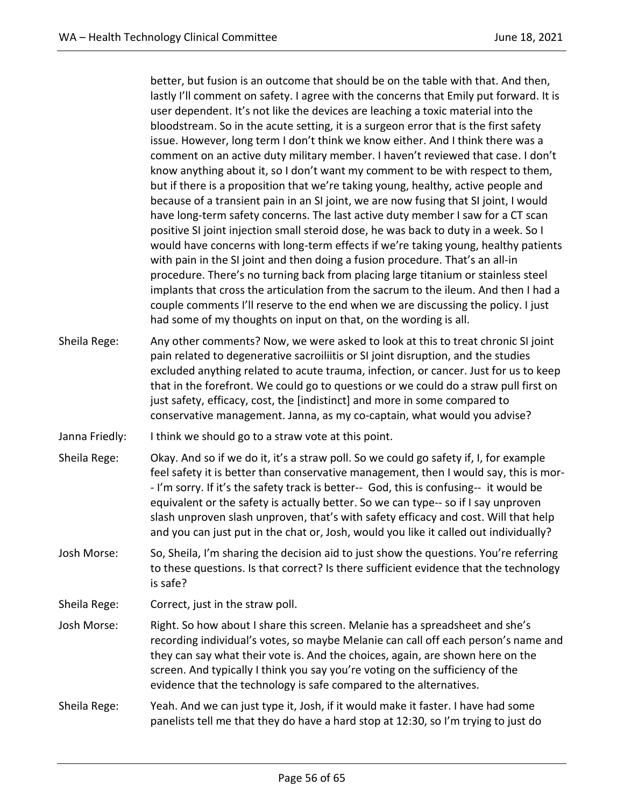better, but fusion is an outcome that should be on the table with that. And then, lastly I'll comment on safety. I agree with the concerns that Emily put forward. It is user dependent. It's not like the devices are leaching a toxic material into the bloodstream. So in the acute setting, it is a surgeon error that is the first safety issue. However, long term I don't think we know either. And I think there was a comment on an active duty military member. I haven't reviewed that case. I don't know anything about it, so I don't want my comment to be with respect to them, but if there is a proposition that we're taking young, healthy, active people and because of a transient pain in an SI joint, we are now fusing that SI joint, I would have long-term safety concerns. The last active duty member I saw for a CT scan positive SI joint injection small steroid dose, he was back to duty in a week. So I would have concerns with long-term effects if we're taking young, healthy patients with pain in the SI joint and then doing a fusion procedure. That's an all-in procedure. There's no turning back from placing large titanium or stainless steel implants that cross the articulation from the sacrum to the ileum. And then I had a couple comments I'll reserve to the end when we are discussing the policy. I just had some of my thoughts on input on that, on the wording is all.

- Sheila Rege: Any other comments? Now, we were asked to look at this to treat chronic SI joint pain related to degenerative sacroiliitis or SI joint disruption, and the studies excluded anything related to acute trauma, infection, or cancer. Just for us to keep that in the forefront. We could go to questions or we could do a straw pull first on just safety, efficacy, cost, the [indistinct] and more in some compared to conservative management. Janna, as my co-captain, what would you advise?
- Janna Friedly: I think we should go to a straw vote at this point.
- Sheila Rege: Okay. And so if we do it, it's a straw poll. So we could go safety if, I, for example feel safety it is better than conservative management, then I would say, this is mor- - I'm sorry. If it's the safety track is better-- God, this is confusing-- it would be equivalent or the safety is actually better. So we can type-- so if I say unproven slash unproven slash unproven, that's with safety efficacy and cost. Will that help and you can just put in the chat or, Josh, would you like it called out individually?
- Josh Morse: So, Sheila, I'm sharing the decision aid to just show the questions. You're referring to these questions. Is that correct? Is there sufficient evidence that the technology is safe?
- Sheila Rege: Correct, just in the straw poll.
- Josh Morse: Right. So how about I share this screen. Melanie has a spreadsheet and she's recording individual's votes, so maybe Melanie can call off each person's name and they can say what their vote is. And the choices, again, are shown here on the screen. And typically I think you say you're voting on the sufficiency of the evidence that the technology is safe compared to the alternatives.
- Sheila Rege: Yeah. And we can just type it, Josh, if it would make it faster. I have had some panelists tell me that they do have a hard stop at 12:30, so I'm trying to just do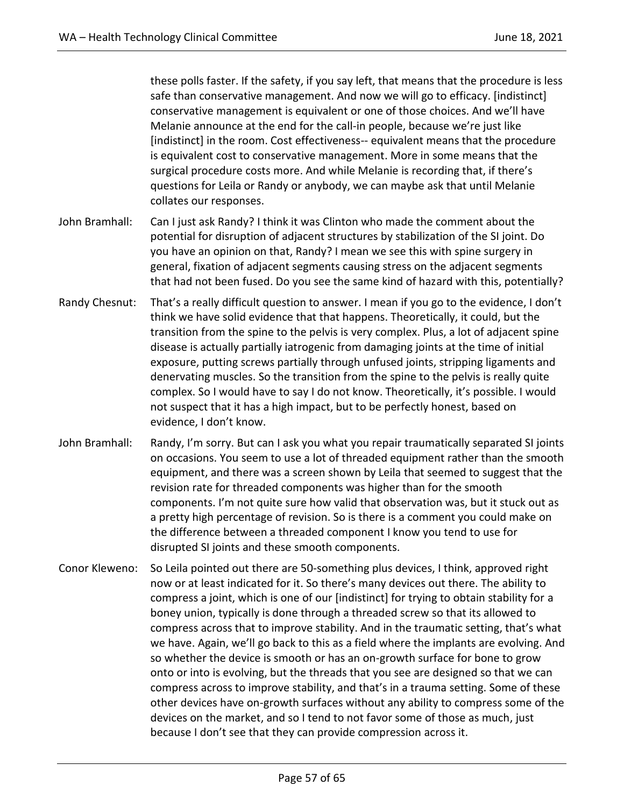these polls faster. If the safety, if you say left, that means that the procedure is less safe than conservative management. And now we will go to efficacy. [indistinct] conservative management is equivalent or one of those choices. And we'll have Melanie announce at the end for the call-in people, because we're just like [indistinct] in the room. Cost effectiveness-- equivalent means that the procedure is equivalent cost to conservative management. More in some means that the surgical procedure costs more. And while Melanie is recording that, if there's questions for Leila or Randy or anybody, we can maybe ask that until Melanie collates our responses.

- John Bramhall: Can I just ask Randy? I think it was Clinton who made the comment about the potential for disruption of adjacent structures by stabilization of the SI joint. Do you have an opinion on that, Randy? I mean we see this with spine surgery in general, fixation of adjacent segments causing stress on the adjacent segments that had not been fused. Do you see the same kind of hazard with this, potentially?
- Randy Chesnut: That's a really difficult question to answer. I mean if you go to the evidence, I don't think we have solid evidence that that happens. Theoretically, it could, but the transition from the spine to the pelvis is very complex. Plus, a lot of adjacent spine disease is actually partially iatrogenic from damaging joints at the time of initial exposure, putting screws partially through unfused joints, stripping ligaments and denervating muscles. So the transition from the spine to the pelvis is really quite complex. So I would have to say I do not know. Theoretically, it's possible. I would not suspect that it has a high impact, but to be perfectly honest, based on evidence, I don't know.
- John Bramhall: Randy, I'm sorry. But can I ask you what you repair traumatically separated SI joints on occasions. You seem to use a lot of threaded equipment rather than the smooth equipment, and there was a screen shown by Leila that seemed to suggest that the revision rate for threaded components was higher than for the smooth components. I'm not quite sure how valid that observation was, but it stuck out as a pretty high percentage of revision. So is there is a comment you could make on the difference between a threaded component I know you tend to use for disrupted SI joints and these smooth components.
- Conor Kleweno: So Leila pointed out there are 50-something plus devices, I think, approved right now or at least indicated for it. So there's many devices out there. The ability to compress a joint, which is one of our [indistinct] for trying to obtain stability for a boney union, typically is done through a threaded screw so that its allowed to compress across that to improve stability. And in the traumatic setting, that's what we have. Again, we'll go back to this as a field where the implants are evolving. And so whether the device is smooth or has an on-growth surface for bone to grow onto or into is evolving, but the threads that you see are designed so that we can compress across to improve stability, and that's in a trauma setting. Some of these other devices have on-growth surfaces without any ability to compress some of the devices on the market, and so I tend to not favor some of those as much, just because I don't see that they can provide compression across it.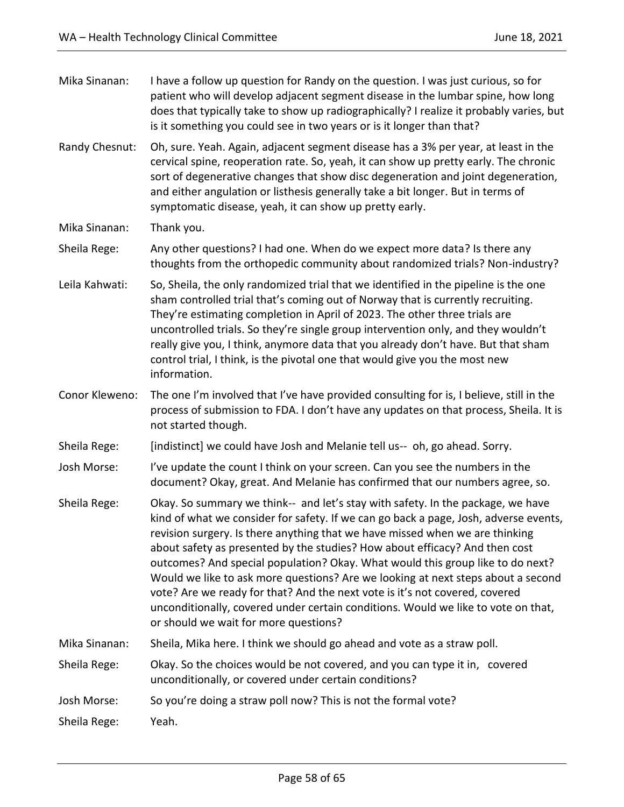| Mika Sinanan:  | I have a follow up question for Randy on the question. I was just curious, so for<br>patient who will develop adjacent segment disease in the lumbar spine, how long<br>does that typically take to show up radiographically? I realize it probably varies, but<br>is it something you could see in two years or is it longer than that?                                                                                                                                                                                                                                                                                                                                                                                  |
|----------------|---------------------------------------------------------------------------------------------------------------------------------------------------------------------------------------------------------------------------------------------------------------------------------------------------------------------------------------------------------------------------------------------------------------------------------------------------------------------------------------------------------------------------------------------------------------------------------------------------------------------------------------------------------------------------------------------------------------------------|
| Randy Chesnut: | Oh, sure. Yeah. Again, adjacent segment disease has a 3% per year, at least in the<br>cervical spine, reoperation rate. So, yeah, it can show up pretty early. The chronic<br>sort of degenerative changes that show disc degeneration and joint degeneration,<br>and either angulation or listhesis generally take a bit longer. But in terms of<br>symptomatic disease, yeah, it can show up pretty early.                                                                                                                                                                                                                                                                                                              |
| Mika Sinanan:  | Thank you.                                                                                                                                                                                                                                                                                                                                                                                                                                                                                                                                                                                                                                                                                                                |
| Sheila Rege:   | Any other questions? I had one. When do we expect more data? Is there any<br>thoughts from the orthopedic community about randomized trials? Non-industry?                                                                                                                                                                                                                                                                                                                                                                                                                                                                                                                                                                |
| Leila Kahwati: | So, Sheila, the only randomized trial that we identified in the pipeline is the one<br>sham controlled trial that's coming out of Norway that is currently recruiting.<br>They're estimating completion in April of 2023. The other three trials are<br>uncontrolled trials. So they're single group intervention only, and they wouldn't<br>really give you, I think, anymore data that you already don't have. But that sham<br>control trial, I think, is the pivotal one that would give you the most new<br>information.                                                                                                                                                                                             |
| Conor Kleweno: | The one I'm involved that I've have provided consulting for is, I believe, still in the<br>process of submission to FDA. I don't have any updates on that process, Sheila. It is<br>not started though.                                                                                                                                                                                                                                                                                                                                                                                                                                                                                                                   |
| Sheila Rege:   | [indistinct] we could have Josh and Melanie tell us-- oh, go ahead. Sorry.                                                                                                                                                                                                                                                                                                                                                                                                                                                                                                                                                                                                                                                |
| Josh Morse:    | I've update the count I think on your screen. Can you see the numbers in the<br>document? Okay, great. And Melanie has confirmed that our numbers agree, so.                                                                                                                                                                                                                                                                                                                                                                                                                                                                                                                                                              |
| Sheila Rege:   | Okay. So summary we think-- and let's stay with safety. In the package, we have<br>kind of what we consider for safety. If we can go back a page, Josh, adverse events,<br>revision surgery. Is there anything that we have missed when we are thinking<br>about safety as presented by the studies? How about efficacy? And then cost<br>outcomes? And special population? Okay. What would this group like to do next?<br>Would we like to ask more questions? Are we looking at next steps about a second<br>vote? Are we ready for that? And the next vote is it's not covered, covered<br>unconditionally, covered under certain conditions. Would we like to vote on that,<br>or should we wait for more questions? |
| Mika Sinanan:  | Sheila, Mika here. I think we should go ahead and vote as a straw poll.                                                                                                                                                                                                                                                                                                                                                                                                                                                                                                                                                                                                                                                   |
| Sheila Rege:   | Okay. So the choices would be not covered, and you can type it in, covered<br>unconditionally, or covered under certain conditions?                                                                                                                                                                                                                                                                                                                                                                                                                                                                                                                                                                                       |
| Josh Morse:    | So you're doing a straw poll now? This is not the formal vote?                                                                                                                                                                                                                                                                                                                                                                                                                                                                                                                                                                                                                                                            |
| Sheila Rege:   | Yeah.                                                                                                                                                                                                                                                                                                                                                                                                                                                                                                                                                                                                                                                                                                                     |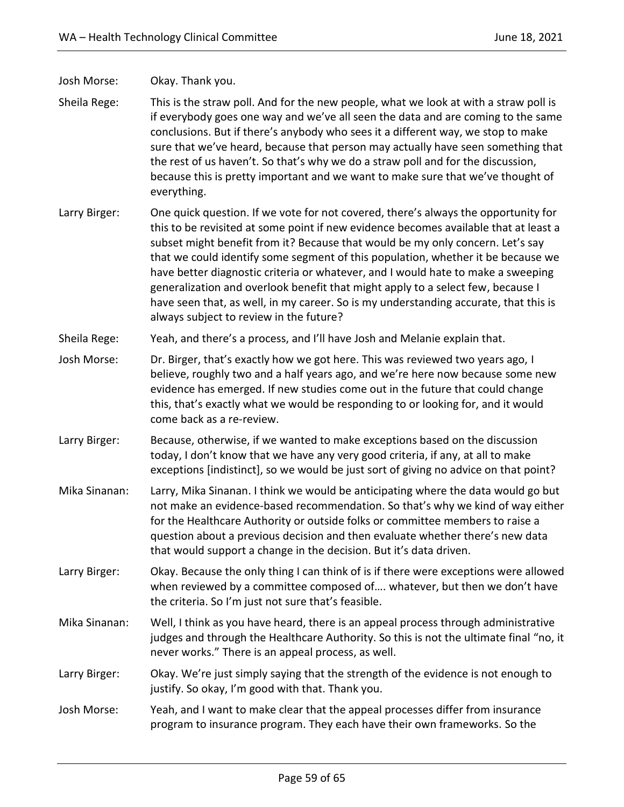## Josh Morse: Okay. Thank you.

- Sheila Rege: This is the straw poll. And for the new people, what we look at with a straw poll is if everybody goes one way and we've all seen the data and are coming to the same conclusions. But if there's anybody who sees it a different way, we stop to make sure that we've heard, because that person may actually have seen something that the rest of us haven't. So that's why we do a straw poll and for the discussion, because this is pretty important and we want to make sure that we've thought of everything.
- Larry Birger: One quick question. If we vote for not covered, there's always the opportunity for this to be revisited at some point if new evidence becomes available that at least a subset might benefit from it? Because that would be my only concern. Let's say that we could identify some segment of this population, whether it be because we have better diagnostic criteria or whatever, and I would hate to make a sweeping generalization and overlook benefit that might apply to a select few, because I have seen that, as well, in my career. So is my understanding accurate, that this is always subject to review in the future?
- Sheila Rege: Yeah, and there's a process, and I'll have Josh and Melanie explain that.
- Josh Morse: Dr. Birger, that's exactly how we got here. This was reviewed two years ago, I believe, roughly two and a half years ago, and we're here now because some new evidence has emerged. If new studies come out in the future that could change this, that's exactly what we would be responding to or looking for, and it would come back as a re-review.
- Larry Birger: Because, otherwise, if we wanted to make exceptions based on the discussion today, I don't know that we have any very good criteria, if any, at all to make exceptions [indistinct], so we would be just sort of giving no advice on that point?
- Mika Sinanan: Larry, Mika Sinanan. I think we would be anticipating where the data would go but not make an evidence-based recommendation. So that's why we kind of way either for the Healthcare Authority or outside folks or committee members to raise a question about a previous decision and then evaluate whether there's new data that would support a change in the decision. But it's data driven.
- Larry Birger: Okay. Because the only thing I can think of is if there were exceptions were allowed when reviewed by a committee composed of.... whatever, but then we don't have the criteria. So I'm just not sure that's feasible.
- Mika Sinanan: Well, I think as you have heard, there is an appeal process through administrative judges and through the Healthcare Authority. So this is not the ultimate final "no, it never works." There is an appeal process, as well.
- Larry Birger: Okay. We're just simply saying that the strength of the evidence is not enough to justify. So okay, I'm good with that. Thank you.
- Josh Morse: Yeah, and I want to make clear that the appeal processes differ from insurance program to insurance program. They each have their own frameworks. So the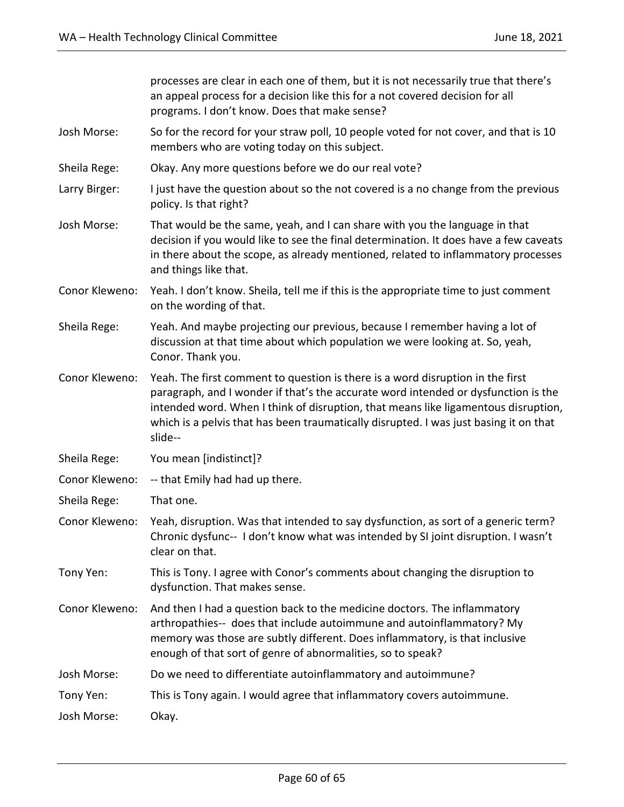processes are clear in each one of them, but it is not necessarily true that there's an appeal process for a decision like this for a not covered decision for all programs. I don't know. Does that make sense? Josh Morse: So for the record for your straw poll, 10 people voted for not cover, and that is 10 members who are voting today on this subject. Sheila Rege: Okay. Any more questions before we do our real vote? Larry Birger: I just have the question about so the not covered is a no change from the previous policy. Is that right? Josh Morse: That would be the same, yeah, and I can share with you the language in that decision if you would like to see the final determination. It does have a few caveats in there about the scope, as already mentioned, related to inflammatory processes and things like that. Conor Kleweno: Yeah. I don't know. Sheila, tell me if this is the appropriate time to just comment on the wording of that. Sheila Rege: Yeah. And maybe projecting our previous, because I remember having a lot of discussion at that time about which population we were looking at. So, yeah, Conor. Thank you. Conor Kleweno: Yeah. The first comment to question is there is a word disruption in the first paragraph, and I wonder if that's the accurate word intended or dysfunction is the intended word. When I think of disruption, that means like ligamentous disruption, which is a pelvis that has been traumatically disrupted. I was just basing it on that slide-- Sheila Rege: You mean [indistinct]? Conor Kleweno: -- that Emily had had up there. Sheila Rege: That one. Conor Kleweno: Yeah, disruption. Was that intended to say dysfunction, as sort of a generic term? Chronic dysfunc-- I don't know what was intended by SI joint disruption. I wasn't clear on that. Tony Yen: This is Tony. I agree with Conor's comments about changing the disruption to dysfunction. That makes sense. Conor Kleweno: And then I had a question back to the medicine doctors. The inflammatory arthropathies-- does that include autoimmune and autoinflammatory? My memory was those are subtly different. Does inflammatory, is that inclusive enough of that sort of genre of abnormalities, so to speak? Josh Morse: Do we need to differentiate autoinflammatory and autoimmune? Tony Yen: This is Tony again. I would agree that inflammatory covers autoimmune. Josh Morse: Okay.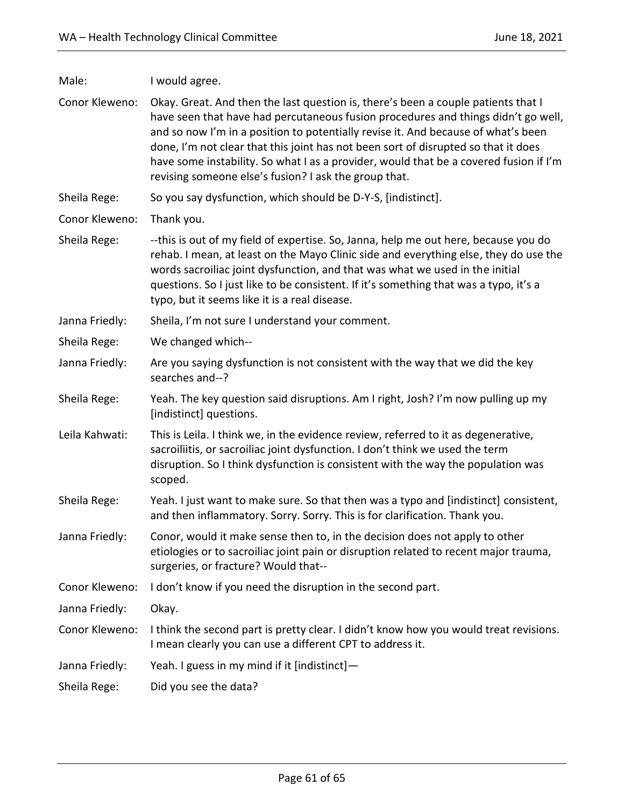| Conor Kleweno: | Okay. Great. And then the last question is, there's been a couple patients that I<br>have seen that have had percutaneous fusion procedures and things didn't go well,<br>and so now I'm in a position to potentially revise it. And because of what's been<br>done, I'm not clear that this joint has not been sort of disrupted so that it does<br>have some instability. So what I as a provider, would that be a covered fusion if I'm<br>revising someone else's fusion? I ask the group that. |
|----------------|-----------------------------------------------------------------------------------------------------------------------------------------------------------------------------------------------------------------------------------------------------------------------------------------------------------------------------------------------------------------------------------------------------------------------------------------------------------------------------------------------------|
| Sheila Rege:   | So you say dysfunction, which should be D-Y-S, [indistinct].                                                                                                                                                                                                                                                                                                                                                                                                                                        |
| Conor Kleweno: | Thank you.                                                                                                                                                                                                                                                                                                                                                                                                                                                                                          |
| Sheila Rege:   | --this is out of my field of expertise. So, Janna, help me out here, because you do<br>rehab. I mean, at least on the Mayo Clinic side and everything else, they do use the<br>words sacroiliac joint dysfunction, and that was what we used in the initial<br>questions. So I just like to be consistent. If it's something that was a typo, it's a<br>typo, but it seems like it is a real disease.                                                                                               |
| Janna Friedly: | Sheila, I'm not sure I understand your comment.                                                                                                                                                                                                                                                                                                                                                                                                                                                     |
| Sheila Rege:   | We changed which--                                                                                                                                                                                                                                                                                                                                                                                                                                                                                  |
| Janna Friedly: | Are you saying dysfunction is not consistent with the way that we did the key<br>searches and--?                                                                                                                                                                                                                                                                                                                                                                                                    |
| Sheila Rege:   | Yeah. The key question said disruptions. Am I right, Josh? I'm now pulling up my<br>[indistinct] questions.                                                                                                                                                                                                                                                                                                                                                                                         |
| Leila Kahwati: | This is Leila. I think we, in the evidence review, referred to it as degenerative,<br>sacroiliitis, or sacroiliac joint dysfunction. I don't think we used the term<br>disruption. So I think dysfunction is consistent with the way the population was<br>scoped.                                                                                                                                                                                                                                  |
| Sheila Rege:   | Yeah. I just want to make sure. So that then was a typo and [indistinct] consistent,<br>and then inflammatory. Sorry. Sorry. This is for clarification. Thank you.                                                                                                                                                                                                                                                                                                                                  |
| Janna Friedly: | Conor, would it make sense then to, in the decision does not apply to other<br>etiologies or to sacroiliac joint pain or disruption related to recent major trauma,<br>surgeries, or fracture? Would that--                                                                                                                                                                                                                                                                                         |
| Conor Kleweno: | I don't know if you need the disruption in the second part.                                                                                                                                                                                                                                                                                                                                                                                                                                         |
| Janna Friedly: | Okay.                                                                                                                                                                                                                                                                                                                                                                                                                                                                                               |
| Conor Kleweno: | I think the second part is pretty clear. I didn't know how you would treat revisions.<br>I mean clearly you can use a different CPT to address it.                                                                                                                                                                                                                                                                                                                                                  |
| Janna Friedly: | Yeah. I guess in my mind if it [indistinct]-                                                                                                                                                                                                                                                                                                                                                                                                                                                        |
| Sheila Rege:   | Did you see the data?                                                                                                                                                                                                                                                                                                                                                                                                                                                                               |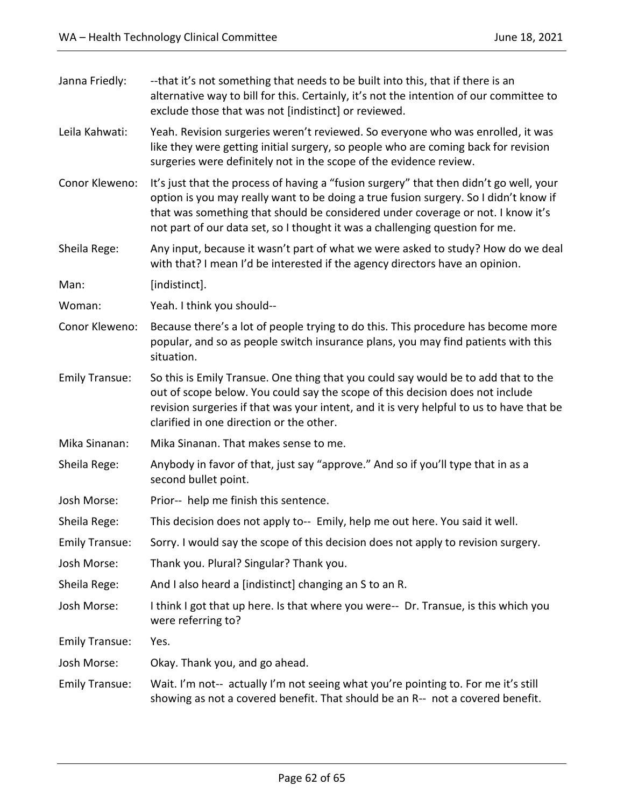| Janna Friedly:        | --that it's not something that needs to be built into this, that if there is an<br>alternative way to bill for this. Certainly, it's not the intention of our committee to<br>exclude those that was not [indistinct] or reviewed.                                                                                                                |
|-----------------------|---------------------------------------------------------------------------------------------------------------------------------------------------------------------------------------------------------------------------------------------------------------------------------------------------------------------------------------------------|
| Leila Kahwati:        | Yeah. Revision surgeries weren't reviewed. So everyone who was enrolled, it was<br>like they were getting initial surgery, so people who are coming back for revision<br>surgeries were definitely not in the scope of the evidence review.                                                                                                       |
| Conor Kleweno:        | It's just that the process of having a "fusion surgery" that then didn't go well, your<br>option is you may really want to be doing a true fusion surgery. So I didn't know if<br>that was something that should be considered under coverage or not. I know it's<br>not part of our data set, so I thought it was a challenging question for me. |
| Sheila Rege:          | Any input, because it wasn't part of what we were asked to study? How do we deal<br>with that? I mean I'd be interested if the agency directors have an opinion.                                                                                                                                                                                  |
| Man:                  | [indistinct].                                                                                                                                                                                                                                                                                                                                     |
| Woman:                | Yeah. I think you should--                                                                                                                                                                                                                                                                                                                        |
| Conor Kleweno:        | Because there's a lot of people trying to do this. This procedure has become more<br>popular, and so as people switch insurance plans, you may find patients with this<br>situation.                                                                                                                                                              |
| <b>Emily Transue:</b> | So this is Emily Transue. One thing that you could say would be to add that to the<br>out of scope below. You could say the scope of this decision does not include<br>revision surgeries if that was your intent, and it is very helpful to us to have that be<br>clarified in one direction or the other.                                       |
| Mika Sinanan:         | Mika Sinanan. That makes sense to me.                                                                                                                                                                                                                                                                                                             |
| Sheila Rege:          | Anybody in favor of that, just say "approve." And so if you'll type that in as a<br>second bullet point.                                                                                                                                                                                                                                          |
| Josh Morse:           | Prior-- help me finish this sentence.                                                                                                                                                                                                                                                                                                             |
| Sheila Rege:          | This decision does not apply to-- Emily, help me out here. You said it well.                                                                                                                                                                                                                                                                      |
| <b>Emily Transue:</b> | Sorry. I would say the scope of this decision does not apply to revision surgery.                                                                                                                                                                                                                                                                 |
| Josh Morse:           | Thank you. Plural? Singular? Thank you.                                                                                                                                                                                                                                                                                                           |
| Sheila Rege:          | And I also heard a [indistinct] changing an S to an R.                                                                                                                                                                                                                                                                                            |
| Josh Morse:           | I think I got that up here. Is that where you were-- Dr. Transue, is this which you<br>were referring to?                                                                                                                                                                                                                                         |
| <b>Emily Transue:</b> | Yes.                                                                                                                                                                                                                                                                                                                                              |
| Josh Morse:           | Okay. Thank you, and go ahead.                                                                                                                                                                                                                                                                                                                    |
| <b>Emily Transue:</b> | Wait. I'm not-- actually I'm not seeing what you're pointing to. For me it's still<br>showing as not a covered benefit. That should be an R-- not a covered benefit.                                                                                                                                                                              |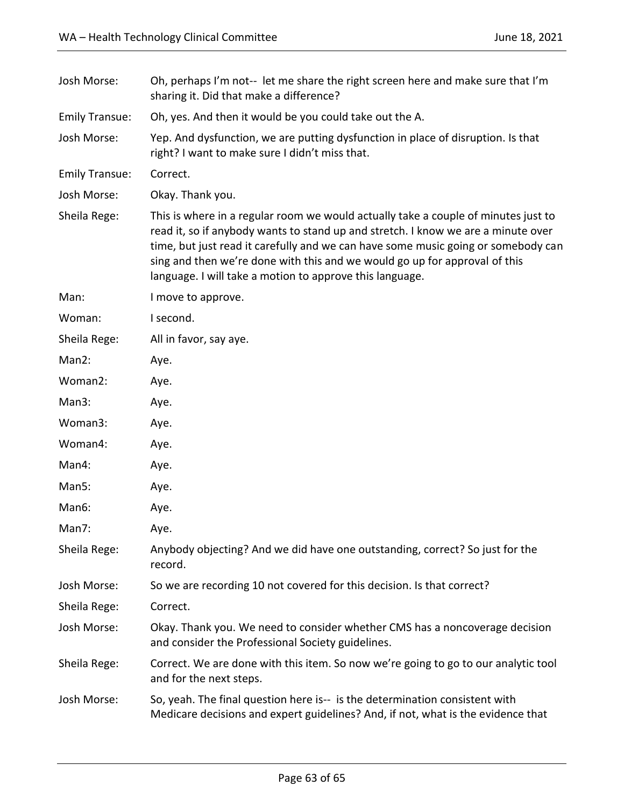| Josh Morse:           | Oh, perhaps I'm not-- let me share the right screen here and make sure that I'm<br>sharing it. Did that make a difference?                                                                                                                                                                                                                                                                             |
|-----------------------|--------------------------------------------------------------------------------------------------------------------------------------------------------------------------------------------------------------------------------------------------------------------------------------------------------------------------------------------------------------------------------------------------------|
| <b>Emily Transue:</b> | Oh, yes. And then it would be you could take out the A.                                                                                                                                                                                                                                                                                                                                                |
| Josh Morse:           | Yep. And dysfunction, we are putting dysfunction in place of disruption. Is that<br>right? I want to make sure I didn't miss that.                                                                                                                                                                                                                                                                     |
| <b>Emily Transue:</b> | Correct.                                                                                                                                                                                                                                                                                                                                                                                               |
| Josh Morse:           | Okay. Thank you.                                                                                                                                                                                                                                                                                                                                                                                       |
| Sheila Rege:          | This is where in a regular room we would actually take a couple of minutes just to<br>read it, so if anybody wants to stand up and stretch. I know we are a minute over<br>time, but just read it carefully and we can have some music going or somebody can<br>sing and then we're done with this and we would go up for approval of this<br>language. I will take a motion to approve this language. |
| Man:                  | I move to approve.                                                                                                                                                                                                                                                                                                                                                                                     |
| Woman:                | I second.                                                                                                                                                                                                                                                                                                                                                                                              |
| Sheila Rege:          | All in favor, say aye.                                                                                                                                                                                                                                                                                                                                                                                 |
| Man2:                 | Aye.                                                                                                                                                                                                                                                                                                                                                                                                   |
| Woman2:               | Aye.                                                                                                                                                                                                                                                                                                                                                                                                   |
| Man3:                 | Aye.                                                                                                                                                                                                                                                                                                                                                                                                   |
| Woman3:               | Aye.                                                                                                                                                                                                                                                                                                                                                                                                   |
| Woman4:               | Aye.                                                                                                                                                                                                                                                                                                                                                                                                   |
| Man4:                 | Aye.                                                                                                                                                                                                                                                                                                                                                                                                   |
| Man5:                 | Aye.                                                                                                                                                                                                                                                                                                                                                                                                   |
| Man6:                 | Aye.                                                                                                                                                                                                                                                                                                                                                                                                   |
| Man7:                 | Aye.                                                                                                                                                                                                                                                                                                                                                                                                   |
| Sheila Rege:          | Anybody objecting? And we did have one outstanding, correct? So just for the<br>record.                                                                                                                                                                                                                                                                                                                |
| Josh Morse:           | So we are recording 10 not covered for this decision. Is that correct?                                                                                                                                                                                                                                                                                                                                 |
| Sheila Rege:          | Correct.                                                                                                                                                                                                                                                                                                                                                                                               |
| Josh Morse:           | Okay. Thank you. We need to consider whether CMS has a noncoverage decision<br>and consider the Professional Society guidelines.                                                                                                                                                                                                                                                                       |
| Sheila Rege:          | Correct. We are done with this item. So now we're going to go to our analytic tool<br>and for the next steps.                                                                                                                                                                                                                                                                                          |
| Josh Morse:           | So, yeah. The final question here is-- is the determination consistent with<br>Medicare decisions and expert guidelines? And, if not, what is the evidence that                                                                                                                                                                                                                                        |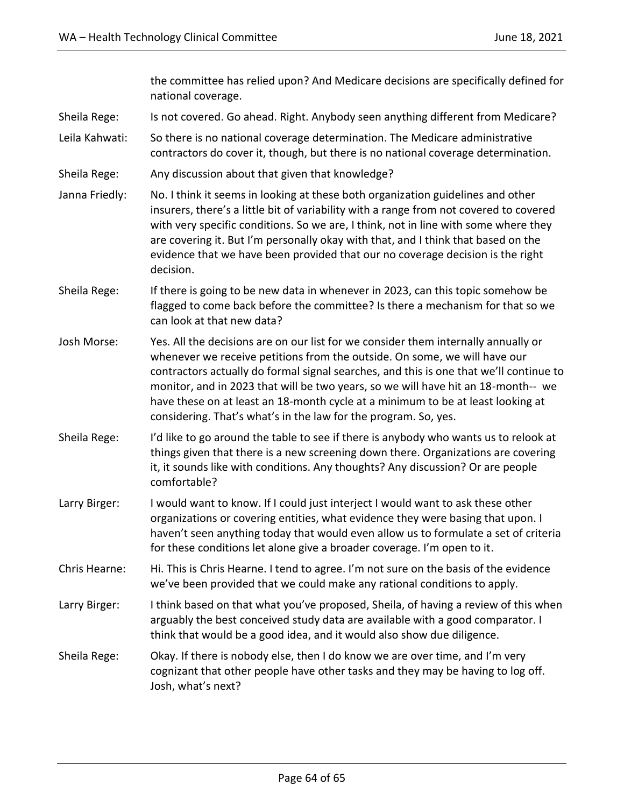the committee has relied upon? And Medicare decisions are specifically defined for national coverage.

- Sheila Rege: Is not covered. Go ahead. Right. Anybody seen anything different from Medicare?
- Leila Kahwati: So there is no national coverage determination. The Medicare administrative contractors do cover it, though, but there is no national coverage determination.
- Sheila Rege: Any discussion about that given that knowledge?
- Janna Friedly: No. I think it seems in looking at these both organization guidelines and other insurers, there's a little bit of variability with a range from not covered to covered with very specific conditions. So we are, I think, not in line with some where they are covering it. But I'm personally okay with that, and I think that based on the evidence that we have been provided that our no coverage decision is the right decision.
- Sheila Rege: If there is going to be new data in whenever in 2023, can this topic somehow be flagged to come back before the committee? Is there a mechanism for that so we can look at that new data?
- Josh Morse: Yes. All the decisions are on our list for we consider them internally annually or whenever we receive petitions from the outside. On some, we will have our contractors actually do formal signal searches, and this is one that we'll continue to monitor, and in 2023 that will be two years, so we will have hit an 18-month-- we have these on at least an 18-month cycle at a minimum to be at least looking at considering. That's what's in the law for the program. So, yes.
- Sheila Rege: I'd like to go around the table to see if there is anybody who wants us to relook at things given that there is a new screening down there. Organizations are covering it, it sounds like with conditions. Any thoughts? Any discussion? Or are people comfortable?
- Larry Birger: I would want to know. If I could just interject I would want to ask these other organizations or covering entities, what evidence they were basing that upon. I haven't seen anything today that would even allow us to formulate a set of criteria for these conditions let alone give a broader coverage. I'm open to it.
- Chris Hearne: Hi. This is Chris Hearne. I tend to agree. I'm not sure on the basis of the evidence we've been provided that we could make any rational conditions to apply.
- Larry Birger: I think based on that what you've proposed, Sheila, of having a review of this when arguably the best conceived study data are available with a good comparator. I think that would be a good idea, and it would also show due diligence.
- Sheila Rege: Okay. If there is nobody else, then I do know we are over time, and I'm very cognizant that other people have other tasks and they may be having to log off. Josh, what's next?